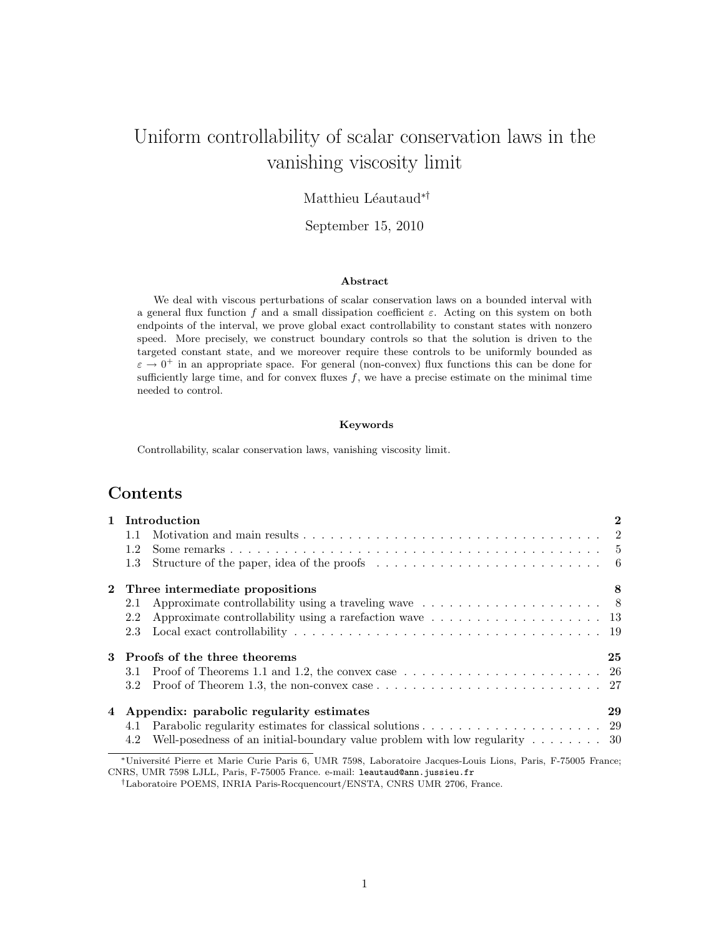# Uniform controllability of scalar conservation laws in the vanishing viscosity limit

## Matthieu Léautaud<sup>∗†</sup>

## September 15, 2010

#### Abstract

We deal with viscous perturbations of scalar conservation laws on a bounded interval with a general flux function f and a small dissipation coefficient  $\varepsilon$ . Acting on this system on both endpoints of the interval, we prove global exact controllability to constant states with nonzero speed. More precisely, we construct boundary controls so that the solution is driven to the targeted constant state, and we moreover require these controls to be uniformly bounded as  $\varepsilon \to 0^+$  in an appropriate space. For general (non-convex) flux functions this can be done for sufficiently large time, and for convex fluxes  $f$ , we have a precise estimate on the minimal time needed to control.

#### Keywords

Controllability, scalar conservation laws, vanishing viscosity limit.

# Contents

|                  | 1 Introduction                                                                                                                  | $\mathbf{2}$ |  |  |  |
|------------------|---------------------------------------------------------------------------------------------------------------------------------|--------------|--|--|--|
| 1.1              |                                                                                                                                 |              |  |  |  |
| 1.2              |                                                                                                                                 |              |  |  |  |
| 1.3              |                                                                                                                                 |              |  |  |  |
|                  | 2 Three intermediate propositions                                                                                               | 8            |  |  |  |
| 2.1              |                                                                                                                                 |              |  |  |  |
| 2.2              |                                                                                                                                 |              |  |  |  |
| 2.3              |                                                                                                                                 |              |  |  |  |
|                  | 3 Proofs of the three theorems                                                                                                  | 25           |  |  |  |
| 3.1              | Proof of Theorems 1.1 and 1.2, the convex case $\dots \dots \dots \dots \dots \dots \dots \dots \dots$                          |              |  |  |  |
| 3.2 <sub>1</sub> |                                                                                                                                 |              |  |  |  |
|                  | 4 Appendix: parabolic regularity estimates                                                                                      |              |  |  |  |
| 4.1              |                                                                                                                                 |              |  |  |  |
| 4.2              | Well-posedness of an initial-boundary value problem with low regularity $\dots \dots \dots$ 30                                  |              |  |  |  |
|                  | $\mathbf{v}$ . The state of $\mathbf{v}$ is a strip when $\mathbf{v}$ is the state of $\mathbf{v}$ is the state of $\mathbf{v}$ |              |  |  |  |

<sup>∗</sup>Universit´e Pierre et Marie Curie Paris 6, UMR 7598, Laboratoire Jacques-Louis Lions, Paris, F-75005 France; CNRS, UMR 7598 LJLL, Paris, F-75005 France. e-mail: leautaud@ann.jussieu.fr

<sup>†</sup>Laboratoire POEMS, INRIA Paris-Rocquencourt/ENSTA, CNRS UMR 2706, France.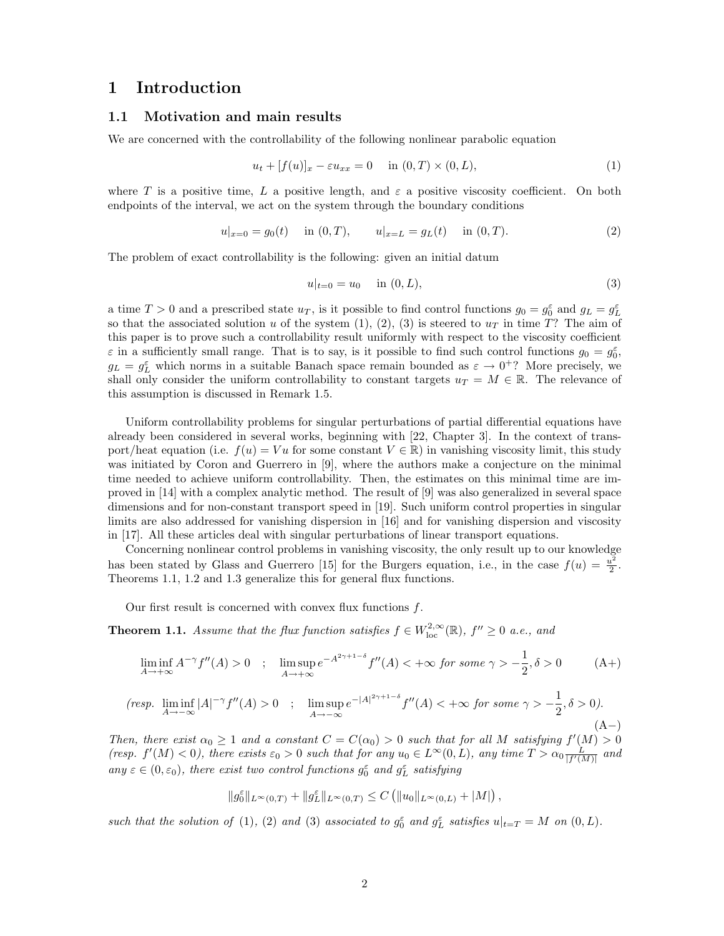## 1 Introduction

## 1.1 Motivation and main results

We are concerned with the controllability of the following nonlinear parabolic equation

$$
u_t + [f(u)]_x - \varepsilon u_{xx} = 0 \quad \text{in } (0, T) \times (0, L), \tag{1}
$$

where T is a positive time, L a positive length, and  $\varepsilon$  a positive viscosity coefficient. On both endpoints of the interval, we act on the system through the boundary conditions

$$
u|_{x=0} = g_0(t) \quad \text{in } (0,T), \qquad u|_{x=L} = g_L(t) \quad \text{in } (0,T). \tag{2}
$$

The problem of exact controllability is the following: given an initial datum

$$
u|_{t=0} = u_0 \quad \text{in } (0, L), \tag{3}
$$

a time  $T > 0$  and a prescribed state  $u_T$ , is it possible to find control functions  $g_0 = g_0^{\varepsilon}$  and  $g_L = g_L^{\varepsilon}$ so that the associated solution u of the system (1), (2), (3) is steered to  $u<sub>T</sub>$  in time T? The aim of this paper is to prove such a controllability result uniformly with respect to the viscosity coefficient  $\varepsilon$  in a sufficiently small range. That is to say, is it possible to find such control functions  $g_0 = g_0^{\varepsilon}$ ,  $g_L = g_L^{\varepsilon}$  which norms in a suitable Banach space remain bounded as  $\varepsilon \to 0^+$ ? More precisely, we shall only consider the uniform controllability to constant targets  $u_T = M \in \mathbb{R}$ . The relevance of this assumption is discussed in Remark 1.5.

Uniform controllability problems for singular perturbations of partial differential equations have already been considered in several works, beginning with [22, Chapter 3]. In the context of transport/heat equation (i.e.  $f(u) = Vu$  for some constant  $V \in \mathbb{R}$ ) in vanishing viscosity limit, this study was initiated by Coron and Guerrero in [9], where the authors make a conjecture on the minimal time needed to achieve uniform controllability. Then, the estimates on this minimal time are improved in [14] with a complex analytic method. The result of [9] was also generalized in several space dimensions and for non-constant transport speed in [19]. Such uniform control properties in singular limits are also addressed for vanishing dispersion in [16] and for vanishing dispersion and viscosity in [17]. All these articles deal with singular perturbations of linear transport equations.

Concerning nonlinear control problems in vanishing viscosity, the only result up to our knowledge has been stated by Glass and Guerrero [15] for the Burgers equation, i.e., in the case  $f(u) = \frac{u^2}{2}$  $\frac{\iota^2}{2}$ . Theorems 1.1, 1.2 and 1.3 generalize this for general flux functions.

Our first result is concerned with convex flux functions f.

**Theorem 1.1.** Assume that the flux function satisfies  $f \in W^{2,\infty}_{loc}(\mathbb{R})$ ,  $f'' \geq 0$  a.e., and

$$
\liminf_{A \to +\infty} A^{-\gamma} f''(A) > 0 \quad ; \quad \limsup_{A \to +\infty} e^{-A^{2\gamma + 1 - \delta}} f''(A) < +\infty \text{ for some } \gamma > -\frac{1}{2}, \delta > 0 \tag{A+
$$

$$
\text{(resp. } \liminf_{A \to -\infty} |A|^{-\gamma} f''(A) > 0 \quad ; \quad \limsup_{A \to -\infty} e^{-|A|^{2\gamma+1-\delta}} f''(A) < +\infty \text{ for some } \gamma > -\frac{1}{2}, \delta > 0\text{)}.\tag{A--}
$$

Then, there exist  $\alpha_0 \geq 1$  and a constant  $C = C(\alpha_0) > 0$  such that for all M satisfying  $f'(M) > 0$ (resp.  $f'(M) < 0$ ), there exists  $\varepsilon_0 > 0$  such that for any  $u_0 \in L^{\infty}(0, L)$ , any time  $T > \alpha_0 \frac{L}{|f'(M)|}$  and any  $\varepsilon \in (0, \varepsilon_0)$ , there exist two control functions  $g_0^{\varepsilon}$  and  $g_L^{\varepsilon}$  satisfying

$$
\|g_0^{\varepsilon}\|_{L^{\infty}(0,T)} + \|g_L^{\varepsilon}\|_{L^{\infty}(0,T)} \leq C \left( \|u_0\|_{L^{\infty}(0,L)} + |M| \right),
$$

such that the solution of (1), (2) and (3) associated to  $g_0^{\varepsilon}$  and  $g_L^{\varepsilon}$  satisfies  $u|_{t=T} = M$  on  $(0,L)$ .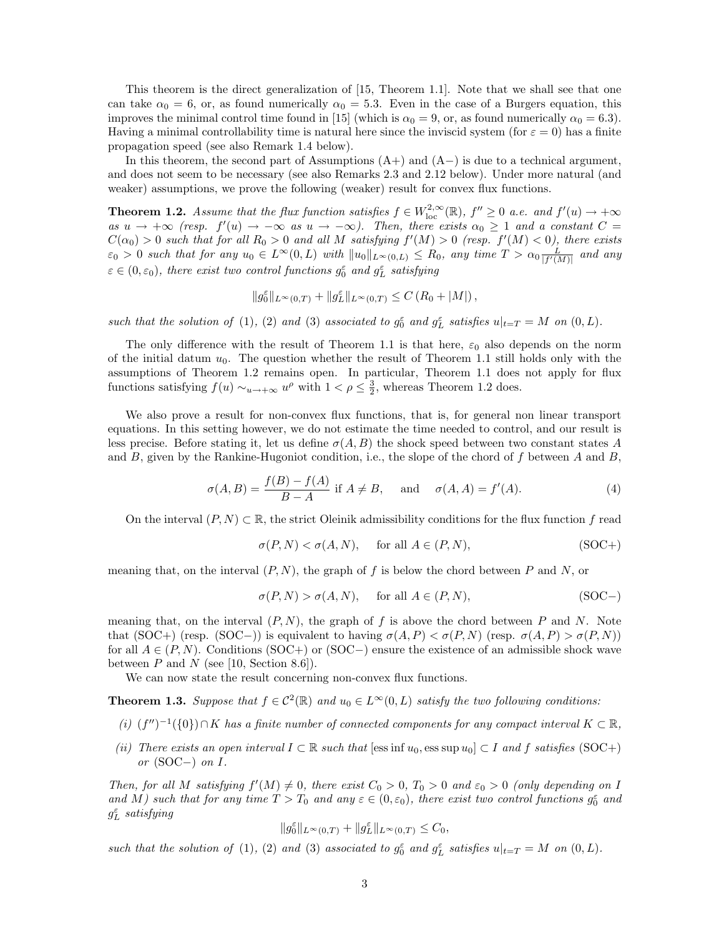This theorem is the direct generalization of [15, Theorem 1.1]. Note that we shall see that one can take  $\alpha_0 = 6$ , or, as found numerically  $\alpha_0 = 5.3$ . Even in the case of a Burgers equation, this improves the minimal control time found in [15] (which is  $\alpha_0 = 9$ , or, as found numerically  $\alpha_0 = 6.3$ ). Having a minimal controllability time is natural here since the inviscid system (for  $\varepsilon = 0$ ) has a finite propagation speed (see also Remark 1.4 below).

In this theorem, the second part of Assumptions  $(A+)$  and  $(A-)$  is due to a technical argument, and does not seem to be necessary (see also Remarks 2.3 and 2.12 below). Under more natural (and weaker) assumptions, we prove the following (weaker) result for convex flux functions.

**Theorem 1.2.** Assume that the flux function satisfies  $f \in W^{2,\infty}_{loc}(\mathbb{R})$ ,  $f'' \geq 0$  a.e. and  $f'(u) \to +\infty$ as  $u \to +\infty$  (resp.  $f'(u) \to -\infty$  as  $u \to -\infty$ ). Then, there exists  $\alpha_0 \geq 1$  and a constant  $C =$  $C(\alpha_0) > 0$  such that for all  $R_0 > 0$  and all M satisfying  $f'(M) > 0$  (resp.  $f'(M) < 0$ ), there exists  $\varepsilon_0 > 0$  such that for any  $u_0 \in L^{\infty}(0, L)$  with  $||u_0||_{L^{\infty}(0, L)} \le R_0$ , any time  $T > \alpha_0 \frac{L}{|f'(M)|}$  and any  $\varepsilon \in (0, \varepsilon_0)$ , there exist two control functions  $g_0^{\varepsilon}$  and  $g_L^{\varepsilon}$  satisfying

$$
||g_0^{\varepsilon}||_{L^{\infty}(0,T)} + ||g_L^{\varepsilon}||_{L^{\infty}(0,T)} \leq C (R_0 + |M|),
$$

such that the solution of (1), (2) and (3) associated to  $g_0^{\varepsilon}$  and  $g_L^{\varepsilon}$  satisfies  $u|_{t=T} = M$  on  $(0,L)$ .

The only difference with the result of Theorem 1.1 is that here,  $\varepsilon_0$  also depends on the norm of the initial datum  $u_0$ . The question whether the result of Theorem 1.1 still holds only with the assumptions of Theorem 1.2 remains open. In particular, Theorem 1.1 does not apply for flux functions satisfying  $f(u) \sim_{u \to +\infty} u^{\rho}$  with  $1 < \rho \leq \frac{3}{2}$ , whereas Theorem 1.2 does.

We also prove a result for non-convex flux functions, that is, for general non linear transport equations. In this setting however, we do not estimate the time needed to control, and our result is less precise. Before stating it, let us define  $\sigma(A, B)$  the shock speed between two constant states A and B, given by the Rankine-Hugoniot condition, i.e., the slope of the chord of f between A and B,

$$
\sigma(A, B) = \frac{f(B) - f(A)}{B - A} \text{ if } A \neq B, \quad \text{and} \quad \sigma(A, A) = f'(A). \tag{4}
$$

On the interval  $(P, N) \subset \mathbb{R}$ , the strict Oleinik admissibility conditions for the flux function f read

$$
\sigma(P, N) < \sigma(A, N), \quad \text{for all } A \in (P, N), \tag{SOC+}
$$

meaning that, on the interval  $(P, N)$ , the graph of f is below the chord between P and N, or

$$
\sigma(P, N) > \sigma(A, N), \quad \text{for all } A \in (P, N), \tag{SOC-}
$$

meaning that, on the interval  $(P, N)$ , the graph of f is above the chord between P and N. Note that (SOC+) (resp. (SOC−)) is equivalent to having  $\sigma(A, P) < \sigma(P, N)$  (resp.  $\sigma(A, P) > \sigma(P, N)$ ) for all  $A \in (P, N)$ . Conditions (SOC+) or (SOC−) ensure the existence of an admissible shock wave between  $P$  and  $N$  (see [10, Section 8.6]).

We can now state the result concerning non-convex flux functions.

**Theorem 1.3.** Suppose that  $f \in C^2(\mathbb{R})$  and  $u_0 \in L^{\infty}(0, L)$  satisfy the two following conditions:

- (i)  $(f'')^{-1}(\{0\}) \cap K$  has a finite number of connected components for any compact interval  $K \subset \mathbb{R}$ ,
- (ii) There exists an open interval  $I \subset \mathbb{R}$  such that [ess inf  $u_0$ , ess sup  $u_0 \subset I$  and f satisfies (SOC+) or  $(SOC-)$  on I.

Then, for all M satisfying  $f'(M) \neq 0$ , there exist  $C_0 > 0$ ,  $T_0 > 0$  and  $\varepsilon_0 > 0$  (only depending on I and M) such that for any time  $T > T_0$  and any  $\varepsilon \in (0, \varepsilon_0)$ , there exist two control functions  $g_0^{\varepsilon}$  and  $g_L^{\varepsilon}$  satisfying

$$
||g_0^{\varepsilon}||_{L^{\infty}(0,T)} + ||g_L^{\varepsilon}||_{L^{\infty}(0,T)} \leq C_0,
$$

such that the solution of (1), (2) and (3) associated to  $g_0^{\varepsilon}$  and  $g_L^{\varepsilon}$  satisfies  $u|_{t=T} = M$  on  $(0,L)$ .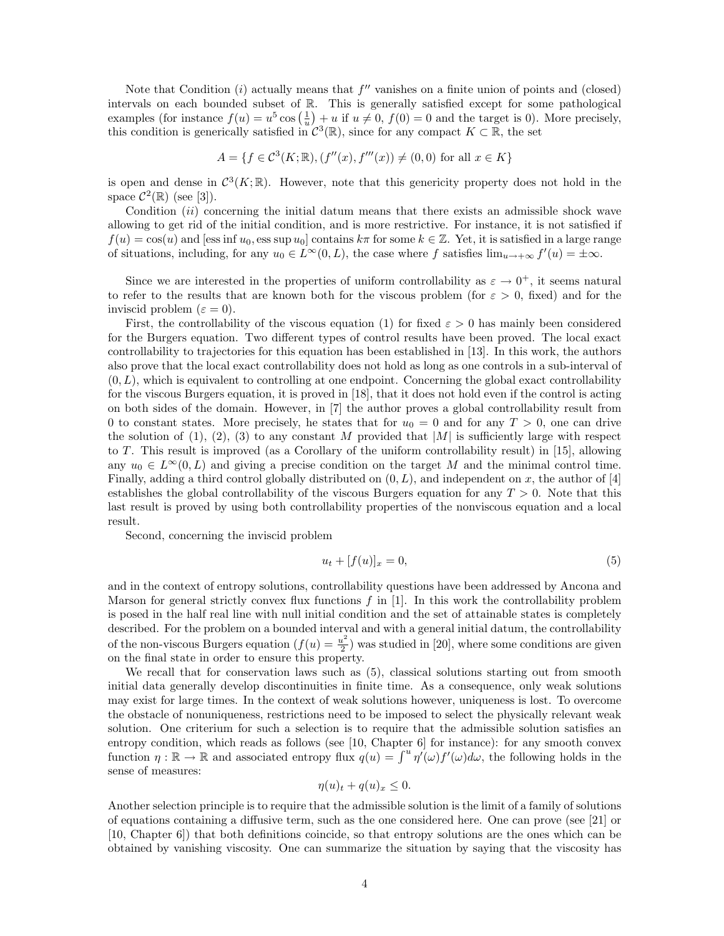Note that Condition  $(i)$  actually means that  $f''$  vanishes on a finite union of points and (closed) intervals on each bounded subset of R. This is generally satisfied except for some pathological examples (for instance  $f(u) = u^5 \cos(\frac{1}{u}) + u$  if  $u \neq 0$ ,  $f(0) = 0$  and the target is 0). More precisely, this condition is generically satisfied in  $\mathcal{C}^3(\mathbb{R})$ , since for any compact  $K \subset \mathbb{R}$ , the set

$$
A = \{ f \in C^{3}(K; \mathbb{R}), (f''(x), f'''(x)) \neq (0, 0) \text{ for all } x \in K \}
$$

is open and dense in  $C^3(K;\mathbb{R})$ . However, note that this genericity property does not hold in the space  $\mathcal{C}^2(\mathbb{R})$  (see [3]).

Condition  $(ii)$  concerning the initial datum means that there exists an admissible shock wave allowing to get rid of the initial condition, and is more restrictive. For instance, it is not satisfied if  $f(u) = \cos(u)$  and [ess inf  $u_0$ , ess sup  $u_0$ ] contains  $k\pi$  for some  $k \in \mathbb{Z}$ . Yet, it is satisfied in a large range of situations, including, for any  $u_0 \in L^{\infty}(0, L)$ , the case where f satisfies  $\lim_{u \to +\infty} f'(u) = \pm \infty$ .

Since we are interested in the properties of uniform controllability as  $\varepsilon \to 0^+$ , it seems natural to refer to the results that are known both for the viscous problem (for  $\varepsilon > 0$ , fixed) and for the inviscid problem ( $\varepsilon = 0$ ).

First, the controllability of the viscous equation (1) for fixed  $\varepsilon > 0$  has mainly been considered for the Burgers equation. Two different types of control results have been proved. The local exact controllability to trajectories for this equation has been established in [13]. In this work, the authors also prove that the local exact controllability does not hold as long as one controls in a sub-interval of  $(0, L)$ , which is equivalent to controlling at one endpoint. Concerning the global exact controllability for the viscous Burgers equation, it is proved in [18], that it does not hold even if the control is acting on both sides of the domain. However, in [7] the author proves a global controllability result from 0 to constant states. More precisely, he states that for  $u_0 = 0$  and for any  $T > 0$ , one can drive the solution of (1), (2), (3) to any constant M provided that  $|M|$  is sufficiently large with respect to T. This result is improved (as a Corollary of the uniform controllability result) in [15], allowing any  $u_0 \in L^{\infty}(0, L)$  and giving a precise condition on the target M and the minimal control time. Finally, adding a third control globally distributed on  $(0, L)$ , and independent on x, the author of [4] establishes the global controllability of the viscous Burgers equation for any  $T > 0$ . Note that this last result is proved by using both controllability properties of the nonviscous equation and a local result.

Second, concerning the inviscid problem

$$
u_t + [f(u)]_x = 0,\t\t(5)
$$

and in the context of entropy solutions, controllability questions have been addressed by Ancona and Marson for general strictly convex flux functions  $f$  in [1]. In this work the controllability problem is posed in the half real line with null initial condition and the set of attainable states is completely described. For the problem on a bounded interval and with a general initial datum, the controllability of the non-viscous Burgers equation  $(f(u)) = \frac{u^2}{2}$  $\frac{u^2}{2}$ ) was studied in [20], where some conditions are given on the final state in order to ensure this property.

We recall that for conservation laws such as  $(5)$ , classical solutions starting out from smooth initial data generally develop discontinuities in finite time. As a consequence, only weak solutions may exist for large times. In the context of weak solutions however, uniqueness is lost. To overcome the obstacle of nonuniqueness, restrictions need to be imposed to select the physically relevant weak solution. One criterium for such a selection is to require that the admissible solution satisfies an entropy condition, which reads as follows (see [10, Chapter 6] for instance): for any smooth convex function  $\eta : \mathbb{R} \to \mathbb{R}$  and associated entropy flux  $q(u) = \int^u \eta'(\omega) f'(\omega) d\omega$ , the following holds in the sense of measures:

$$
\eta(u)_t + q(u)_x \le 0.
$$

Another selection principle is to require that the admissible solution is the limit of a family of solutions of equations containing a diffusive term, such as the one considered here. One can prove (see [21] or [10, Chapter 6]) that both definitions coincide, so that entropy solutions are the ones which can be obtained by vanishing viscosity. One can summarize the situation by saying that the viscosity has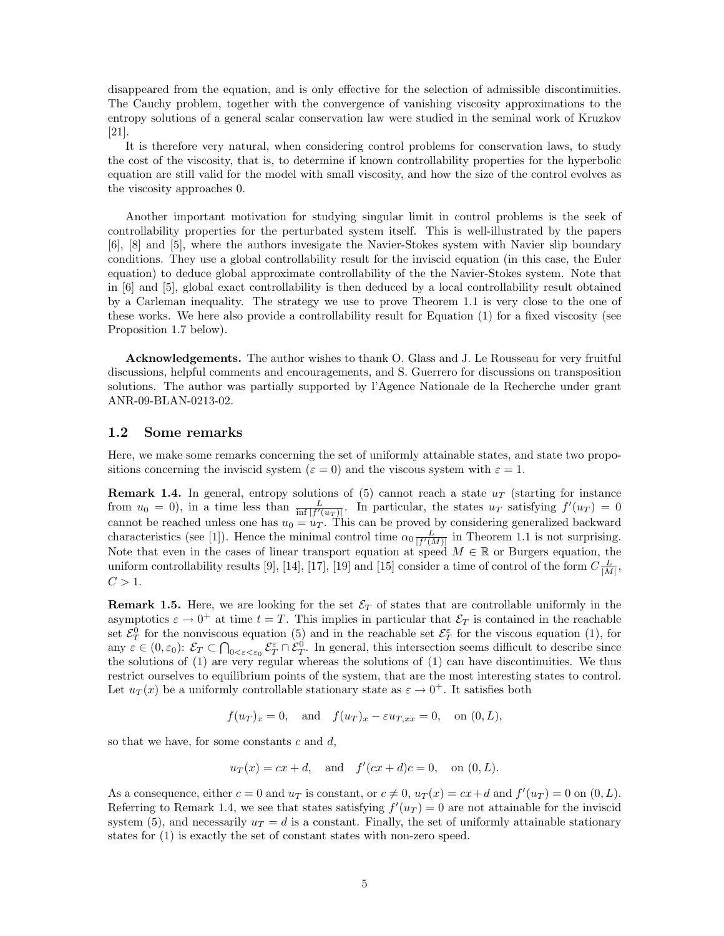disappeared from the equation, and is only effective for the selection of admissible discontinuities. The Cauchy problem, together with the convergence of vanishing viscosity approximations to the entropy solutions of a general scalar conservation law were studied in the seminal work of Kruzkov [21].

It is therefore very natural, when considering control problems for conservation laws, to study the cost of the viscosity, that is, to determine if known controllability properties for the hyperbolic equation are still valid for the model with small viscosity, and how the size of the control evolves as the viscosity approaches 0.

Another important motivation for studying singular limit in control problems is the seek of controllability properties for the perturbated system itself. This is well-illustrated by the papers [6], [8] and [5], where the authors invesigate the Navier-Stokes system with Navier slip boundary conditions. They use a global controllability result for the inviscid equation (in this case, the Euler equation) to deduce global approximate controllability of the the Navier-Stokes system. Note that in [6] and [5], global exact controllability is then deduced by a local controllability result obtained by a Carleman inequality. The strategy we use to prove Theorem 1.1 is very close to the one of these works. We here also provide a controllability result for Equation (1) for a fixed viscosity (see Proposition 1.7 below).

Acknowledgements. The author wishes to thank O. Glass and J. Le Rousseau for very fruitful discussions, helpful comments and encouragements, and S. Guerrero for discussions on transposition solutions. The author was partially supported by l'Agence Nationale de la Recherche under grant ANR-09-BLAN-0213-02.

## 1.2 Some remarks

Here, we make some remarks concerning the set of uniformly attainable states, and state two propositions concerning the inviscid system ( $\varepsilon = 0$ ) and the viscous system with  $\varepsilon = 1$ .

**Remark 1.4.** In general, entropy solutions of (5) cannot reach a state  $u_T$  (starting for instance from  $u_0 = 0$ , in a time less than  $\frac{L}{\inf |f'(u_T)|}$ . In particular, the states  $u_T$  satisfying  $f'(u_T) = 0$ cannot be reached unless one has  $u_0 = u_T$ . This can be proved by considering generalized backward characteristics (see [1]). Hence the minimal control time  $\alpha_0 \frac{L}{|f'(M)|}$  in Theorem 1.1 is not surprising. Note that even in the cases of linear transport equation at speed  $M \in \mathbb{R}$  or Burgers equation, the uniform controllability results [9], [14], [17], [19] and [15] consider a time of control of the form  $C\frac{L}{|M|}$ ,  $C > 1$ .

**Remark 1.5.** Here, we are looking for the set  $\mathcal{E}_T$  of states that are controllable uniformly in the asymptotics  $\varepsilon \to 0^+$  at time  $t = T$ . This implies in particular that  $\mathcal{E}_T$  is contained in the reachable set  $\mathcal{E}_T^0$  for the nonviscous equation (5) and in the reachable set  $\mathcal{E}_T^{\varepsilon}$  for the viscous equation (1), for any  $\varepsilon \in (0, \varepsilon_0)$ :  $\mathcal{E}_T \subset \bigcap_{0 \leq \varepsilon \leq \varepsilon_0} \mathcal{E}_T^{\varepsilon} \cap \mathcal{E}_T^0$ . In general, this intersection seems difficult to describe since the solutions of (1) are very regular whereas the solutions of (1) can have discontinuities. We thus restrict ourselves to equilibrium points of the system, that are the most interesting states to control. Let  $u_T(x)$  be a uniformly controllable stationary state as  $\varepsilon \to 0^+$ . It satisfies both

$$
f(u_T)_x = 0, \quad \text{and} \quad f(u_T)_x - \varepsilon u_{T,xx} = 0, \quad \text{on } (0, L),
$$

so that we have, for some constants  $c$  and  $d$ ,

$$
u_T(x) = cx + d
$$
, and  $f'(cx + d)c = 0$ , on  $(0, L)$ .

As a consequence, either  $c = 0$  and  $u_T$  is constant, or  $c \neq 0$ ,  $u_T(x) = cx+d$  and  $f'(u_T) = 0$  on  $(0, L)$ . Referring to Remark 1.4, we see that states satisfying  $f'(u_T) = 0$  are not attainable for the inviscid system (5), and necessarily  $u_T = d$  is a constant. Finally, the set of uniformly attainable stationary states for (1) is exactly the set of constant states with non-zero speed.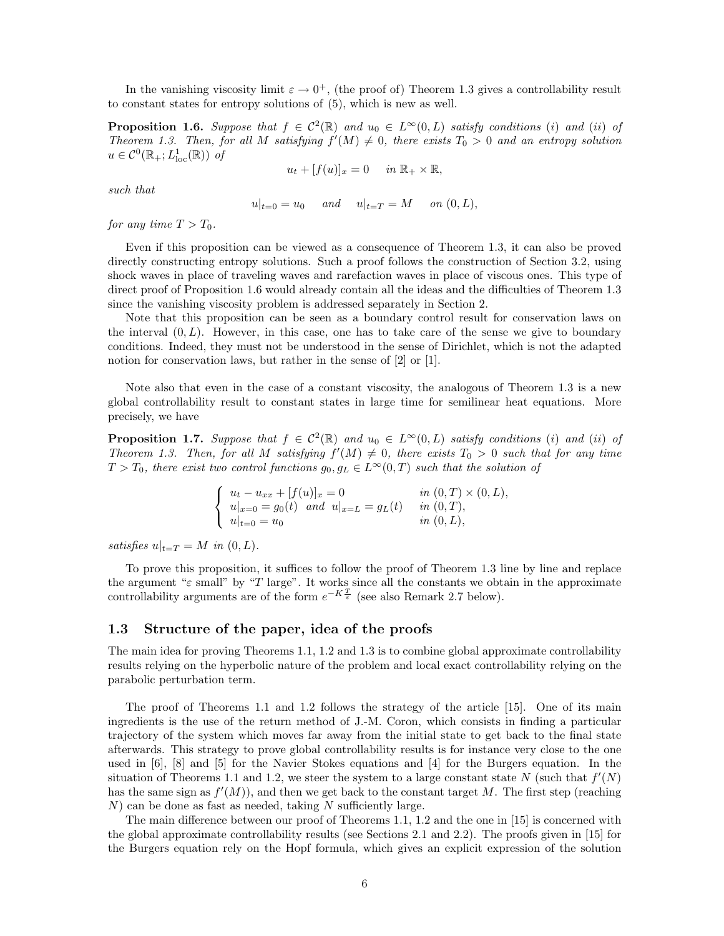In the vanishing viscosity limit  $\varepsilon \to 0^+$ , (the proof of) Theorem 1.3 gives a controllability result to constant states for entropy solutions of (5), which is new as well.

**Proposition 1.6.** Suppose that  $f \in C^2(\mathbb{R})$  and  $u_0 \in L^{\infty}(0,L)$  satisfy conditions (i) and (ii) of Theorem 1.3. Then, for all M satisfying  $f'(M) \neq 0$ , there exists  $T_0 > 0$  and an entropy solution  $u \in C^0(\mathbb{R}_+; L^1_{\text{loc}}(\mathbb{R}))$  of

 $u_t + [f(u)]_x = 0$  in  $\mathbb{R}_+ \times \mathbb{R}$ ,

such that

 $u|_{t=0} = u_0$  and  $u|_{t=T} = M$  on  $(0, L)$ ,

for any time  $T > T_0$ .

Even if this proposition can be viewed as a consequence of Theorem 1.3, it can also be proved directly constructing entropy solutions. Such a proof follows the construction of Section 3.2, using shock waves in place of traveling waves and rarefaction waves in place of viscous ones. This type of direct proof of Proposition 1.6 would already contain all the ideas and the difficulties of Theorem 1.3 since the vanishing viscosity problem is addressed separately in Section 2.

Note that this proposition can be seen as a boundary control result for conservation laws on the interval  $(0, L)$ . However, in this case, one has to take care of the sense we give to boundary conditions. Indeed, they must not be understood in the sense of Dirichlet, which is not the adapted notion for conservation laws, but rather in the sense of [2] or [1].

Note also that even in the case of a constant viscosity, the analogous of Theorem 1.3 is a new global controllability result to constant states in large time for semilinear heat equations. More precisely, we have

**Proposition 1.7.** Suppose that  $f \in C^2(\mathbb{R})$  and  $u_0 \in L^{\infty}(0,L)$  satisfy conditions (i) and (ii) of Theorem 1.3. Then, for all M satisfying  $f'(M) \neq 0$ , there exists  $T_0 > 0$  such that for any time  $T > T_0$ , there exist two control functions  $g_0, g_L \in L^{\infty}(0,T)$  such that the solution of

$$
\begin{cases}\n u_t - u_{xx} + [f(u)]_x = 0 & \text{in } (0, T) \times (0, L), \\
 u|_{x=0} = g_0(t) \text{ and } u|_{x=L} = g_L(t) & \text{in } (0, T), \\
 u|_{t=0} = u_0 & \text{in } (0, L),\n\end{cases}
$$

satisfies  $u|_{t=T} = M$  in  $(0, L)$ .

To prove this proposition, it suffices to follow the proof of Theorem 1.3 line by line and replace the argument " $\varepsilon$  small" by "T large". It works since all the constants we obtain in the approximate controllability arguments are of the form  $e^{-K\frac{T}{\varepsilon}}$  (see also Remark 2.7 below).

#### 1.3 Structure of the paper, idea of the proofs

The main idea for proving Theorems 1.1, 1.2 and 1.3 is to combine global approximate controllability results relying on the hyperbolic nature of the problem and local exact controllability relying on the parabolic perturbation term.

The proof of Theorems 1.1 and 1.2 follows the strategy of the article [15]. One of its main ingredients is the use of the return method of J.-M. Coron, which consists in finding a particular trajectory of the system which moves far away from the initial state to get back to the final state afterwards. This strategy to prove global controllability results is for instance very close to the one used in [6], [8] and [5] for the Navier Stokes equations and [4] for the Burgers equation. In the situation of Theorems 1.1 and 1.2, we steer the system to a large constant state N (such that  $f'(N)$ ) has the same sign as  $f'(M)$ , and then we get back to the constant target M. The first step (reaching  $N$ ) can be done as fast as needed, taking N sufficiently large.

The main difference between our proof of Theorems 1.1, 1.2 and the one in [15] is concerned with the global approximate controllability results (see Sections 2.1 and 2.2). The proofs given in [15] for the Burgers equation rely on the Hopf formula, which gives an explicit expression of the solution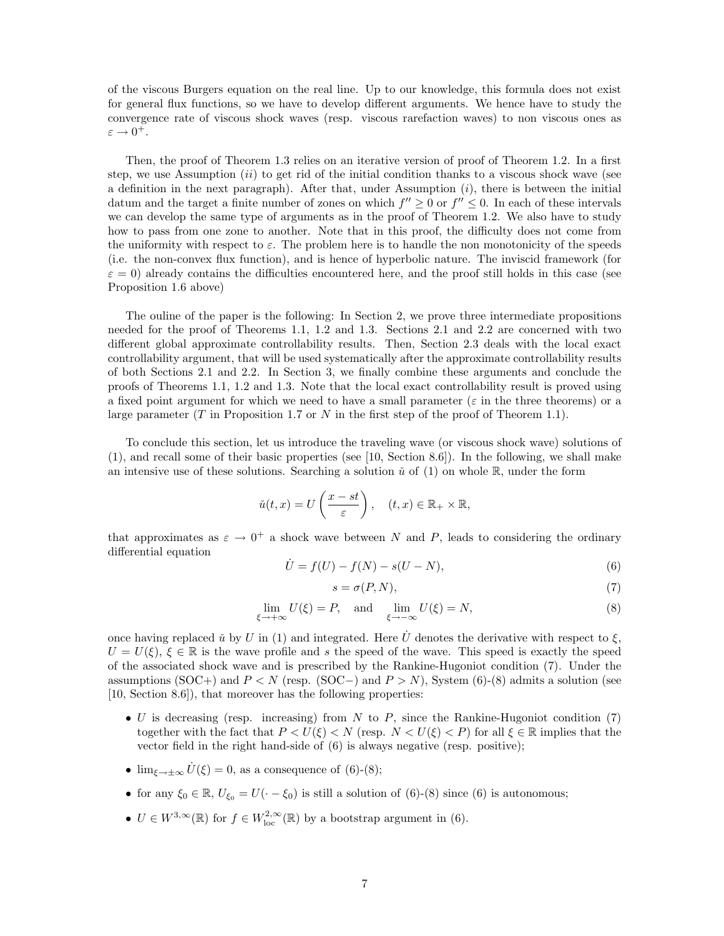of the viscous Burgers equation on the real line. Up to our knowledge, this formula does not exist for general flux functions, so we have to develop different arguments. We hence have to study the convergence rate of viscous shock waves (resp. viscous rarefaction waves) to non viscous ones as  $\varepsilon \to 0^+.$ 

Then, the proof of Theorem 1.3 relies on an iterative version of proof of Theorem 1.2. In a first step, we use Assumption  $(ii)$  to get rid of the initial condition thanks to a viscous shock wave (see a definition in the next paragraph). After that, under Assumption  $(i)$ , there is between the initial datum and the target a finite number of zones on which  $f'' \geq 0$  or  $f'' \leq 0$ . In each of these intervals we can develop the same type of arguments as in the proof of Theorem 1.2. We also have to study how to pass from one zone to another. Note that in this proof, the difficulty does not come from the uniformity with respect to  $\varepsilon$ . The problem here is to handle the non monotonicity of the speeds (i.e. the non-convex flux function), and is hence of hyperbolic nature. The inviscid framework (for  $\varepsilon = 0$ ) already contains the difficulties encountered here, and the proof still holds in this case (see Proposition 1.6 above)

The ouline of the paper is the following: In Section 2, we prove three intermediate propositions needed for the proof of Theorems 1.1, 1.2 and 1.3. Sections 2.1 and 2.2 are concerned with two different global approximate controllability results. Then, Section 2.3 deals with the local exact controllability argument, that will be used systematically after the approximate controllability results of both Sections 2.1 and 2.2. In Section 3, we finally combine these arguments and conclude the proofs of Theorems 1.1, 1.2 and 1.3. Note that the local exact controllability result is proved using a fixed point argument for which we need to have a small parameter ( $\varepsilon$  in the three theorems) or a large parameter (T in Proposition 1.7 or N in the first step of the proof of Theorem 1.1).

To conclude this section, let us introduce the traveling wave (or viscous shock wave) solutions of (1), and recall some of their basic properties (see [10, Section 8.6]). In the following, we shall make an intensive use of these solutions. Searching a solution  $\check{u}$  of (1) on whole R, under the form

$$
\check{u}(t,x) = U\left(\frac{x-st}{\varepsilon}\right), \quad (t,x) \in \mathbb{R}_+ \times \mathbb{R},
$$

that approximates as  $\varepsilon \to 0^+$  a shock wave between N and P, leads to considering the ordinary differential equation

$$
\dot{U} = f(U) - f(N) - s(U - N),\tag{6}
$$

$$
s = \sigma(P, N),\tag{7}
$$

$$
\lim_{\xi \to +\infty} U(\xi) = P, \text{ and } \lim_{\xi \to -\infty} U(\xi) = N,
$$
\n(8)

once having replaced  $\check{u}$  by U in (1) and integrated. Here  $\dot{U}$  denotes the derivative with respect to  $\xi$ ,  $U = U(\xi)$ ,  $\xi \in \mathbb{R}$  is the wave profile and s the speed of the wave. This speed is exactly the speed of the associated shock wave and is prescribed by the Rankine-Hugoniot condition (7). Under the assumptions (SOC+) and  $P \lt N$  (resp. (SOC-) and  $P > N$ ), System (6)-(8) admits a solution (see [10, Section 8.6]), that moreover has the following properties:

- U is decreasing (resp. increasing) from N to P, since the Rankine-Hugoniot condition (7) together with the fact that  $P < U(\xi) < N$  (resp.  $N < U(\xi) < P$ ) for all  $\xi \in \mathbb{R}$  implies that the vector field in the right hand-side of (6) is always negative (resp. positive);
- $\lim_{\xi \to \pm \infty} \dot{U}(\xi) = 0$ , as a consequence of (6)-(8);
- for any  $\xi_0 \in \mathbb{R}$ ,  $U_{\xi_0} = U(\cdot \xi_0)$  is still a solution of (6)-(8) since (6) is autonomous;
- $U \in W^{3,\infty}(\mathbb{R})$  for  $f \in W^{2,\infty}_{loc}(\mathbb{R})$  by a bootstrap argument in (6).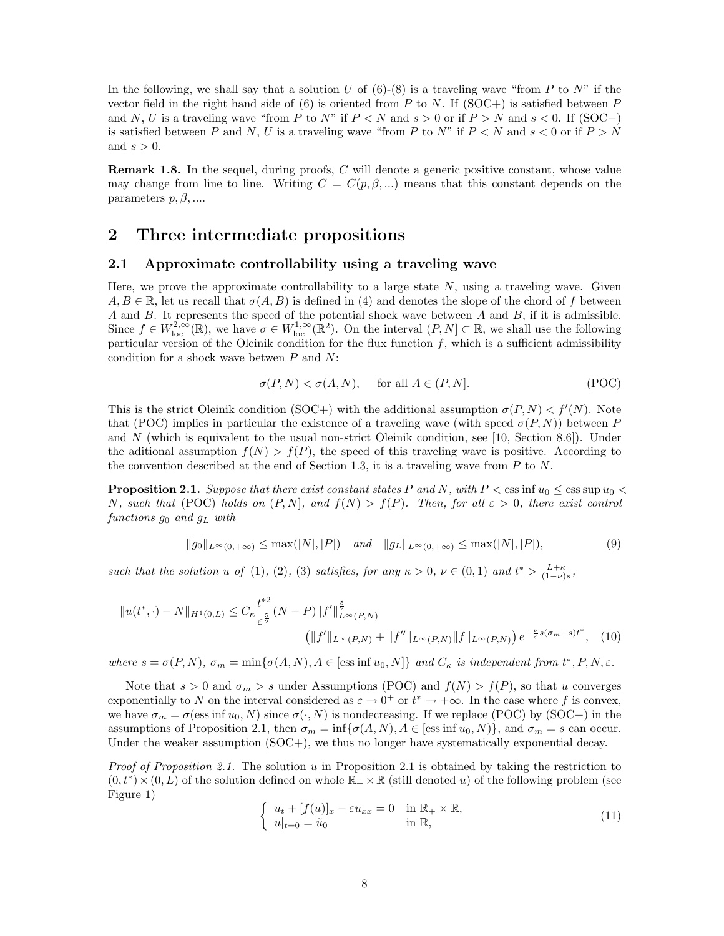In the following, we shall say that a solution U of  $(6)-(8)$  is a traveling wave "from P to N" if the vector field in the right hand side of  $(6)$  is oriented from P to N. If  $(SOC+)$  is satisfied between P and N, U is a traveling wave "from P to N" if  $P < N$  and  $s > 0$  or if  $P > N$  and  $s < 0$ . If (SOC-) is satisfied between P and N, U is a traveling wave "from P to N" if  $P \le N$  and  $s \le 0$  or if  $P > N$ and  $s > 0$ .

Remark 1.8. In the sequel, during proofs, C will denote a generic positive constant, whose value may change from line to line. Writing  $C = C(p, \beta, ...)$  means that this constant depends on the parameters  $p, \beta, \ldots$ .

# 2 Three intermediate propositions

#### 2.1 Approximate controllability using a traveling wave

Here, we prove the approximate controllability to a large state  $N$ , using a traveling wave. Given  $A, B \in \mathbb{R}$ , let us recall that  $\sigma(A, B)$  is defined in (4) and denotes the slope of the chord of f between A and B. It represents the speed of the potential shock wave between A and B, if it is admissible. Since  $f \in W^{2,\infty}_{loc}(\mathbb{R})$ , we have  $\sigma \in W^{1,\infty}_{loc}(\mathbb{R}^2)$ . On the interval  $(P, N] \subset \mathbb{R}$ , we shall use the following particular version of the Oleinik condition for the flux function  $f$ , which is a sufficient admissibility condition for a shock wave betwen  $P$  and  $N$ :

$$
\sigma(P, N) < \sigma(A, N), \quad \text{for all } A \in (P, N]. \tag{POC}
$$

This is the strict Oleinik condition (SOC+) with the additional assumption  $\sigma(P, N) < f'(N)$ . Note that (POC) implies in particular the existence of a traveling wave (with speed  $\sigma(P, N)$ ) between P and N (which is equivalent to the usual non-strict Oleinik condition, see [10, Section 8.6]). Under the aditional assumption  $f(N) > f(P)$ , the speed of this traveling wave is positive. According to the convention described at the end of Section 1.3, it is a traveling wave from  $P$  to  $N$ .

**Proposition 2.1.** Suppose that there exist constant states P and N, with  $P < \text{ess inf } u_0 < \text{ess sup } u_0 <$ N, such that (POC) holds on  $(P, N)$ , and  $f(N) > f(P)$ . Then, for all  $\varepsilon > 0$ , there exist control functions  $g_0$  and  $g_L$  with

$$
||g_0||_{L^{\infty}(0,+\infty)} \le \max(|N|,|P|) \quad \text{and} \quad ||g_L||_{L^{\infty}(0,+\infty)} \le \max(|N|,|P|),\tag{9}
$$

such that the solution u of (1), (2), (3) satisfies, for any  $\kappa > 0$ ,  $\nu \in (0,1)$  and  $t^* > \frac{L+\kappa}{(1-\nu)s}$ ,

$$
||u(t^*, \cdot) - N||_{H^1(0, L)} \leq C_{\kappa} \frac{t^{*2}}{\varepsilon^{\frac{5}{2}}} (N - P) ||f'||_{L^{\infty}(P, N)}^{\frac{5}{2}} (||f'||_{L^{\infty}(P, N)} + ||f''||_{L^{\infty}(P, N)} ||f||_{L^{\infty}(P, N)}) e^{-\frac{\nu}{\varepsilon} s(\sigma_m - s)t^*},
$$
 (10)

where  $s = \sigma(P, N)$ ,  $\sigma_m = \min{\{\sigma(A, N), A \in [\text{ess inf } u_0, N]\}}$  and  $C_{\kappa}$  is independent from  $t^*, P, N, \varepsilon$ .

Note that  $s > 0$  and  $\sigma_m > s$  under Assumptions (POC) and  $f(N) > f(P)$ , so that u converges exponentially to N on the interval considered as  $\varepsilon \to 0^+$  or  $t^* \to +\infty$ . In the case where f is convex, we have  $\sigma_m = \sigma(\text{ess inf }u_0, N)$  since  $\sigma(\cdot, N)$  is nondecreasing. If we replace (POC) by (SOC+) in the assumptions of Proposition 2.1, then  $\sigma_m = \inf \{ \sigma(A, N), A \in [\text{ess inf } u_0, N] \}$ , and  $\sigma_m = s$  can occur. Under the weaker assumption  $(SOC+)$ , we thus no longer have systematically exponential decay.

Proof of Proposition 2.1. The solution u in Proposition 2.1 is obtained by taking the restriction to  $(0, t^*) \times (0, L)$  of the solution defined on whole  $\mathbb{R}_+ \times \mathbb{R}$  (still denoted u) of the following problem (see Figure 1)

$$
\begin{cases}\n u_t + [f(u)]_x - \varepsilon u_{xx} = 0 & \text{in } \mathbb{R}_+ \times \mathbb{R}, \\
 u|_{t=0} = \tilde{u}_0 & \text{in } \mathbb{R},\n\end{cases}
$$
\n(11)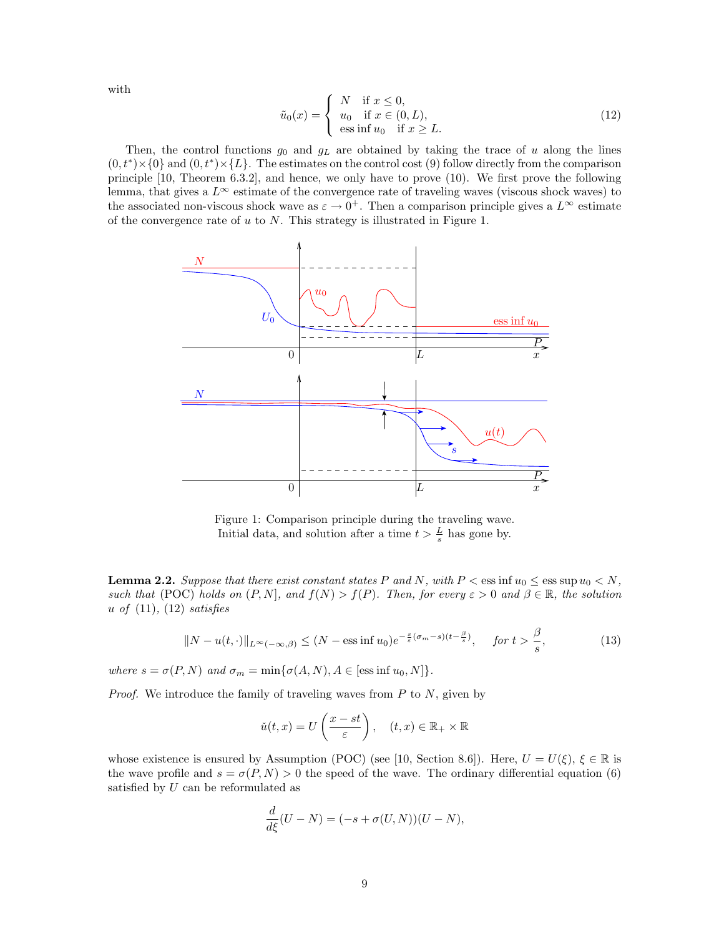with

$$
\tilde{u}_0(x) = \begin{cases}\nN & \text{if } x \le 0, \\
u_0 & \text{if } x \in (0, L), \\
\text{ess inf } u_0 & \text{if } x \ge L.\n\end{cases}
$$
\n(12)

Then, the control functions  $g_0$  and  $g_L$  are obtained by taking the trace of u along the lines  $(0, t^*) \times \{0\}$  and  $(0, t^*) \times \{L\}$ . The estimates on the control cost (9) follow directly from the comparison principle [10, Theorem 6.3.2], and hence, we only have to prove (10). We first prove the following lemma, that gives a  $L^{\infty}$  estimate of the convergence rate of traveling waves (viscous shock waves) to the associated non-viscous shock wave as  $\varepsilon \to 0^+$ . Then a comparison principle gives a  $L^{\infty}$  estimate of the convergence rate of  $u$  to  $N$ . This strategy is illustrated in Figure 1.



Figure 1: Comparison principle during the traveling wave. Initial data, and solution after a time  $t > \frac{L}{s}$  has gone by.

**Lemma 2.2.** Suppose that there exist constant states P and N, with  $P < \text{ess inf } u_0 \leq \text{ess sup } u_0 < N$ , such that (POC) holds on  $(P, N]$ , and  $f(N) > f(P)$ . Then, for every  $\varepsilon > 0$  and  $\beta \in \mathbb{R}$ , the solution u of  $(11)$ ,  $(12)$  satisfies

$$
||N - u(t, \cdot)||_{L^{\infty}(-\infty, \beta)} \le (N - \text{ess inf } u_0) e^{-\frac{s}{\varepsilon}(\sigma_m - s)(t - \frac{\beta}{s})}, \quad \text{for } t > \frac{\beta}{s},
$$
 (13)

where  $s = \sigma(P, N)$  and  $\sigma_m = \min{\{\sigma(A, N), A \in [\text{ess inf } u_0, N]\}}$ .

*Proof.* We introduce the family of traveling waves from  $P$  to  $N$ , given by

$$
\check{u}(t,x) = U\left(\frac{x-st}{\varepsilon}\right), \quad (t,x) \in \mathbb{R}_+ \times \mathbb{R}
$$

whose existence is ensured by Assumption (POC) (see [10, Section 8.6]). Here,  $U = U(\xi)$ ,  $\xi \in \mathbb{R}$  is the wave profile and  $s = \sigma(P, N) > 0$  the speed of the wave. The ordinary differential equation (6) satisfied by U can be reformulated as

$$
\frac{d}{d\xi}(U - N) = (-s + \sigma(U, N))(U - N),
$$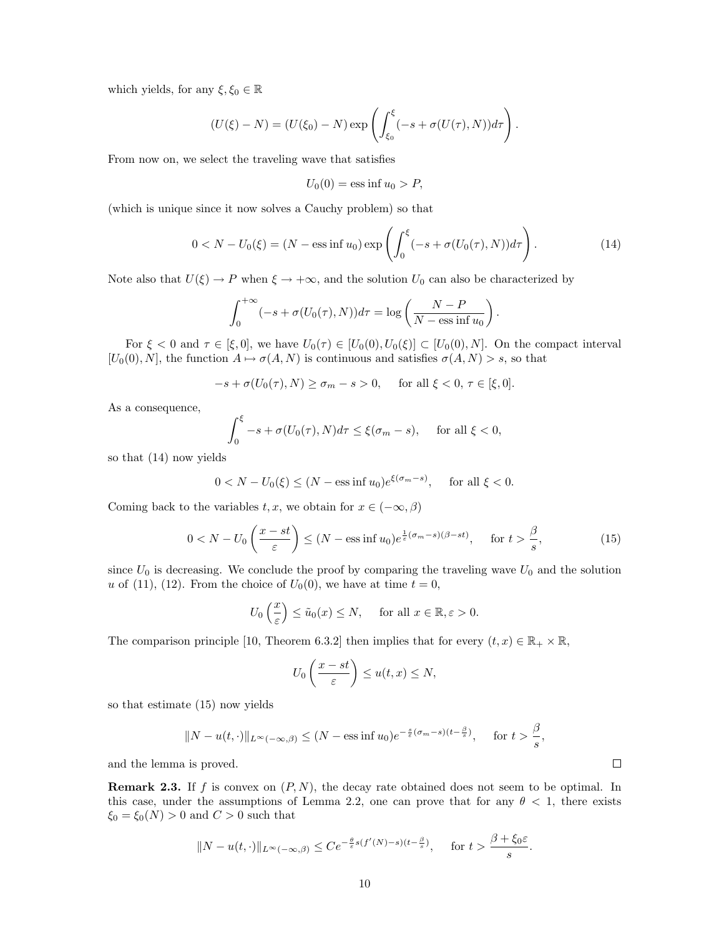which yields, for any  $\xi, \xi_0 \in \mathbb{R}$ 

$$
(U(\xi)-N)=(U(\xi_0)-N)\exp\left(\int_{\xi_0}^{\xi}(-s+\sigma(U(\tau),N))d\tau\right).
$$

From now on, we select the traveling wave that satisfies

$$
U_0(0) = \text{ess inf } u_0 > P,
$$

(which is unique since it now solves a Cauchy problem) so that

$$
0 < N - U_0(\xi) = (N - \text{ess inf } u_0) \exp\left(\int_0^{\xi} (-s + \sigma(U_0(\tau), N)) d\tau\right). \tag{14}
$$

.

Note also that  $U(\xi) \to P$  when  $\xi \to +\infty$ , and the solution  $U_0$  can also be characterized by

$$
\int_0^{+\infty} (-s + \sigma(U_0(\tau), N))d\tau = \log\left(\frac{N - P}{N - \text{ess inf }u_0}\right)
$$

For  $\xi < 0$  and  $\tau \in [\xi, 0]$ , we have  $U_0(\tau) \in [U_0(0), U_0(\xi)] \subset [U_0(0), N]$ . On the compact interval  $[U_0(0), N]$ , the function  $A \mapsto \sigma(A, N)$  is continuous and satisfies  $\sigma(A, N) > s$ , so that

$$
-s + \sigma(U_0(\tau), N) \ge \sigma_m - s > 0, \quad \text{ for all } \xi < 0, \tau \in [\xi, 0].
$$

As a consequence,

$$
\int_0^{\xi} -s + \sigma(U_0(\tau), N)d\tau \le \xi(\sigma_m - s), \quad \text{ for all } \xi < 0,
$$

so that (14) now yields

$$
0 < N - U_0(\xi) \le (N - \text{ess inf } u_0) e^{\xi(\sigma_m - s)}, \quad \text{for all } \xi < 0.
$$

Coming back to the variables  $t, x$ , we obtain for  $x \in (-\infty, \beta)$ 

$$
0 < N - U_0 \left(\frac{x - st}{\varepsilon}\right) \le (N - \text{ess inf } u_0) e^{\frac{1}{\varepsilon}(\sigma_m - s)(\beta - st)}, \quad \text{for } t > \frac{\beta}{s},\tag{15}
$$

since  $U_0$  is decreasing. We conclude the proof by comparing the traveling wave  $U_0$  and the solution u of (11), (12). From the choice of  $U_0(0)$ , we have at time  $t = 0$ ,

$$
U_0\left(\frac{x}{\varepsilon}\right) \le \tilde{u}_0(x) \le N
$$
, for all  $x \in \mathbb{R}, \varepsilon > 0$ .

The comparison principle [10, Theorem 6.3.2] then implies that for every  $(t, x) \in \mathbb{R}_+ \times \mathbb{R}$ ,

$$
U_0\left(\frac{x-st}{\varepsilon}\right)\leq u(t,x)\leq N,
$$

so that estimate (15) now yields

$$
||N - u(t, \cdot)||_{L^{\infty}(-\infty, \beta)} \le (N - \text{ess inf } u_0) e^{-\frac{s}{\varepsilon}(\sigma_m - s)(t - \frac{\beta}{s})}, \quad \text{for } t > \frac{\beta}{s},
$$

and the lemma is proved.

**Remark 2.3.** If f is convex on  $(P, N)$ , the decay rate obtained does not seem to be optimal. In this case, under the assumptions of Lemma 2.2, one can prove that for any  $\theta < 1$ , there exists  $\xi_0 = \xi_0(N) > 0$  and  $C > 0$  such that

$$
||N - u(t, \cdot)||_{L^{\infty}(-\infty, \beta)} \leq Ce^{-\frac{\theta}{\varepsilon}s(f'(N) - s)(t - \frac{\beta}{s})}, \quad \text{for } t > \frac{\beta + \xi_0 \varepsilon}{s}.
$$

 $\Box$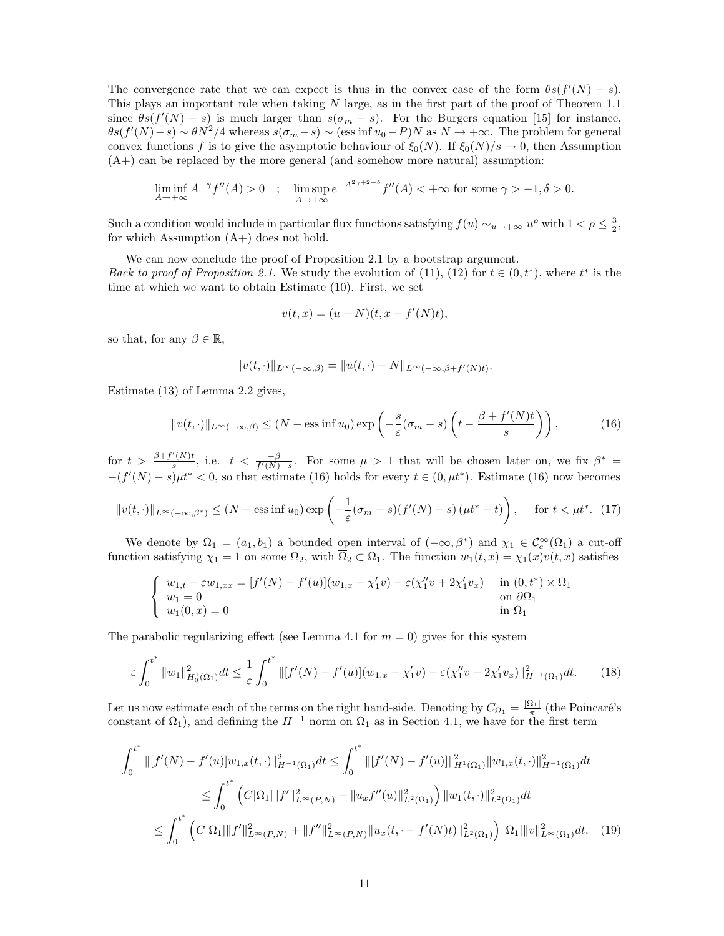The convergence rate that we can expect is thus in the convex case of the form  $\theta s(f'(N) - s)$ . This plays an important role when taking N large, as in the first part of the proof of Theorem 1.1 since  $\theta s(f'(N) - s)$  is much larger than  $s(\sigma_m - s)$ . For the Burgers equation [15] for instance,  $\theta s(f'(N)-s) \sim \theta N^2/4$  whereas  $s(\sigma_m-s) \sim$  (ess inf  $u_0-P/N$  as  $N \to +\infty$ . The problem for general convex functions f is to give the asymptotic behaviour of  $\xi_0(N)$ . If  $\xi_0(N)/s \to 0$ , then Assumption  $(A+)$  can be replaced by the more general (and somehow more natural) assumption:

$$
\liminf_{A \to +\infty} A^{-\gamma} f''(A) > 0 \quad ; \quad \limsup_{A \to +\infty} e^{-A^{2\gamma + 2 - \delta}} f''(A) < +\infty \text{ for some } \gamma > -1, \delta > 0.
$$

Such a condition would include in particular flux functions satisfying  $f(u) \sim_{u \to +\infty} u^{\rho}$  with  $1 < \rho \leq \frac{3}{2}$ , for which Assumption  $(A+)$  does not hold.

We can now conclude the proof of Proposition 2.1 by a bootstrap argument. Back to proof of Proposition 2.1. We study the evolution of (11), (12) for  $t \in (0, t^*)$ , where  $t^*$  is the time at which we want to obtain Estimate (10). First, we set

$$
v(t,x) = (u - N)(t, x + f'(N)t),
$$

so that, for any  $\beta \in \mathbb{R}$ ,

$$
||v(t,\cdot)||_{L^{\infty}(-\infty,\beta)}=||u(t,\cdot)-N||_{L^{\infty}(-\infty,\beta+f'(N)t)}.
$$

Estimate (13) of Lemma 2.2 gives,

$$
||v(t, \cdot)||_{L^{\infty}(-\infty, \beta)} \le (N - \text{ess inf } u_0) \exp\left(-\frac{s}{\varepsilon}(\sigma_m - s)\left(t - \frac{\beta + f'(N)t}{s}\right)\right),\tag{16}
$$

for  $t > \frac{\beta + f'(N)t}{s}$  $\frac{f'(N)t}{s}$ , i.e.  $t < \frac{-\beta}{f'(N)-s}$ . For some  $\mu > 1$  that will be chosen later on, we fix  $\beta^* =$  $-(f'(N) - s)\mu t^* < 0$ , so that estimate (16) holds for every  $t \in (0, \mu t^*)$ . Estimate (16) now becomes

$$
||v(t, \cdot)||_{L^{\infty}(-\infty, \beta^{*})} \leq (N - \text{ess inf } u_0) \exp\left(-\frac{1}{\varepsilon}(\sigma_m - s)(f'(N) - s)(\mu t^* - t)\right), \quad \text{for } t < \mu t^*.
$$
 (17)

We denote by  $\Omega_1 = (a_1, b_1)$  a bounded open interval of  $(-\infty, \beta^*)$  and  $\chi_1 \in C_c^{\infty}(\Omega_1)$  a cut-off function satisfying  $\chi_1 = 1$  on some  $\Omega_2$ , with  $\overline{\Omega}_2 \subset \Omega_1$ . The function  $w_1(t, x) = \chi_1(x)v(t, x)$  satisfies

$$
\begin{cases}\nw_{1,t} - \varepsilon w_{1,xx} = [f'(N) - f'(u)](w_{1,x} - \chi'_1 v) - \varepsilon (\chi''_1 v + 2\chi'_1 v_x) & \text{in } (0,t^*) \times \Omega_1 \\
w_1 = 0 & \text{on } \partial\Omega_1 \\
w_1(0,x) = 0 & \text{in } \Omega_1\n\end{cases}
$$

The parabolic regularizing effect (see Lemma 4.1 for  $m = 0$ ) gives for this system

$$
\varepsilon \int_0^{t^*} \|w_1\|_{H_0^1(\Omega_1)}^2 dt \le \frac{1}{\varepsilon} \int_0^{t^*} \| [f'(N) - f'(u)](w_{1,x} - \chi'_1 v) - \varepsilon (\chi''_1 v + 2\chi'_1 v_x) \|_{H^{-1}(\Omega_1)}^2 dt. \tag{18}
$$

Let us now estimate each of the terms on the right hand-side. Denoting by  $C_{\Omega_1} = \frac{|\Omega_1|}{\pi}$  (the Poincaré's constant of  $\Omega_1$ ), and defining the  $H^{-1}$  norm on  $\Omega_1$  as in Section 4.1, we have for the first term

$$
\int_{0}^{t^{*}} \left\| [f'(N) - f'(u)] w_{1,x}(t, \cdot) \right\|_{H^{-1}(\Omega_{1})}^{2} dt \leq \int_{0}^{t^{*}} \left\| [f'(N) - f'(u)] \right\|_{H^{1}(\Omega_{1})}^{2} \left\| w_{1,x}(t, \cdot) \right\|_{H^{-1}(\Omega_{1})}^{2} dt
$$
\n
$$
\leq \int_{0}^{t^{*}} \left( C|\Omega_{1}| \|f'\|_{L^{\infty}(P,N)}^{2} + \|u_{x}f''(u)\|_{L^{2}(\Omega_{1})}^{2} \right) \left\| w_{1}(t, \cdot) \right\|_{L^{2}(\Omega_{1})}^{2} dt
$$
\n
$$
\leq \int_{0}^{t^{*}} \left( C|\Omega_{1}| \|f'\|_{L^{\infty}(P,N)}^{2} + \|f''\|_{L^{\infty}(P,N)}^{2} \left\| u_{x}(t, \cdot + f'(N)t) \right\|_{L^{2}(\Omega_{1})}^{2} \right) |\Omega_{1}| \|v\|_{L^{\infty}(\Omega_{1})}^{2} dt. \quad (19)
$$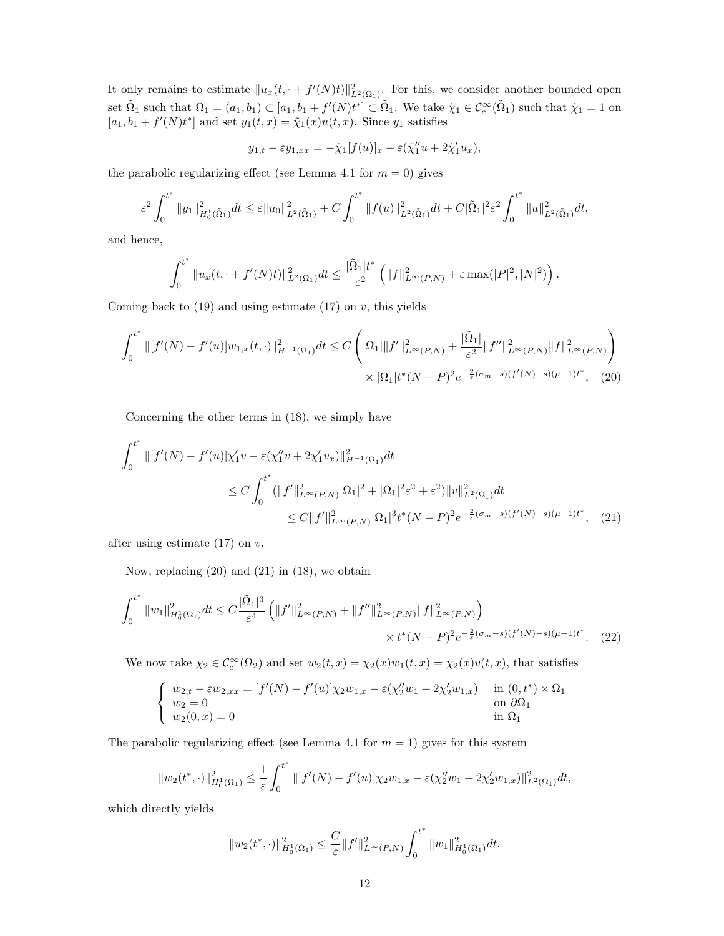It only remains to estimate  $||u_x(t, \cdot + f'(N)t)||^2_{L^2(\Omega_1)}$ . For this, we consider another bounded open set  $\tilde{\Omega}_1$  such that  $\Omega_1 = (a_1, b_1) \subset [a_1, b_1 + f'(N)t^*] \subset \tilde{\Omega}_1$ . We take  $\tilde{\chi}_1 \in C_c^{\infty}(\tilde{\Omega}_1)$  such that  $\tilde{\chi}_1 = 1$  on  $[a_1, b_1 + f'(N)t^*]$  and set  $y_1(t, x) = \tilde{\chi}_1(x)u(t, x)$ . Since  $y_1$  satisfies

$$
y_{1,t} - \varepsilon y_{1,xx} = -\tilde{\chi}_1[f(u)]_x - \varepsilon(\tilde{\chi}_1'' u + 2\tilde{\chi}_1' u_x),
$$

the parabolic regularizing effect (see Lemma 4.1 for  $m = 0$ ) gives

$$
\varepsilon^2 \int_0^{t^*} \|y_1\|_{H_0^1(\tilde{\Omega}_1)}^2 dt \leq \varepsilon \|u_0\|_{L^2(\tilde{\Omega}_1)}^2 + C \int_0^{t^*} \|f(u)\|_{L^2(\tilde{\Omega}_1)}^2 dt + C |\tilde{\Omega}_1|^2 \varepsilon^2 \int_0^{t^*} \|u\|_{L^2(\tilde{\Omega}_1)}^2 dt,
$$

and hence,

$$
\int_0^{t^*} \|u_x(t, \cdot + f'(N)t)\|_{L^2(\Omega_1)}^2 dt \le \frac{|\tilde{\Omega}_1| t^*}{\varepsilon^2} \left( \|f\|_{L^\infty(P,N)}^2 + \varepsilon \max(|P|^2, |N|^2) \right).
$$

Coming back to  $(19)$  and using estimate  $(17)$  on v, this yields

$$
\int_0^{t^*} ||[f'(N) - f'(u)]w_{1,x}(t, \cdot)||_{H^{-1}(\Omega_1)}^2 dt \le C \left( |\Omega_1| ||f'||_{L^\infty(P,N)}^2 + \frac{|\tilde{\Omega}_1|}{\varepsilon^2} ||f''||_{L^\infty(P,N)}^2 ||f||_{L^\infty(P,N)}^2 \right) \times |\Omega_1| t^*(N-P)^2 e^{-\frac{2}{\varepsilon}(\sigma_m - s)(f'(N) - s)(\mu - 1)t^*}, \tag{20}
$$

Concerning the other terms in (18), we simply have

$$
\int_{0}^{t^{*}} \left\| [f'(N) - f'(u)] \chi_{1}^{'} v - \varepsilon (\chi_{1}^{''} v + 2\chi_{1}^{'} v_{x}) \right\|_{H^{-1}(\Omega_{1})}^{2} dt
$$
\n
$$
\leq C \int_{0}^{t^{*}} (\|f'\|_{L^{\infty}(P,N)}^{2} |\Omega_{1}|^{2} + |\Omega_{1}|^{2} \varepsilon^{2} + \varepsilon^{2}) \|v\|_{L^{2}(\Omega_{1})}^{2} dt
$$
\n
$$
\leq C \|f'\|_{L^{\infty}(P,N)}^{2} |\Omega_{1}|^{3} t^{*} (N-P)^{2} e^{-\frac{2}{\varepsilon} (\sigma_{m}-s) (f'(N)-s) (\mu-1) t^{*}}, \quad (21)
$$

after using estimate  $(17)$  on v.

Now, replacing (20) and (21) in (18), we obtain

$$
\int_0^{t^*} \|w_1\|_{H_0^1(\Omega_1)}^2 dt \le C \frac{|\tilde{\Omega}_1|^3}{\varepsilon^4} \left( \|f'\|_{L^\infty(P,N)}^2 + \|f''\|_{L^\infty(P,N)}^2 \|f\|_{L^\infty(P,N)}^2 \right) \times t^*(N-P)^2 e^{-\frac{2}{\varepsilon}(\sigma_m - s)(f'(N) - s)(\mu - 1)t^*}. \tag{22}
$$

We now take  $\chi_2 \in C_c^{\infty}(\Omega_2)$  and set  $w_2(t,x) = \chi_2(x)w_1(t,x) = \chi_2(x)v(t,x)$ , that satisfies

$$
\begin{cases}\nw_{2,t} - \varepsilon w_{2,xx} = [f'(N) - f'(u)] \chi_2 w_{1,x} - \varepsilon (\chi_2'' w_1 + 2 \chi_2' w_{1,x}) & \text{in } (0, t^*) \times \Omega_1 \\
w_2 = 0 & \text{on } \partial \Omega_1 \\
w_2(0, x) = 0 & \text{in } \Omega_1\n\end{cases}
$$

The parabolic regularizing effect (see Lemma 4.1 for  $m = 1$ ) gives for this system

$$
||w_2(t^*,\cdot)||^2_{H_0^1(\Omega_1)} \leq \frac{1}{\varepsilon} \int_0^{t^*} ||[f'(N) - f'(u)]\chi_2 w_{1,x} - \varepsilon(\chi_2''w_1 + 2\chi_2'w_{1,x})||^2_{L^2(\Omega_1)}dt,
$$

which directly yields

$$
||w_2(t^*,\cdot)||^2_{H^1_0(\Omega_1)}\leq \frac{C}{\varepsilon}||f'||^2_{L^\infty(P,N)}\int_0^{t^*}||w_1||^2_{H^1_0(\Omega_1)}dt.
$$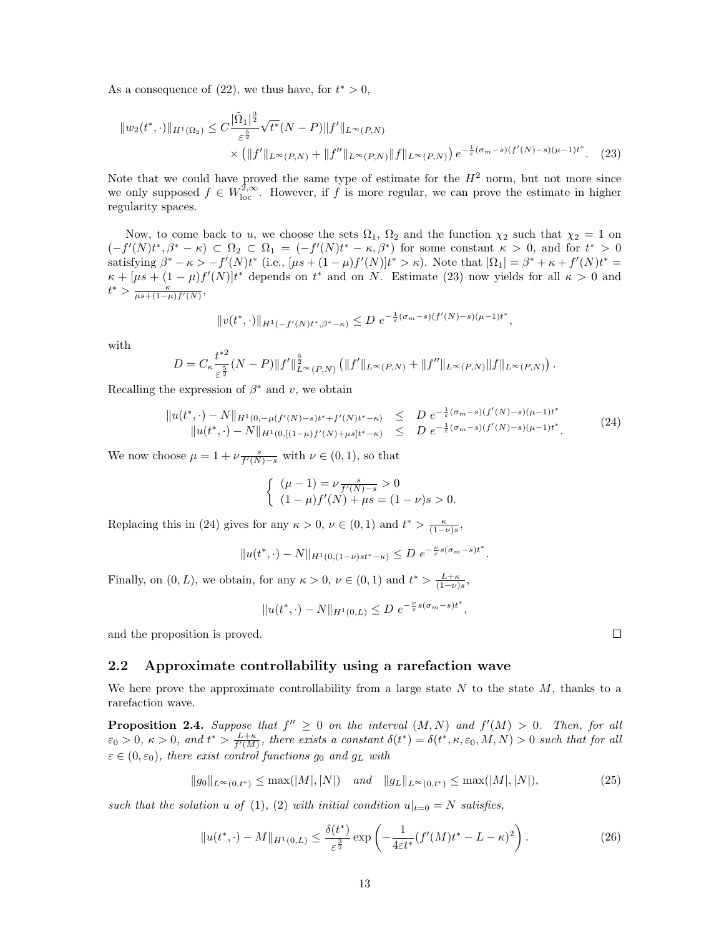As a consequence of  $(22)$ , we thus have, for  $t^* > 0$ ,

$$
||w_2(t^*,\cdot)||_{H^1(\Omega_2)} \leq C \frac{|\tilde{\Omega}_1|^{\frac{3}{2}}}{\varepsilon^{\frac{5}{2}}} \sqrt{t^*}(N-P)||f'||_{L^{\infty}(P,N)}
$$
  
 
$$
\times (||f'||_{L^{\infty}(P,N)} + ||f''||_{L^{\infty}(P,N)} ||f||_{L^{\infty}(P,N)}) e^{-\frac{1}{\varepsilon}(\sigma_m - s)(f'(N) - s)(\mu - 1)t^*}. \tag{23}
$$

Note that we could have proved the same type of estimate for the  $H^2$  norm, but not more since we only supposed  $f \in W^{2,\infty}_{loc}$ . However, if f is more regular, we can prove the estimate in higher regularity spaces.

Now, to come back to u, we choose the sets  $\Omega_1$ ,  $\Omega_2$  and the function  $\chi_2$  such that  $\chi_2 = 1$  on  $(-f'(N)t^*,\beta^*-\kappa) \subset \Omega_2 \subset \Omega_1 = (-f'(N)t^*-\kappa,\beta^*)$  for some constant  $\kappa > 0$ , and for  $t^* > 0$ satisfying  $\beta^* - \kappa > -f'(N)t^*$  (i.e.,  $[\mu s + (1 - \mu)f'(N)]t^* > \kappa$ ). Note that  $|\Omega_1| = \beta^* + \kappa + f'(N)t^* =$  $\kappa + [\mu s + (1 - \mu)f'(N)]t^*$  depends on  $t^*$  and on N. Estimate (23) now yields for all  $\kappa > 0$  and  $t^* > \frac{\kappa}{\mu s + (1-\mu)f'(N)},$ 

$$
||v(t^*,\cdot)||_{H^1(-f'(N)t^*,\beta^*-\kappa)} \le D e^{-\frac{1}{\varepsilon}(\sigma_m-s)(f'(N)-s)(\mu-1)t^*},
$$

with

$$
D = C_{\kappa} \frac{t^{*2}}{\varepsilon^{\frac{5}{2}}} (N - P) \|f'\|_{L^{\infty}(P,N)}^{\frac{5}{2}} (\|f'\|_{L^{\infty}(P,N)} + \|f''\|_{L^{\infty}(P,N)} \|f\|_{L^{\infty}(P,N)}).
$$

Recalling the expression of  $\beta^*$  and v, we obtain

$$
\|u(t^*, \cdot) - N\|_{H^1(0, -\mu(f'(N)-s)t^* + f'(N)t^* - \kappa)} \le D e^{-\frac{1}{\varepsilon}(\sigma_m - s)(f'(N)-s)(\mu - 1)t^*} \|u(t^*, \cdot) - N\|_{H^1(0, [(1-\mu)f'(N)+\mu s]t^* - \kappa)} \le D e^{-\frac{1}{\varepsilon}(\sigma_m - s)(f'(N)-s)(\mu - 1)t^*}.
$$
\n(24)

We now choose  $\mu = 1 + \nu \frac{s}{f'(N)-s}$  with  $\nu \in (0,1)$ , so that

$$
\begin{cases} (\mu - 1) = \nu \frac{s}{f'(N) - s} > 0 \\ (1 - \mu)f'(N) + \mu s = (1 - \nu)s > 0. \end{cases}
$$

Replacing this in (24) gives for any  $\kappa > 0$ ,  $\nu \in (0,1)$  and  $t^* > \frac{\kappa}{(1-\nu)s}$ ,

$$
||u(t^*, \cdot) - N||_{H^1(0, (1-\nu)st^*-\kappa)} \le D e^{-\frac{\nu}{\varepsilon} s(\sigma_m - s)t^*}.
$$

Finally, on  $(0, L)$ , we obtain, for any  $\kappa > 0$ ,  $\nu \in (0, 1)$  and  $t^* > \frac{L+\kappa}{(1-\nu)s}$ ,

$$
||u(t^*, \cdot) - N||_{H^1(0,L)} \le D e^{-\frac{\nu}{\varepsilon} s(\sigma_m - s)t^*},
$$

and the proposition is proved.

#### 2.2 Approximate controllability using a rarefaction wave

We here prove the approximate controllability from a large state  $N$  to the state  $M$ , thanks to a rarefaction wave.

**Proposition 2.4.** Suppose that  $f'' \geq 0$  on the interval  $(M, N)$  and  $f'(M) > 0$ . Then, for all  $\varepsilon_0 > 0$ ,  $\kappa > 0$ , and  $t^* > \frac{L+\kappa}{f'(M)}$ , there exists a constant  $\delta(t^*) = \delta(t^*, \kappa, \varepsilon_0, M, N) > 0$  such that for all  $\varepsilon \in (0, \varepsilon_0)$ , there exist control functions  $g_0$  and  $g_L$  with

$$
||g_0||_{L^{\infty}(0,t^*)} \le \max(|M|,|N|) \quad \text{and} \quad ||g_L||_{L^{\infty}(0,t^*)} \le \max(|M|,|N|),\tag{25}
$$

such that the solution u of (1), (2) with initial condition  $u|_{t=0} = N$  satisfies,

$$
||u(t^*, \cdot) - M||_{H^1(0, L)} \le \frac{\delta(t^*)}{\varepsilon^{\frac{3}{2}}} \exp\left(-\frac{1}{4\varepsilon t^*} (f'(M)t^* - L - \kappa)^2\right).
$$
 (26)

 $\Box$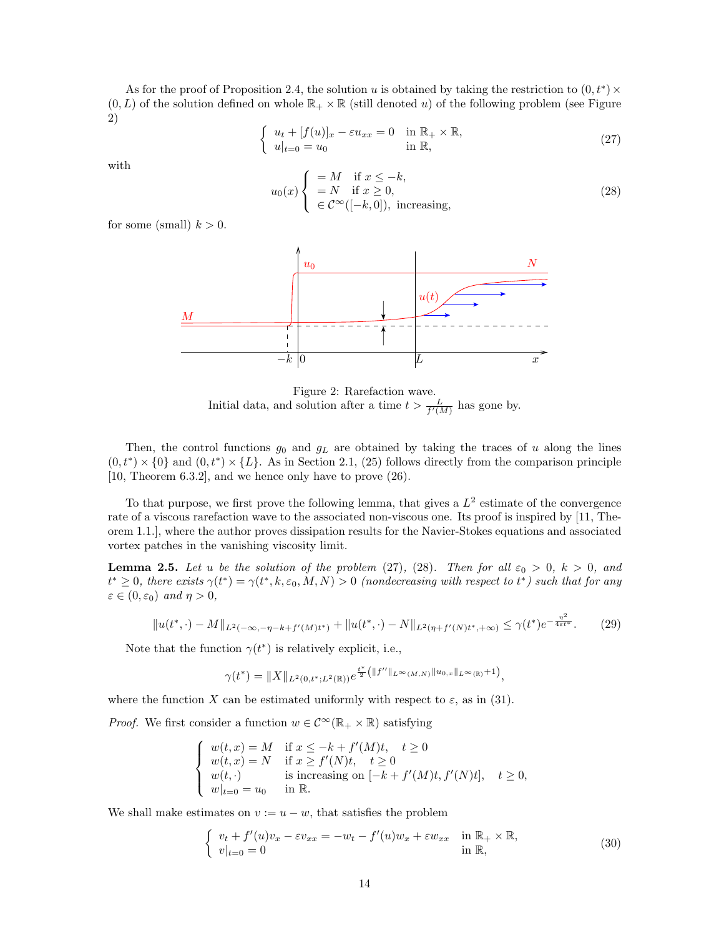As for the proof of Proposition 2.4, the solution u is obtained by taking the restriction to  $(0, t^*) \times$  $(0, L)$  of the solution defined on whole  $\mathbb{R}_+ \times \mathbb{R}$  (still denoted u) of the following problem (see Figure 2)

$$
\begin{cases}\n u_t + [f(u)]_x - \varepsilon u_{xx} = 0 & \text{in } \mathbb{R}_+ \times \mathbb{R}, \\
 u|_{t=0} = u_0 & \text{in } \mathbb{R},\n\end{cases}
$$
\n(27)

with

$$
u_0(x) \begin{cases} = M & \text{if } x \leq -k, \\ = N & \text{if } x \geq 0, \\ \in \mathcal{C}^{\infty}([-k, 0]), \text{ increasing,} \end{cases}
$$
 (28)

for some (small)  $k > 0$ .



Figure 2: Rarefaction wave. Initial data, and solution after a time  $t > \frac{L}{f'(M)}$  has gone by.

Then, the control functions  $g_0$  and  $g_L$  are obtained by taking the traces of u along the lines  $(0, t^*) \times \{0\}$  and  $(0, t^*) \times \{L\}$ . As in Section 2.1, (25) follows directly from the comparison principle [10, Theorem 6.3.2], and we hence only have to prove (26).

To that purpose, we first prove the following lemma, that gives a  $L^2$  estimate of the convergence rate of a viscous rarefaction wave to the associated non-viscous one. Its proof is inspired by [11, Theorem 1.1.], where the author proves dissipation results for the Navier-Stokes equations and associated vortex patches in the vanishing viscosity limit.

**Lemma 2.5.** Let u be the solution of the problem (27), (28). Then for all  $\varepsilon_0 > 0$ ,  $k > 0$ , and  $t^* \geq 0$ , there exists  $\gamma(t^*) = \gamma(t^*, k, \varepsilon_0, M, N) > 0$  (nondecreasing with respect to  $t^*$ ) such that for any  $\varepsilon \in (0, \varepsilon_0)$  and  $\eta > 0$ ,

$$
||u(t^*, \cdot) - M||_{L^2(-\infty, -\eta - k + f'(M)t^*)} + ||u(t^*, \cdot) - N||_{L^2(\eta + f'(N)t^*, +\infty)} \le \gamma(t^*)e^{-\frac{\eta^2}{4\epsilon t^*}}.
$$
 (29)

Note that the function  $\gamma(t^*)$  is relatively explicit, i.e.,

$$
\gamma(t^*) = \|X\|_{L^2(0,t^*;L^2(\mathbb{R}))} e^{\frac{t^*}{2}(\|f''\|_{L^\infty(M,N)}\|u_{0,x}\|_{L^\infty(\mathbb{R})}+1)},
$$

where the function X can be estimated uniformly with respect to  $\varepsilon$ , as in (31).

*Proof.* We first consider a function  $w \in C^{\infty}(\mathbb{R}_+ \times \mathbb{R})$  satisfying

$$
\label{eq:2.1} \left\{ \begin{array}{ll} w(t,x)=M & \text{if } x\leq -k+f'(M)t, \quad t\geq 0\\ w(t,x)=N & \text{if } x\geq f'(N)t, \quad t\geq 0\\ w(t,\cdot) & \text{is increasing on }[-k+f'(M)t,f'(N)t], \quad t\geq 0,\\ w|_{t=0}=u_0 & \text{in }\mathbb{R}. \end{array} \right.
$$

We shall make estimates on  $v := u - w$ , that satisfies the problem

$$
\begin{cases}\nv_t + f'(u)v_x - \varepsilon v_{xx} = -w_t - f'(u)w_x + \varepsilon w_{xx} & \text{in } \mathbb{R}_+ \times \mathbb{R}, \\
v|_{t=0} = 0 & \text{in } \mathbb{R},\n\end{cases}
$$
\n(30)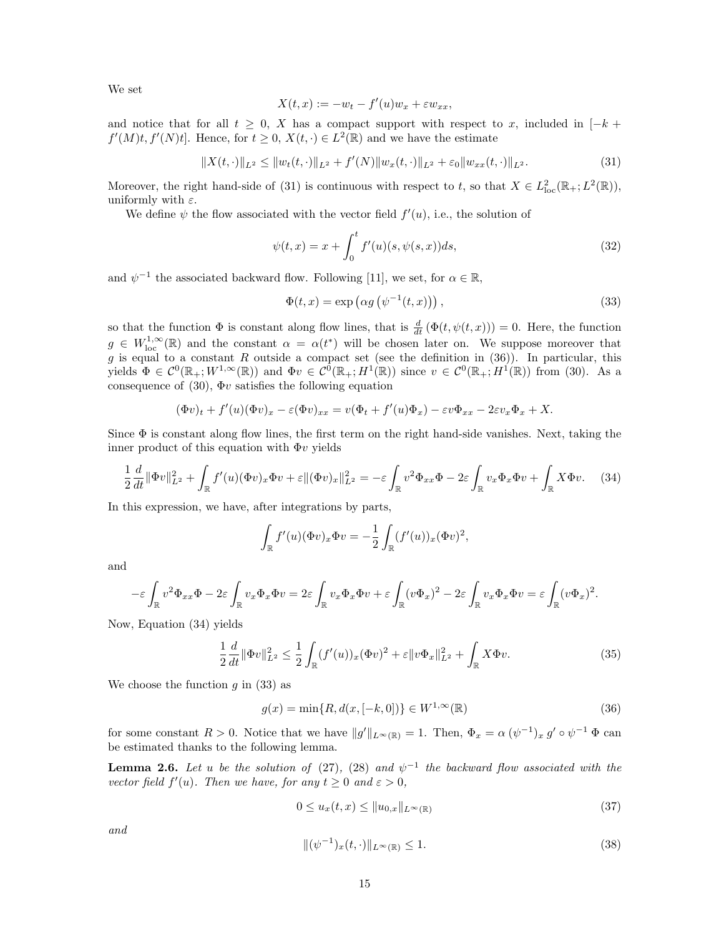We set

$$
X(t,x) := -w_t - f'(u)w_x + \varepsilon w_{xx},
$$

and notice that for all  $t \geq 0$ , X has a compact support with respect to x, included in  $[-k + 1]$  $f'(M)t, f'(N)t$ . Hence, for  $t \geq 0, X(t, \cdot) \in L^2(\mathbb{R})$  and we have the estimate

$$
||X(t,\cdot)||_{L^2} \le ||w_t(t,\cdot)||_{L^2} + f'(N)||w_x(t,\cdot)||_{L^2} + \varepsilon_0 ||w_{xx}(t,\cdot)||_{L^2}.
$$
\n(31)

Moreover, the right hand-side of (31) is continuous with respect to t, so that  $X \in L^2_{loc}(\mathbb{R}_+; L^2(\mathbb{R}))$ , uniformly with  $\varepsilon$ .

We define  $\psi$  the flow associated with the vector field  $f'(u)$ , i.e., the solution of

$$
\psi(t,x) = x + \int_0^t f'(u)(s, \psi(s,x))ds,
$$
\n(32)

and  $\psi^{-1}$  the associated backward flow. Following [11], we set, for  $\alpha \in \mathbb{R}$ ,

$$
\Phi(t,x) = \exp\left(\alpha g\left(\psi^{-1}(t,x)\right)\right),\tag{33}
$$

so that the function  $\Phi$  is constant along flow lines, that is  $\frac{d}{dt}(\Phi(t,\psi(t,x)))=0$ . Here, the function  $g \in W^{1,\infty}_{loc}(\mathbb{R})$  and the constant  $\alpha = \alpha(t^*)$  will be chosen later on. We suppose moreover that g is equal to a constant R outside a compact set (see the definition in  $(36)$ ). In particular, this yields  $\Phi \in C^0(\mathbb{R}_+; W^{1,\infty}(\mathbb{R}))$  and  $\Phi v \in C^0(\mathbb{R}_+; H^1(\mathbb{R}))$  since  $v \in C^0(\mathbb{R}_+; H^1(\mathbb{R}))$  from (30). As a consequence of (30),  $\Phi v$  satisfies the following equation

$$
(\Phi v)_t + f'(u)(\Phi v)_x - \varepsilon (\Phi v)_{xx} = v(\Phi_t + f'(u)\Phi_x) - \varepsilon v \Phi_{xx} - 2\varepsilon v_x \Phi_x + X.
$$

Since  $\Phi$  is constant along flow lines, the first term on the right hand-side vanishes. Next, taking the inner product of this equation with  $\Phi v$  yields

$$
\frac{1}{2}\frac{d}{dt}\|\Phi v\|_{L^2}^2 + \int_{\mathbb{R}}f'(u)(\Phi v)_x\Phi v + \varepsilon \|(\Phi v)_x\|_{L^2}^2 = -\varepsilon \int_{\mathbb{R}}v^2\Phi_{xx}\Phi - 2\varepsilon \int_{\mathbb{R}}v_x\Phi_x\Phi v + \int_{\mathbb{R}}X\Phi v. \tag{34}
$$

In this expression, we have, after integrations by parts,

$$
\int_{\mathbb{R}} f'(u)(\Phi v)_x \Phi v = -\frac{1}{2} \int_{\mathbb{R}} (f'(u))_x (\Phi v)^2,
$$

and

$$
-\varepsilon \int_{\mathbb{R}} v^2 \Phi_{xx} \Phi - 2\varepsilon \int_{\mathbb{R}} v_x \Phi_x \Phi v = 2\varepsilon \int_{\mathbb{R}} v_x \Phi_x \Phi v + \varepsilon \int_{\mathbb{R}} (v \Phi_x)^2 - 2\varepsilon \int_{\mathbb{R}} v_x \Phi_x \Phi v = \varepsilon \int_{\mathbb{R}} (v \Phi_x)^2.
$$

Now, Equation (34) yields

$$
\frac{1}{2}\frac{d}{dt}\|\Phi v\|_{L^2}^2 \le \frac{1}{2}\int_{\mathbb{R}} (f'(u))_x (\Phi v)^2 + \varepsilon \|v\Phi_x\|_{L^2}^2 + \int_{\mathbb{R}} X\Phi v.
$$
\n(35)

We choose the function q in  $(33)$  as

$$
g(x) = \min\{R, d(x, [-k, 0])\} \in W^{1, \infty}(\mathbb{R})
$$
\n(36)

for some constant  $R > 0$ . Notice that we have  $||g'||_{L^{\infty}(\mathbb{R})} = 1$ . Then,  $\Phi_x = \alpha (\psi^{-1})_x g' \circ \psi^{-1} \Phi$  can be estimated thanks to the following lemma.

**Lemma 2.6.** Let u be the solution of (27), (28) and  $\psi^{-1}$  the backward flow associated with the vector field  $f'(u)$ . Then we have, for any  $t \geq 0$  and  $\varepsilon > 0$ ,

$$
0 \le u_x(t, x) \le ||u_{0,x}||_{L^\infty(\mathbb{R})} \tag{37}
$$

and

$$
\|(\psi^{-1})_x(t,\cdot)\|_{L^\infty(\mathbb{R})} \le 1. \tag{38}
$$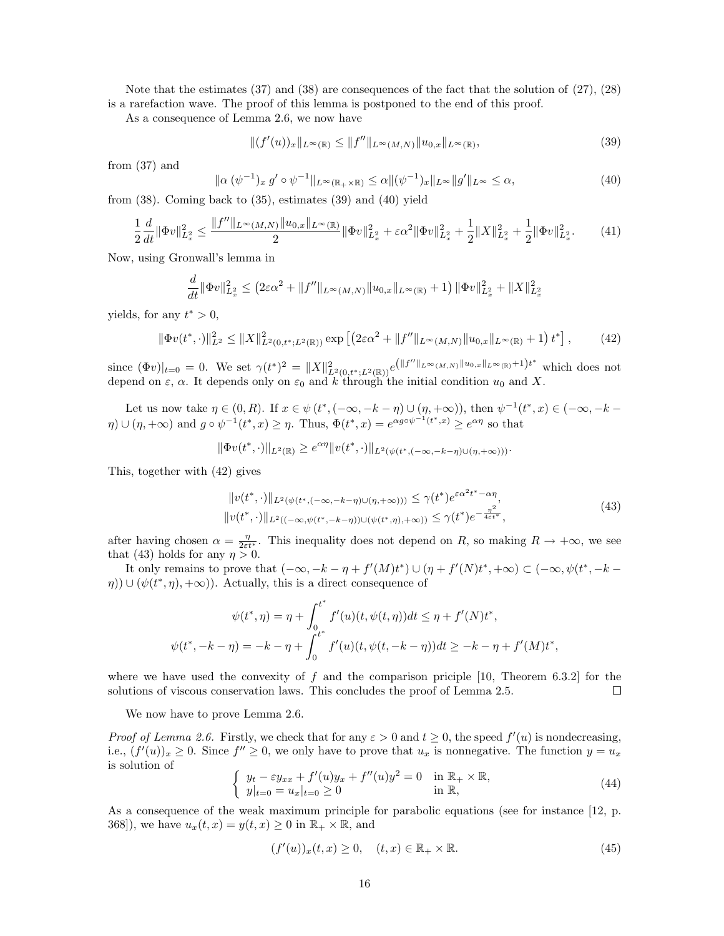Note that the estimates (37) and (38) are consequences of the fact that the solution of (27), (28) is a rarefaction wave. The proof of this lemma is postponed to the end of this proof.

As a consequence of Lemma 2.6, we now have

$$
||(f'(u))_x||_{L^{\infty}(\mathbb{R})} \le ||f''||_{L^{\infty}(M,N)}||u_{0,x}||_{L^{\infty}(\mathbb{R})},
$$
\n(39)

from (37) and

$$
\|\alpha(\psi^{-1})_x g' \circ \psi^{-1}\|_{L^\infty(\mathbb{R}_+\times\mathbb{R})} \le \alpha \|(\psi^{-1})_x\|_{L^\infty} \|g'\|_{L^\infty} \le \alpha,
$$
\n(40)

from (38). Coming back to (35), estimates (39) and (40) yield

$$
\frac{1}{2}\frac{d}{dt}\|\Phi v\|_{L_x^2}^2 \le \frac{\|f''\|_{L^\infty(M,N)}\|u_{0,x}\|_{L^\infty(\mathbb{R})}}{2}\|\Phi v\|_{L_x^2}^2 + \varepsilon\alpha^2\|\Phi v\|_{L_x^2}^2 + \frac{1}{2}\|X\|_{L_x^2}^2 + \frac{1}{2}\|\Phi v\|_{L_x^2}^2. \tag{41}
$$

Now, using Gronwall's lemma in

$$
\frac{d}{dt} \|\Phi v\|_{L_x^2}^2 \le (2\varepsilon\alpha^2 + \|f''\|_{L^\infty(M,N)} \|u_{0,x}\|_{L^\infty(\mathbb{R})} + 1) \|\Phi v\|_{L_x^2}^2 + \|X\|_{L_x^2}^2
$$

yields, for any  $t^* > 0$ ,

$$
\|\Phi v(t^*,\cdot)\|_{L^2}^2 \le \|X\|_{L^2(0,t^*;L^2(\mathbb{R}))}^2 \exp\left[\left(2\varepsilon\alpha^2 + \|f''\|_{L^\infty(M,N)}\|u_{0,x}\|_{L^\infty(\mathbb{R})} + 1\right)t^*\right],\tag{42}
$$

since  $(\Phi v)|_{t=0} = 0$ . We set  $\gamma(t^*)^2 = ||X||^2_{L^2(0,t^*;L^2(\mathbb{R}))}e^{(|f''||_{L^{\infty}(M,N)}||u_{0,x}||_{L^{\infty}(\mathbb{R})}+1)t^*}$  which does not depend on  $\varepsilon$ ,  $\alpha$ . It depends only on  $\varepsilon_0$  and k through the initial condition  $u_0$  and X.

Let us now take  $\eta \in (0, R)$ . If  $x \in \psi(t^*, (-\infty, -k - \eta) \cup (\eta, +\infty))$ , then  $\psi^{-1}(t^*, x) \in (-\infty, -k - \eta)$  $\eta$ )  $\cup$   $(\eta, +\infty)$  and  $g \circ \psi^{-1}(t^*, x) \geq \eta$ . Thus,  $\Phi(t^*, x) = e^{\alpha g \circ \psi^{-1}(t^*, x)} \geq e^{\alpha \eta}$  so that

$$
\|\Phi v(t^*,\cdot)\|_{L^2(\mathbb{R})} \ge e^{\alpha \eta} \|v(t^*,\cdot)\|_{L^2(\psi(t^*,(-\infty,-k-\eta)\cup(\eta,+\infty)))}.
$$

This, together with (42) gives

$$
||v(t^*, \cdot)||_{L^2(\psi(t^*, (-\infty, -k-\eta)\cup(\eta, +\infty)))} \leq \gamma(t^*)e^{\varepsilon \alpha^2 t^* - \alpha \eta},
$$
  
\n
$$
||v(t^*, \cdot)||_{L^2((-\infty, \psi(t^*, -k-\eta))\cup(\psi(t^*, \eta), +\infty))} \leq \gamma(t^*)e^{-\frac{\eta^2}{4\varepsilon t^*}},
$$
\n(43)

after having chosen  $\alpha = \frac{\eta}{2\varepsilon t^*}$ . This inequality does not depend on R, so making  $R \to +\infty$ , we see that (43) holds for any  $\eta > 0$ .

It only remains to prove that  $(-\infty, -k-\eta + f'(M)t^*) \cup (\eta + f'(N)t^*, +\infty) \subset (-\infty, \psi(t^*, -k-\eta)$  $(\eta)$ )  $\cup$   $(\psi(t^*, \eta), +\infty)$ ). Actually, this is a direct consequence of

$$
\psi(t^*, \eta) = \eta + \int_0^{t^*} f'(u)(t, \psi(t, \eta))dt \le \eta + f'(N)t^*,
$$
  

$$
\psi(t^*, -k - \eta) = -k - \eta + \int_0^{t^*} f'(u)(t, \psi(t, -k - \eta))dt \ge -k - \eta + f'(M)t^*,
$$

where we have used the convexity of  $f$  and the comparison priciple [10, Theorem 6.3.2] for the solutions of viscous conservation laws. This concludes the proof of Lemma 2.5.  $\Box$ 

We now have to prove Lemma 2.6.

*Proof of Lemma 2.6.* Firstly, we check that for any  $\varepsilon > 0$  and  $t \ge 0$ , the speed  $f'(u)$  is nondecreasing, i.e.,  $(f'(u))_x \geq 0$ . Since  $f'' \geq 0$ , we only have to prove that  $u_x$  is nonnegative. The function  $y = u_x$ is solution of

$$
\begin{cases}\n y_t - \varepsilon y_{xx} + f'(u)y_x + f''(u)y^2 = 0 & \text{in } \mathbb{R}_+ \times \mathbb{R}, \\
 y|_{t=0} = u_x|_{t=0} \ge 0 & \text{in } \mathbb{R},\n\end{cases}
$$
\n(44)

As a consequence of the weak maximum principle for parabolic equations (see for instance [12, p. 368]), we have  $u_x(t, x) = y(t, x) \geq 0$  in  $\mathbb{R}_+ \times \mathbb{R}$ , and

$$
(f'(u))_x(t,x) \ge 0, \quad (t,x) \in \mathbb{R}_+ \times \mathbb{R}.\tag{45}
$$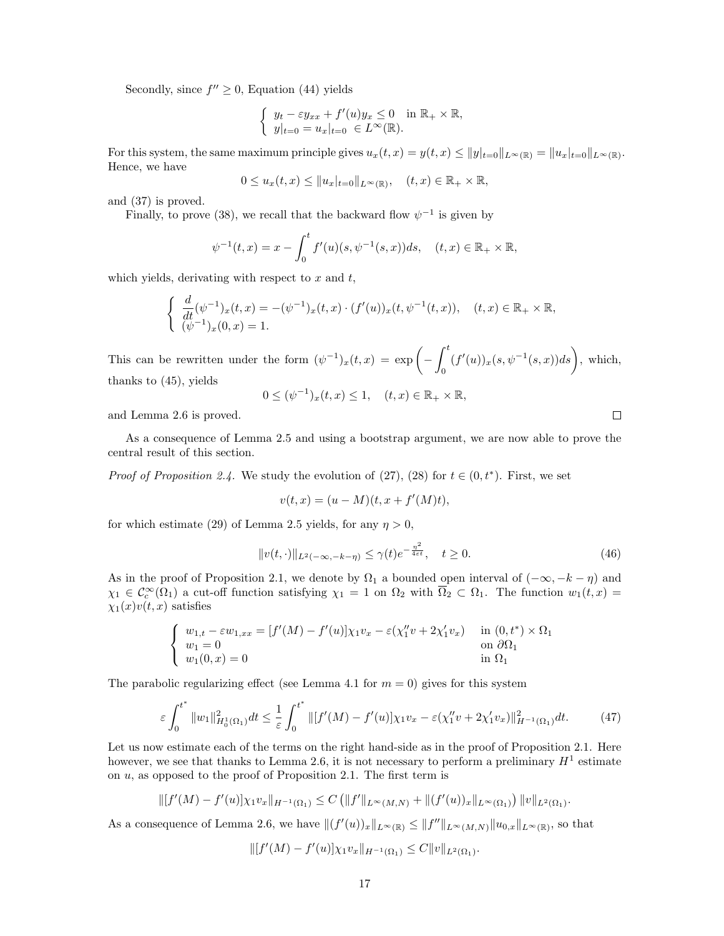Secondly, since  $f'' \geq 0$ , Equation (44) yields

$$
\begin{cases} y_t - \varepsilon y_{xx} + f'(u)y_x \le 0 \quad \text{in } \mathbb{R}_+ \times \mathbb{R}, \\ y|_{t=0} = u_x|_{t=0} \in L^\infty(\mathbb{R}). \end{cases}
$$

For this system, the same maximum principle gives  $u_x(t,x) = y(t,x) \le ||y||_{t=0} ||L^{\infty}(\mathbb{R}) = ||u_x||_{t=0} ||L^{\infty}(\mathbb{R})$ . Hence, we have

$$
0\leq u_x(t,x)\leq \|u_x|_{t=0}\|_{L^\infty(\mathbb{R})},\quad (t,x)\in\mathbb{R}_+\times\mathbb{R},
$$

and (37) is proved.

Finally, to prove (38), we recall that the backward flow  $\psi^{-1}$  is given by

$$
\psi^{-1}(t,x) = x - \int_0^t f'(u)(s, \psi^{-1}(s,x))ds, \quad (t,x) \in \mathbb{R}_+ \times \mathbb{R},
$$

which yields, derivating with respect to  $x$  and  $t$ ,

$$
\begin{cases} \frac{d}{dt}(\psi^{-1})_x(t,x) = -(\psi^{-1})_x(t,x) \cdot (f'(u))_x(t,\psi^{-1}(t,x)), & (t,x) \in \mathbb{R}_+ \times \mathbb{R}, \\ (\psi^{-1})_x(0,x) = 1. \end{cases}
$$

This can be rewritten under the form  $(\psi^{-1})_x(t,x) = \exp\left(-\int^t$ 0  $(f'(u))_x(s, \psi^{-1}(s,x))ds\bigg), \text{ which,}$ thanks to (45), yields

$$
0 \leq (\psi^{-1})_x(t,x) \leq 1, \quad (t,x) \in \mathbb{R}_+ \times \mathbb{R},
$$

and Lemma 2.6 is proved.

As a consequence of Lemma 2.5 and using a bootstrap argument, we are now able to prove the central result of this section.

*Proof of Proposition 2.4.* We study the evolution of  $(27)$ ,  $(28)$  for  $t \in (0, t^*)$ . First, we set

$$
v(t,x) = (u - M)(t, x + f'(M)t),
$$

for which estimate (29) of Lemma 2.5 yields, for any  $\eta > 0$ ,

$$
||v(t, \cdot)||_{L^{2}(-\infty, -k-\eta)} \leq \gamma(t)e^{-\frac{\eta^{2}}{4\epsilon t}}, \quad t \geq 0.
$$
 (46)

As in the proof of Proposition 2.1, we denote by  $\Omega_1$  a bounded open interval of  $(-\infty, -k - \eta)$  and  $\chi_1 \in C_c^{\infty}(\Omega_1)$  a cut-off function satisfying  $\chi_1 = 1$  on  $\Omega_2$  with  $\overline{\Omega}_2 \subset \Omega_1$ . The function  $w_1(t, x) =$  $\chi_1(x)v(t, x)$  satisfies

$$
\begin{cases}\nw_{1,t} - \varepsilon w_{1,xx} = [f'(M) - f'(u)]\chi_1 v_x - \varepsilon(\chi_1'' v + 2\chi_1' v_x) & \text{in } (0,t^*) \times \Omega_1 \\
w_1 = 0 & \text{on } \partial\Omega_1 \\
w_1(0,x) = 0 & \text{in } \Omega_1\n\end{cases}
$$

The parabolic regularizing effect (see Lemma 4.1 for  $m = 0$ ) gives for this system

$$
\varepsilon \int_0^{t^*} \|w_1\|_{H_0^1(\Omega_1)}^2 dt \le \frac{1}{\varepsilon} \int_0^{t^*} \| [f'(M) - f'(u)] \chi_1 v_x - \varepsilon (\chi_1'' v + 2\chi_1' v_x) \|_{H^{-1}(\Omega_1)}^2 dt. \tag{47}
$$

Let us now estimate each of the terms on the right hand-side as in the proof of Proposition 2.1. Here however, we see that thanks to Lemma 2.6, it is not necessary to perform a preliminary  $H^1$  estimate on  $u$ , as opposed to the proof of Proposition 2.1. The first term is

$$
\| [f'(M) - f'(u)] \chi_1 v_x \|_{H^{-1}(\Omega_1)} \leq C \left( \|f'\|_{L^{\infty}(M,N)} + \| (f'(u))_x \|_{L^{\infty}(\Omega_1)} \right) \|v\|_{L^2(\Omega_1)}.
$$

As a consequence of Lemma 2.6, we have  $||(f'(u))_x||_{L^{\infty}(\mathbb{R})} \le ||f''||_{L^{\infty}(M,N)} ||u_{0,x}||_{L^{\infty}(\mathbb{R})}$ , so that

$$
\| [f'(M) - f'(u)] \chi_1 v_x \|_{H^{-1}(\Omega_1)} \leq C \| v \|_{L^2(\Omega_1)}.
$$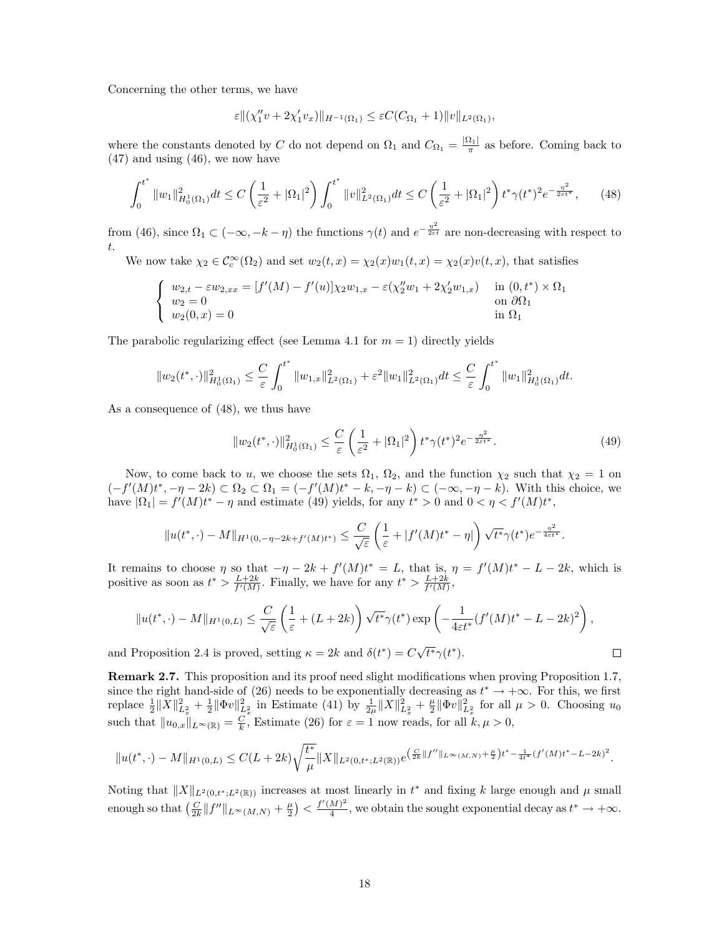Concerning the other terms, we have

$$
\varepsilon \|(\chi_1'' v + 2\chi_1' v_x)\|_{H^{-1}(\Omega_1)} \leq \varepsilon C (C_{\Omega_1} + 1) \|v\|_{L^2(\Omega_1)},
$$

where the constants denoted by C do not depend on  $\Omega_1$  and  $C_{\Omega_1} = \frac{|\Omega_1|}{\pi}$  as before. Coming back to (47) and using (46), we now have

$$
\int_0^{t^*} \|w_1\|_{H_0^1(\Omega_1)}^2 dt \le C \left(\frac{1}{\varepsilon^2} + |\Omega_1|^2\right) \int_0^{t^*} \|v\|_{L^2(\Omega_1)}^2 dt \le C \left(\frac{1}{\varepsilon^2} + |\Omega_1|^2\right) t^* \gamma(t^*)^2 e^{-\frac{\eta^2}{2\varepsilon t^*}},\tag{48}
$$

from (46), since  $\Omega_1 \subset (-\infty, -k - \eta)$  the functions  $\gamma(t)$  and  $e^{-\frac{\eta^2}{2\epsilon t}}$  are non-decreasing with respect to t.

We now take  $\chi_2 \in C_c^{\infty}(\Omega_2)$  and set  $w_2(t,x) = \chi_2(x)w_1(t,x) = \chi_2(x)v(t,x)$ , that satisfies

$$
\begin{cases}\nw_{2,t} - \varepsilon w_{2,xx} = [f'(M) - f'(u)]\chi_2 w_{1,x} - \varepsilon(\chi_2'' w_1 + 2\chi_2' w_{1,x}) & \text{in } (0,t^*) \times \Omega_1 \\
w_2 = 0 & \text{on } \partial\Omega_1 \\
w_2(0,x) = 0 & \text{in } \Omega_1\n\end{cases}
$$

The parabolic regularizing effect (see Lemma 4.1 for  $m = 1$ ) directly yields

$$
||w_2(t^*,\cdot)||^2_{H_0^1(\Omega_1)} \leq \frac{C}{\varepsilon} \int_0^{t^*} ||w_{1,x}||^2_{L^2(\Omega_1)} + \varepsilon^2 ||w_1||^2_{L^2(\Omega_1)} dt \leq \frac{C}{\varepsilon} \int_0^{t^*} ||w_1||^2_{H_0^1(\Omega_1)} dt.
$$

As a consequence of (48), we thus have

$$
||w_2(t^*, \cdot)||_{H_0^1(\Omega_1)}^2 \le \frac{C}{\varepsilon} \left(\frac{1}{\varepsilon^2} + |\Omega_1|^2\right) t^* \gamma(t^*)^2 e^{-\frac{\eta^2}{2\varepsilon t^*}}.
$$
\n(49)

 $\Box$ 

Now, to come back to u, we choose the sets  $\Omega_1$ ,  $\Omega_2$ , and the function  $\chi_2$  such that  $\chi_2 = 1$  on  $(-f'(M)t^*, -\eta - 2k) \subset \Omega_2 \subset \Omega_1 = (-f'(M)t^* - k, -\eta - k) \subset (-\infty, -\eta - k)$ . With this choice, we have  $|\Omega_1| = f'(M)t^* - \eta$  and estimate (49) yields, for any  $t^* > 0$  and  $0 < \eta < f'(M)t^*$ ,

$$
||u(t^*,\cdot)-M||_{H^1(0,-\eta-2k+f'(M)t^*)}\leq \frac{C}{\sqrt{\varepsilon}}\left(\frac{1}{\varepsilon}+|f'(M)t^*-\eta|\right)\sqrt{t^*}\gamma(t^*)e^{-\frac{\eta^2}{4\varepsilon t^*}}.
$$

It remains to choose  $\eta$  so that  $-\eta - 2k + f'(M)t^* = L$ , that is,  $\eta = f'(M)t^* - L - 2k$ , which is positive as soon as  $t^* > \frac{L+2k}{f'(M)}$ . Finally, we have for any  $t^* > \frac{L+2k}{f'(M)}$ ,

$$
||u(t^*, \cdot) - M||_{H^1(0,L)} \leq \frac{C}{\sqrt{\varepsilon}} \left(\frac{1}{\varepsilon} + (L+2k)\right) \sqrt{t^*} \gamma(t^*) \exp\left(-\frac{1}{4\varepsilon t^*} (f'(M)t^* - L - 2k)^2\right),
$$

and Proposition 2.4 is proved, setting  $\kappa = 2k$  and  $\delta(t^*) = C$  $\overline{t^*}\gamma(t^*)$ .

Remark 2.7. This proposition and its proof need slight modifications when proving Proposition 1.7, since the right hand-side of (26) needs to be exponentially decreasing as  $t^* \to +\infty$ . For this, we first replace  $\frac{1}{2} ||X||_{L_x^2}^2 + \frac{1}{2} ||\Phi v||_{L_x^2}^2$  in Estimate (41) by  $\frac{1}{2\mu} ||X||_{L_x^2}^2 + \frac{\mu}{2} ||\Phi v||_{L_x^2}^2$  for all  $\mu > 0$ . Choosing  $u_0$ such that  $||u_{0,x}||_{L^{\infty}(\mathbb{R})} = \frac{C}{k}$ , Estimate (26) for  $\varepsilon = 1$  now reads, for all  $k, \mu > 0$ ,

$$
||u(t^*,\cdot)-M||_{H^1(0,L)} \leq C(L+2k)\sqrt{\frac{t^*}{\mu}}||X||_{L^2(0,t^*;L^2(\mathbb{R}))}e^{\left(\frac{C}{2k}||f''||_{L^{\infty}(M,N)}+\frac{\mu}{2}\right)t^*-\frac{1}{4t^*}(f'(M)t^*-L-2k)^2}.
$$

Noting that  $||X||_{L^2(0,t^*,L^2(\mathbb{R}))}$  increases at most linearly in  $t^*$  and fixing k large enough and  $\mu$  small enough so that  $\left(\frac{C}{2k}\|f''\|_{L^\infty(M,N)}+\frac{\mu}{2}\right)<\frac{f'(M)^2}{4}$  $\frac{(M)^2}{4}$ , we obtain the sought exponential decay as  $t^* \to +\infty$ .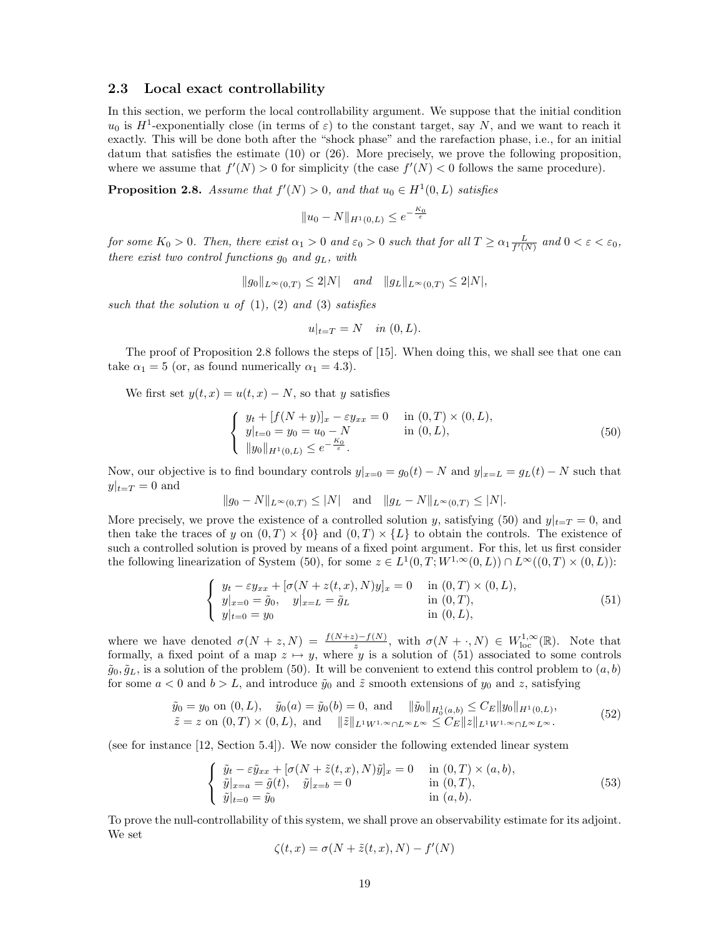### 2.3 Local exact controllability

In this section, we perform the local controllability argument. We suppose that the initial condition  $u_0$  is  $H^1$ -exponentially close (in terms of  $\varepsilon$ ) to the constant target, say N, and we want to reach it exactly. This will be done both after the "shock phase" and the rarefaction phase, i.e., for an initial datum that satisfies the estimate (10) or (26). More precisely, we prove the following proposition, where we assume that  $f'(N) > 0$  for simplicity (the case  $f'(N) < 0$  follows the same procedure).

**Proposition 2.8.** Assume that  $f'(N) > 0$ , and that  $u_0 \in H^1(0,L)$  satisfies

$$
||u_0 - N||_{H^1(0,L)} \le e^{-\frac{K_0}{\varepsilon}}
$$

for some  $K_0 > 0$ . Then, there exist  $\alpha_1 > 0$  and  $\varepsilon_0 > 0$  such that for all  $T \ge \alpha_1 \frac{L}{f'(N)}$  and  $0 < \varepsilon < \varepsilon_0$ , there exist two control functions  $g_0$  and  $g_L$ , with

$$
||g_0||_{L^{\infty}(0,T)} \leq 2|N|
$$
 and  $||g_L||_{L^{\infty}(0,T)} \leq 2|N|$ ,

such that the solution  $u$  of  $(1)$ ,  $(2)$  and  $(3)$  satisfies

$$
u|_{t=T} = N \quad in (0, L).
$$

The proof of Proposition 2.8 follows the steps of [15]. When doing this, we shall see that one can take  $\alpha_1 = 5$  (or, as found numerically  $\alpha_1 = 4.3$ ).

We first set  $y(t, x) = u(t, x) - N$ , so that y satisfies

$$
\begin{cases}\n y_t + [f(N+y)]_x - \varepsilon y_{xx} = 0 & \text{in } (0, T) \times (0, L), \\
 y|_{t=0} = y_0 = u_0 - N & \text{in } (0, L), \\
 ||y_0||_{H^1(0, L)} \le e^{-\frac{K_0}{\varepsilon}}.\n\end{cases}
$$
\n(50)

Now, our objective is to find boundary controls  $y|_{x=0} = g_0(t) - N$  and  $y|_{x=L} = g_L(t) - N$  such that  $y|_{t=T} = 0$  and

$$
||g_0 - N||_{L^{\infty}(0,T)} \le |N|
$$
 and  $||g_L - N||_{L^{\infty}(0,T)} \le |N|$ .

More precisely, we prove the existence of a controlled solution y, satisfying (50) and  $y|_{t=T} = 0$ , and then take the traces of y on  $(0, T) \times \{0\}$  and  $(0, T) \times \{L\}$  to obtain the controls. The existence of such a controlled solution is proved by means of a fixed point argument. For this, let us first consider the following linearization of System (50), for some  $z \in L^1(0,T;W^{1,\infty}(0,L)) \cap L^{\infty}((0,T) \times (0,L))$ :

$$
\begin{cases}\ny_t - \varepsilon y_{xx} + [\sigma(N + z(t, x), N)y]_x = 0 & \text{in } (0, T) \times (0, L), \\
y|_{x=0} = \tilde{g}_0, \quad y|_{x=L} = \tilde{g}_L & \text{in } (0, T), \\
y|_{t=0} = y_0 & \text{in } (0, L),\n\end{cases}
$$
\n(51)

where we have denoted  $\sigma(N+z,N) = \frac{f(N+z)-f(N)}{z}$ , with  $\sigma(N + \cdot, N) \in W^{1,\infty}_{loc}(\mathbb{R})$ . Note that formally, a fixed point of a map  $z \mapsto y$ , where y is a solution of (51) associated to some controls  $\tilde{g}_0, \tilde{g}_L$ , is a solution of the problem (50). It will be convenient to extend this control problem to  $(a, b)$ for some  $a < 0$  and  $b > L$ , and introduce  $\tilde{y}_0$  and  $\tilde{z}$  smooth extensions of  $y_0$  and  $z$ , satisfying

$$
\tilde{y}_0 = y_0 \text{ on } (0, L), \quad \tilde{y}_0(a) = \tilde{y}_0(b) = 0, \text{ and } \|\tilde{y}_0\|_{H_0^1(a, b)} \le C_E \|y_0\|_{H^1(0, L)}, \tilde{z} = z \text{ on } (0, T) \times (0, L), \text{ and } \|\tilde{z}\|_{L^1 W^{1, \infty} \cap L^{\infty} L^{\infty}} \le C_E \|z\|_{L^1 W^{1, \infty} \cap L^{\infty} L^{\infty}}.
$$
\n(52)

(see for instance [12, Section 5.4]). We now consider the following extended linear system

$$
\begin{cases}\n\tilde{y}_t - \varepsilon \tilde{y}_{xx} + [\sigma(N + \tilde{z}(t, x), N)\tilde{y}]_x = 0 & \text{in } (0, T) \times (a, b), \\
\tilde{y}|_{x=a} = \tilde{g}(t), \quad \tilde{y}|_{x=b} = 0 & \text{in } (0, T), \\
\tilde{y}|_{t=0} = \tilde{y}_0 & \text{in } (a, b).\n\end{cases}
$$
\n(53)

To prove the null-controllability of this system, we shall prove an observability estimate for its adjoint. We set

$$
\zeta(t,x)=\sigma(N+\tilde z(t,x),N)-f'(N)
$$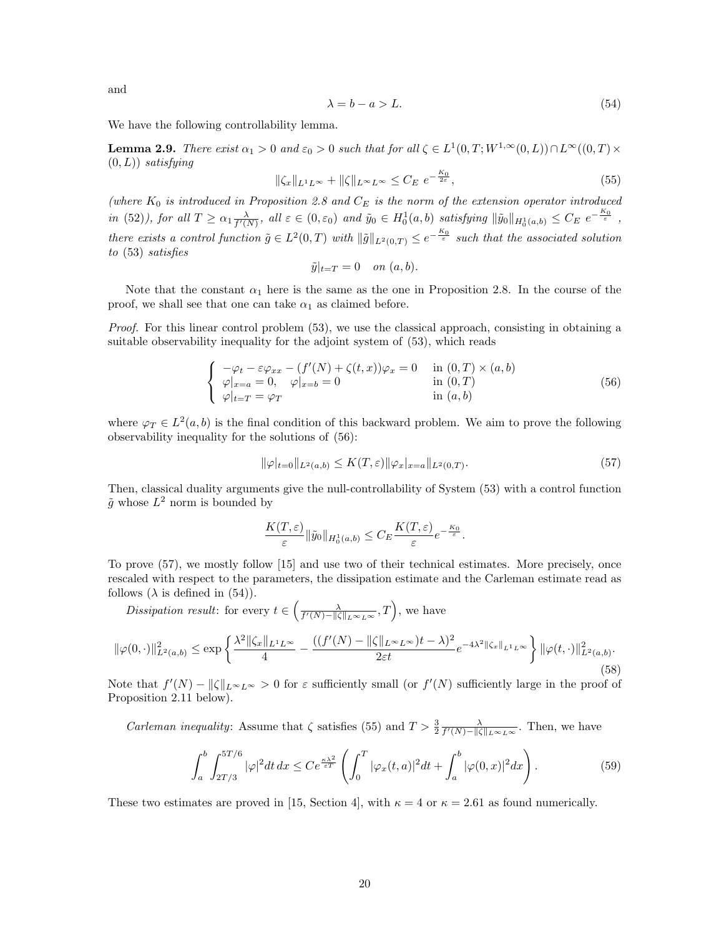and

$$
\lambda = b - a > L. \tag{54}
$$

We have the following controllability lemma.

**Lemma 2.9.** There exist  $\alpha_1 > 0$  and  $\varepsilon_0 > 0$  such that for all  $\zeta \in L^1(0,T;W^{1,\infty}(0,L)) \cap L^{\infty}((0,T) \times$  $(0, L)$ ) satisfying

$$
\|\zeta_x\|_{L^1L^\infty} + \|\zeta\|_{L^\infty L^\infty} \le C_E \, e^{-\frac{K_0}{2\varepsilon}},\tag{55}
$$

(where  $K_0$  is introduced in Proposition 2.8 and  $C_E$  is the norm of the extension operator introduced in (52)), for all  $T \ge \alpha_1 \frac{\lambda}{f'(N)}$ , all  $\varepsilon \in (0, \varepsilon_0)$  and  $\tilde{y}_0 \in H_0^1(a, b)$  satisfying  $\|\tilde{y}_0\|_{H_0^1(a, b)} \le C_E e^{-\frac{K_0}{\varepsilon}}$ , there exists a control function  $\tilde{g} \in L^2(0,T)$  with  $\|\tilde{g}\|_{L^2(0,T)} \leq e^{-\frac{K_0}{\varepsilon}}$  such that the associated solution to (53) satisfies

$$
\tilde{y}|_{t=T} = 0 \quad on \ (a,b).
$$

Note that the constant  $\alpha_1$  here is the same as the one in Proposition 2.8. In the course of the proof, we shall see that one can take  $\alpha_1$  as claimed before.

Proof. For this linear control problem (53), we use the classical approach, consisting in obtaining a suitable observability inequality for the adjoint system of (53), which reads

$$
\begin{cases}\n-\varphi_t - \varepsilon \varphi_{xx} - (f'(N) + \zeta(t, x))\varphi_x = 0 & \text{in } (0, T) \times (a, b) \\
\varphi|_{x=a} = 0, & \varphi|_{x=b} = 0 & \text{in } (0, T) \\
\varphi|_{t=T} = \varphi_T & \text{in } (a, b)\n\end{cases}
$$
\n(56)

where  $\varphi_T \in L^2(a, b)$  is the final condition of this backward problem. We aim to prove the following observability inequality for the solutions of (56):

$$
\|\varphi|_{t=0}\|_{L^2(a,b)} \le K(T,\varepsilon) \|\varphi_x|_{x=a}\|_{L^2(0,T)}.
$$
\n(57)

Then, classical duality arguments give the null-controllability of System (53) with a control function  $\tilde{g}$  whose  $L^2$  norm is bounded by

$$
\frac{K(T,\varepsilon)}{\varepsilon} \|\tilde{y}_0\|_{H_0^1(a,b)} \leq C_E \frac{K(T,\varepsilon)}{\varepsilon} e^{-\frac{K_0}{\varepsilon}}.
$$

To prove (57), we mostly follow [15] and use two of their technical estimates. More precisely, once rescaled with respect to the parameters, the dissipation estimate and the Carleman estimate read as follows ( $\lambda$  is defined in (54)).

Dissipation result: for every  $t \in \left(\frac{\lambda}{f'(N)-\|\zeta\|_{L^{\infty}L^{\infty}}},T\right)$ , we have  $\|\varphi(0, \cdot)\|_{L^2(a, b)}^2 \le \exp\left\{\frac{\lambda^2 \|\zeta_x\|_{L^1 L^\infty}}{4}\right\}$  $\frac{\|L^1 L^{\infty}}{4} - \frac{((f'(N) - \|\zeta\|_{L^{\infty} L^{\infty}})t - \lambda)^2}{2\varepsilon t}$  $\frac{\|\|_{L^\infty L^\infty})t-\lambda)^2}{2\varepsilon t}e^{-4\lambda^2\|\zeta_x\|_{L^1L^\infty}}\bigg\}\,\|\varphi(t,\cdot)\|^2_{L^2(a,b)}.$ 

(58) Note that  $f'(N) - ||\zeta||_{L^{\infty}L^{\infty}} > 0$  for  $\varepsilon$  sufficiently small (or  $f'(N)$  sufficiently large in the proof of Proposition 2.11 below).

*Carleman inequality:* Assume that  $\zeta$  satisfies (55) and  $T > \frac{3}{2} \frac{\lambda}{f'(N) - ||\zeta||_{L^{\infty}L^{\infty}}}$ . Then, we have

$$
\int_{a}^{b} \int_{2T/3}^{5T/6} |\varphi|^2 dt \, dx \le C e^{\frac{\kappa \lambda^2}{\varepsilon T}} \left( \int_{0}^{T} |\varphi_x(t, a)|^2 dt + \int_{a}^{b} |\varphi(0, x)|^2 dx \right). \tag{59}
$$

These two estimates are proved in [15, Section 4], with  $\kappa = 4$  or  $\kappa = 2.61$  as found numerically.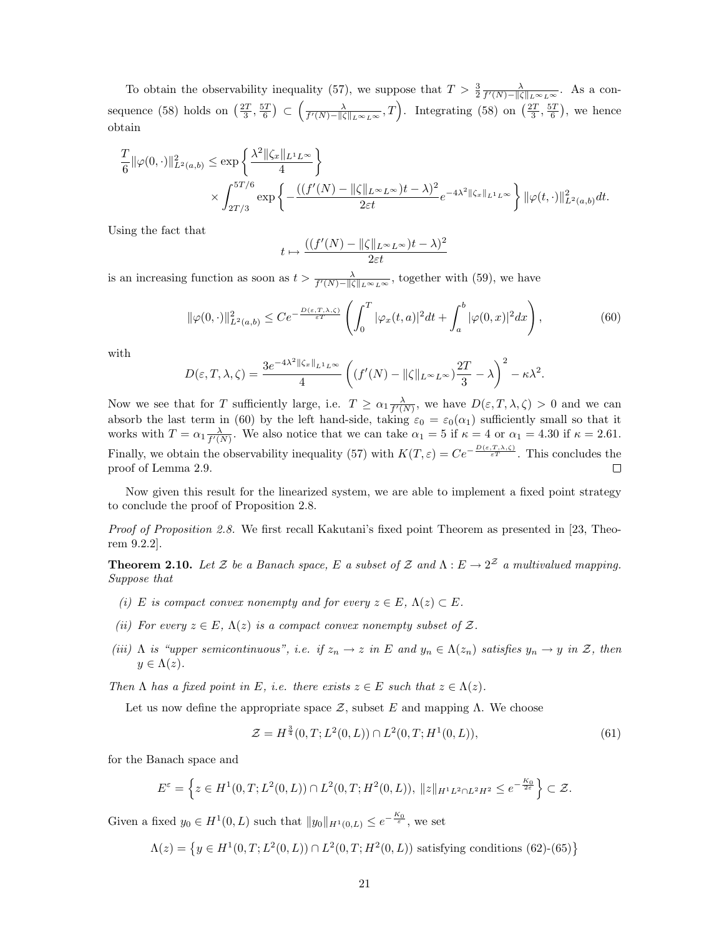To obtain the observability inequality (57), we suppose that  $T > \frac{3}{2} \frac{\lambda}{f'(N) - ||\zeta||_{L^{\infty}L^{\infty}}}$ . As a consequence (58) holds on  $\left(\frac{2T}{3}, \frac{5T}{6}\right) \subset \left(\frac{\lambda}{f'(N)-\|\zeta\|_{L^{\infty}L^{\infty}}}, T\right)$ . Integrating (58) on  $\left(\frac{2T}{3}, \frac{5T}{6}\right)$ , we hence obtain

$$
\frac{T}{6} \|\varphi(0,\cdot)\|_{L^2(a,b)}^2 \le \exp\left\{\frac{\lambda^2 \|\zeta_x\|_{L^1L^\infty}}{4}\right\}
$$

$$
\times \int_{2T/3}^{5T/6} \exp\left\{-\frac{((f'(N)-\|\zeta\|_{L^\infty L^\infty})t-\lambda)^2}{2\varepsilon t}e^{-4\lambda^2 \|\zeta_x\|_{L^1L^\infty}}\right\} \|\varphi(t,\cdot)\|_{L^2(a,b)}^2 dt.
$$

Using the fact that

$$
\mapsto \frac{((f'(N)-\|\zeta\|_{L^\infty L^\infty})t-\lambda)^2}{2\varepsilon t}
$$

is an increasing function as soon as  $t > \frac{\lambda}{f'(N)-\|\zeta\|_{L^{\infty}L^{\infty}}}$ , together with (59), we have

 $t$ 

$$
\|\varphi(0,\cdot)\|_{L^2(a,b)}^2 \le Ce^{-\frac{D(\varepsilon,T,\lambda,\zeta)}{\varepsilon^T}} \left(\int_0^T |\varphi_x(t,a)|^2 dt + \int_a^b |\varphi(0,x)|^2 dx\right),\tag{60}
$$

with

$$
D(\varepsilon,T,\lambda,\zeta) = \frac{3e^{-4\lambda^2||\zeta_x||_{L^1L^\infty}}}{4}\left((f'(N)-||\zeta||_{L^\infty L^\infty})\frac{2T}{3}-\lambda\right)^2 - \kappa\lambda^2.
$$

Now we see that for T sufficiently large, i.e.  $T \ge \alpha_1 \frac{\lambda}{f'(N)}$ , we have  $D(\varepsilon, T, \lambda, \zeta) > 0$  and we can absorb the last term in (60) by the left hand-side, taking  $\varepsilon_0 = \varepsilon_0(\alpha_1)$  sufficiently small so that it works with  $T = \alpha_1 \frac{\lambda}{f'(N)}$ . We also notice that we can take  $\alpha_1 = 5$  if  $\kappa = 4$  or  $\alpha_1 = 4.30$  if  $\kappa = 2.61$ . Finally, we obtain the observability inequality (57) with  $K(T, \varepsilon) = Ce^{-\frac{D(\varepsilon, T, \lambda, \zeta)}{\varepsilon T}}$ . This concludes the proof of Lemma 2.9.  $\Box$ 

Now given this result for the linearized system, we are able to implement a fixed point strategy to conclude the proof of Proposition 2.8.

Proof of Proposition 2.8. We first recall Kakutani's fixed point Theorem as presented in [23, Theorem 9.2.2].

**Theorem 2.10.** Let Z be a Banach space, E a subset of Z and  $\Lambda : E \to 2^{\mathcal{Z}}$  a multivalued mapping. Suppose that

- (i) E is compact convex nonempty and for every  $z \in E$ ,  $\Lambda(z) \subset E$ .
- (ii) For every  $z \in E$ ,  $\Lambda(z)$  is a compact convex nonempty subset of Z.
- (iii)  $\Lambda$  is "upper semicontinuous", i.e. if  $z_n \to z$  in E and  $y_n \in \Lambda(z_n)$  satisfies  $y_n \to y$  in Z, then  $y \in \Lambda(z)$ .

Then  $\Lambda$  has a fixed point in E, i.e. there exists  $z \in E$  such that  $z \in \Lambda(z)$ .

Let us now define the appropriate space  $\mathcal{Z}$ , subset E and mapping  $\Lambda$ . We choose

$$
\mathcal{Z} = H^{\frac{3}{4}}(0, T; L^2(0, L)) \cap L^2(0, T; H^1(0, L)),\tag{61}
$$

for the Banach space and

$$
E^{\varepsilon} = \left\{ z \in H^{1}(0,T; L^{2}(0,L)) \cap L^{2}(0,T; H^{2}(0,L)), ||z||_{H^{1}L^{2} \cap L^{2}H^{2}} \leq e^{-\frac{K_{0}}{2\varepsilon}} \right\} \subset \mathcal{Z}.
$$

Given a fixed  $y_0 \in H^1(0,L)$  such that  $||y_0||_{H^1(0,L)} \leq e^{-\frac{K_0}{\varepsilon}}$ , we set

$$
\Lambda(z) = \left\{ y \in H^1(0, T; L^2(0, L)) \cap L^2(0, T; H^2(0, L)) \text{ satisfying conditions (62)-(65)} \right\}
$$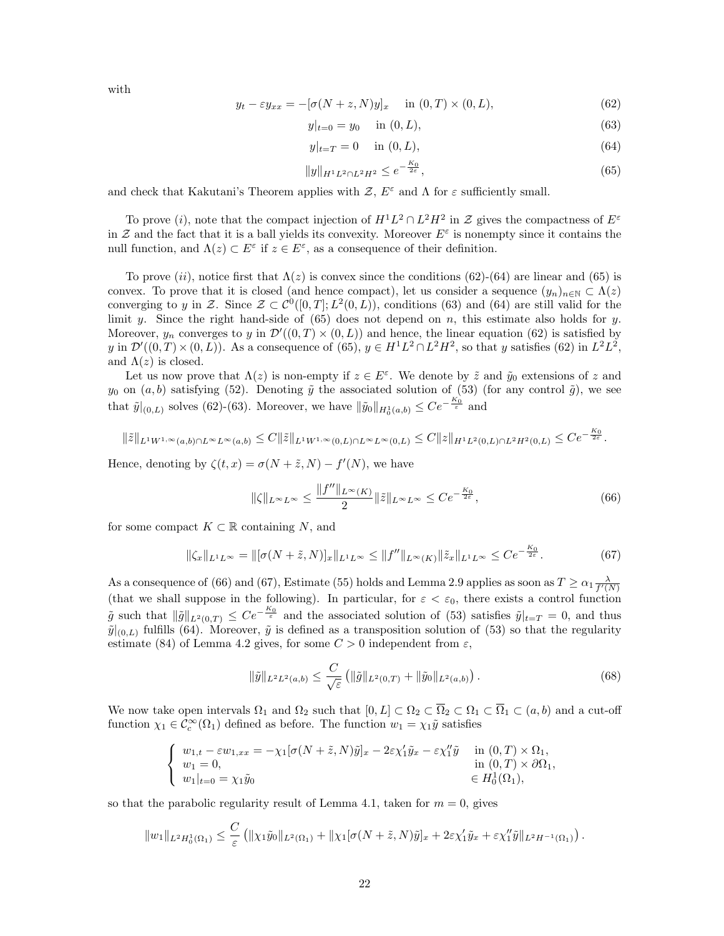with

$$
y_t - \varepsilon y_{xx} = -[\sigma(N+z,N)y]_x \quad \text{in } (0,T) \times (0,L), \tag{62}
$$

$$
y|_{t=0} = y_0 \quad \text{in } (0, L), \tag{63}
$$

$$
y|_{t=T} = 0 \quad \text{in } (0, L), \tag{64}
$$

$$
||y||_{H^1L^2 \cap L^2H^2} \le e^{-\frac{K_0}{2\varepsilon}},\tag{65}
$$

and check that Kakutani's Theorem applies with  $\mathcal{Z}, E^{\varepsilon}$  and  $\Lambda$  for  $\varepsilon$  sufficiently small.

To prove (i), note that the compact injection of  $H^1L^2 \cap L^2H^2$  in  $\mathcal Z$  gives the compactness of  $E^{\varepsilon}$ in  $\mathcal Z$  and the fact that it is a ball yields its convexity. Moreover  $E^{\varepsilon}$  is nonempty since it contains the null function, and  $\Lambda(z) \subset E^{\varepsilon}$  if  $z \in E^{\varepsilon}$ , as a consequence of their definition.

To prove (ii), notice first that  $\Lambda(z)$  is convex since the conditions (62)-(64) are linear and (65) is convex. To prove that it is closed (and hence compact), let us consider a sequence  $(y_n)_{n\in\mathbb{N}}\subset\Lambda(z)$ converging to y in Z. Since  $\mathcal{Z} \subset \mathcal{C}^0([0,T];L^2(0,L))$ , conditions (63) and (64) are still valid for the limit y. Since the right hand-side of  $(65)$  does not depend on n, this estimate also holds for y. Moreover,  $y_n$  converges to y in  $\mathcal{D}'((0,T) \times (0,L))$  and hence, the linear equation (62) is satisfied by y in  $\mathcal{D}'((0,T)\times(0,L))$ . As a consequence of (65),  $y \in H^1L^2 \cap L^2H^2$ , so that y satisfies (62) in  $L^2L^2$ , and  $\Lambda(z)$  is closed.

Let us now prove that  $\Lambda(z)$  is non-empty if  $z \in E^{\varepsilon}$ . We denote by  $\tilde{z}$  and  $\tilde{y}_0$  extensions of z and  $y_0$  on  $(a, b)$  satisfying (52). Denoting  $\tilde{y}$  the associated solution of (53) (for any control  $\tilde{g}$ ), we see that  $\tilde{y}|_{(0,L)}$  solves (62)-(63). Moreover, we have  $\|\tilde{y}_0\|_{H_0^1(a,b)} \leq Ce^{-\frac{K_0}{\varepsilon}}$  and

$$
\|\tilde{z}\|_{L^1W^{1,\infty}(a,b)\cap L^\infty L^\infty(a,b)} \leq C\|\tilde{z}\|_{L^1W^{1,\infty}(0,L)\cap L^\infty L^\infty(0,L)} \leq C\|z\|_{H^1L^2(0,L)\cap L^2H^2(0,L)} \leq Ce^{-\frac{K_0}{2\varepsilon}}.
$$

Hence, denoting by  $\zeta(t,x) = \sigma(N + \tilde{z}, N) - f'(N)$ , we have

$$
\|\zeta\|_{L^{\infty}L^{\infty}} \le \frac{\|f''\|_{L^{\infty}(K)}}{2} \|\tilde{z}\|_{L^{\infty}L^{\infty}} \le Ce^{-\frac{K_0}{2\varepsilon}},\tag{66}
$$

for some compact  $K \subset \mathbb{R}$  containing N, and

$$
\|\zeta_x\|_{L^1L^\infty} = \|[\sigma(N+\tilde{z},N)]_x\|_{L^1L^\infty} \le \|f''\|_{L^\infty(K)} \|\tilde{z}_x\|_{L^1L^\infty} \le Ce^{-\frac{K_0}{2\varepsilon}}.
$$
 (67)

As a consequence of (66) and (67), Estimate (55) holds and Lemma 2.9 applies as soon as  $T \ge \alpha_1 \frac{\lambda}{f'(N)}$ (that we shall suppose in the following). In particular, for  $\varepsilon < \varepsilon_0$ , there exists a control function  $\tilde{g}$  such that  $\|\tilde{g}\|_{L^2(0,T)} \leq Ce^{-\frac{K_0}{\varepsilon}}$  and the associated solution of (53) satisfies  $\tilde{y}|_{t=T} = 0$ , and thus  $\tilde{y}|_{(0,L)}$  fulfills (64). Moreover,  $\tilde{y}$  is defined as a transposition solution of (53) so that the regularity estimate (84) of Lemma 4.2 gives, for some  $C > 0$  independent from  $\varepsilon$ ,

$$
\|\tilde{y}\|_{L^2L^2(a,b)} \le \frac{C}{\sqrt{\varepsilon}} \left( \|\tilde{g}\|_{L^2(0,T)} + \|\tilde{y}_0\|_{L^2(a,b)} \right). \tag{68}
$$

We now take open intervals  $\Omega_1$  and  $\Omega_2$  such that  $[0, L] \subset \Omega_2 \subset \overline{\Omega}_2 \subset \Omega_1 \subset \overline{\Omega}_1 \subset (a, b)$  and a cut-off function  $\chi_1 \in C_c^{\infty}(\Omega_1)$  defined as before. The function  $w_1 = \chi_1 \tilde{y}$  satisfies

$$
\begin{cases}\nw_{1,t} - \varepsilon w_{1,xx} = -\chi_1 [\sigma(N+\tilde{z},N)\tilde{y}]_x - 2\varepsilon \chi'_1 \tilde{y}_x - \varepsilon \chi''_1 \tilde{y} & \text{in } (0,T) \times \Omega_1, \\
w_1 = 0, & \text{in } (0,T) \times \partial \Omega_1, \\
w_1|_{t=0} = \chi_1 \tilde{y}_0 & \in H_0^1(\Omega_1),\n\end{cases}
$$

so that the parabolic regularity result of Lemma 4.1, taken for  $m = 0$ , gives

$$
||w_1||_{L^2H_0^1(\Omega_1)} \leq \frac{C}{\varepsilon} \left( ||\chi_1 \tilde{y}_0||_{L^2(\Omega_1)} + ||\chi_1[\sigma(N+\tilde{z},N)\tilde{y}]_{x} + 2\varepsilon\chi'_1\tilde{y}_{x} + \varepsilon\chi''_1\tilde{y}||_{L^2H^{-1}(\Omega_1)} \right).
$$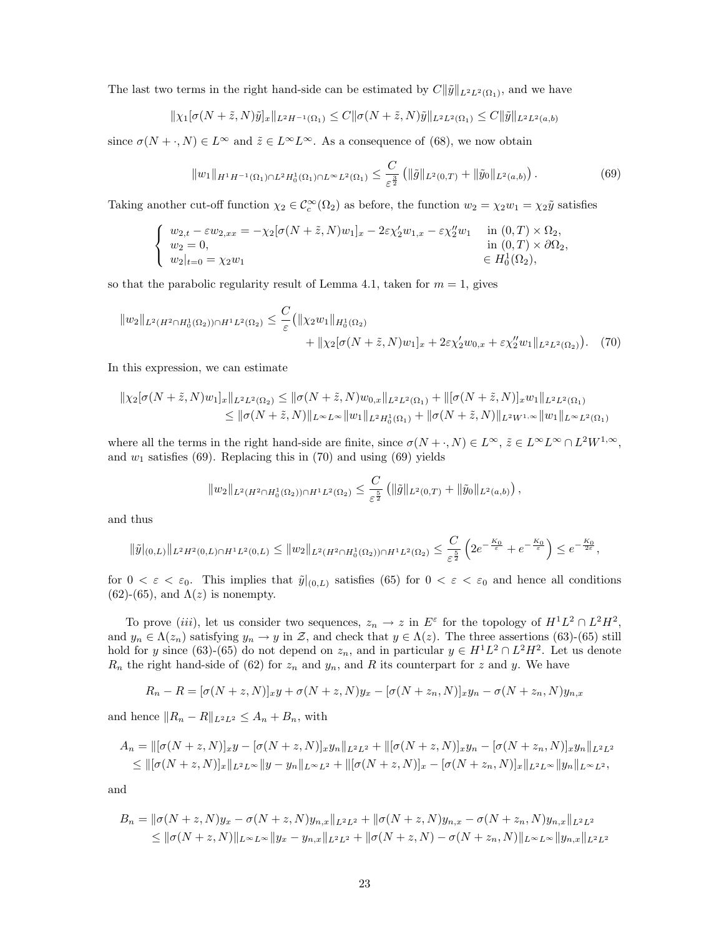The last two terms in the right hand-side can be estimated by  $C\|\tilde{y}\|_{L^2L^2(\Omega_1)}$ , and we have

$$
\|\chi_1[\sigma(N+\tilde{z},N)\tilde{y}]_x\|_{L^2H^{-1}(\Omega_1)} \leq C \|\sigma(N+\tilde{z},N)\tilde{y}\|_{L^2L^2(\Omega_1)} \leq C \|\tilde{y}\|_{L^2L^2(a,b)}
$$

since  $\sigma(N + \cdot, N) \in L^{\infty}$  and  $\tilde{z} \in L^{\infty}L^{\infty}$ . As a consequence of (68), we now obtain

$$
||w_1||_{H^1H^{-1}(\Omega_1)\cap L^2H_0^1(\Omega_1)\cap L^\infty L^2(\Omega_1)} \leq \frac{C}{\varepsilon^{\frac{3}{2}}} \left( ||\tilde{g}||_{L^2(0,T)} + ||\tilde{y}_0||_{L^2(a,b)} \right).
$$
 (69)

Taking another cut-off function  $\chi_2 \in C_c^{\infty}(\Omega_2)$  as before, the function  $w_2 = \chi_2 w_1 = \chi_2 \tilde{y}$  satisfies

$$
\begin{cases}\nw_{2,t} - \varepsilon w_{2,xx} = -\chi_2[\sigma(N+\tilde{z},N)w_1]_x - 2\varepsilon\chi_2'w_{1,x} - \varepsilon\chi_2''w_1 & \text{in } (0,T) \times \Omega_2, \\
w_2 = 0, & \text{in } (0,T) \times \partial\Omega_2, \\
w_2|_{t=0} = \chi_2 w_1 & \in H_0^1(\Omega_2),\n\end{cases}
$$

so that the parabolic regularity result of Lemma 4.1, taken for  $m = 1$ , gives

$$
||w_2||_{L^2(H^2 \cap H_0^1(\Omega_2)) \cap H^1L^2(\Omega_2)} \leq \frac{C}{\varepsilon} (||\chi_2 w_1||_{H_0^1(\Omega_2)} + ||\chi_2[\sigma(N+\tilde{z}, N)w_1]_x + 2\varepsilon \chi_2' w_{0,x} + \varepsilon \chi_2'' w_1 ||_{L^2L^2(\Omega_2)}). \tag{70}
$$

In this expression, we can estimate

$$
\|\chi_2[\sigma(N+\tilde{z},N)w_1]_x\|_{L^2L^2(\Omega_2)} \le \|\sigma(N+\tilde{z},N)w_{0,x}\|_{L^2L^2(\Omega_1)} + \|[\sigma(N+\tilde{z},N)]_xw_1\|_{L^2L^2(\Omega_1)}
$$
  

$$
\le \|\sigma(N+\tilde{z},N)\|_{L^\infty L^\infty} \|w_1\|_{L^2H_0^1(\Omega_1)} + \|\sigma(N+\tilde{z},N)\|_{L^2W^{1,\infty}} \|w_1\|_{L^\infty L^2(\Omega_1)}
$$

where all the terms in the right hand-side are finite, since  $\sigma(N + \cdot, N) \in L^{\infty}$ ,  $\tilde{z} \in L^{\infty}L^{\infty} \cap L^{2}W^{1,\infty}$ , and  $w_1$  satisfies (69). Replacing this in (70) and using (69) yields

$$
||w_2||_{L^2(H^2 \cap H_0^1(\Omega_2)) \cap H^1L^2(\Omega_2)} \leq \frac{C}{\varepsilon^{\frac{5}{2}}} (||\tilde{g}||_{L^2(0,T)} + ||\tilde{y}_0||_{L^2(a,b)}),
$$

and thus

$$
\|\tilde{y}|_{(0,L)}\|_{L^2H^2(0,L)\cap H^1L^2(0,L)} \le \|w_2\|_{L^2(H^2\cap H_0^1(\Omega_2))\cap H^1L^2(\Omega_2)} \le \frac{C}{\varepsilon^{\frac{5}{2}}} \left(2e^{-\frac{K_0}{\varepsilon}} + e^{-\frac{K_0}{\varepsilon}}\right) \le e^{-\frac{K_0}{2\varepsilon}},
$$

for  $0 < \varepsilon < \varepsilon_0$ . This implies that  $\tilde{y}|_{(0,L)}$  satisfies (65) for  $0 < \varepsilon < \varepsilon_0$  and hence all conditions (62)-(65), and  $\Lambda(z)$  is nonempty.

To prove (iii), let us consider two sequences,  $z_n \to z$  in  $E^{\varepsilon}$  for the topology of  $H^1L^2 \cap L^2H^2$ , and  $y_n \in \Lambda(z_n)$  satisfying  $y_n \to y$  in Z, and check that  $y \in \Lambda(z)$ . The three assertions (63)-(65) still hold for y since (63)-(65) do not depend on  $z_n$ , and in particular  $y \in H<sup>1</sup>L<sup>2</sup> \cap L<sup>2</sup>H<sup>2</sup>$ . Let us denote  $R_n$  the right hand-side of (62) for  $z_n$  and  $y_n$ , and R its counterpart for z and y. We have

$$
R_n - R = [\sigma(N + z, N)]_x y + \sigma(N + z, N) y_x - [\sigma(N + z_n, N)]_x y_n - \sigma(N + z_n, N) y_{n,x}
$$

and hence  $||R_n - R||_{L^2L^2} \leq A_n + B_n$ , with

$$
A_n = ||[\sigma(N+z,N)]_x y - [\sigma(N+z,N)]_x y_n||_{L^2L^2} + ||[\sigma(N+z,N)]_x y_n - [\sigma(N+z_n,N)]_x y_n||_{L^2L^2}
$$
  
\n
$$
\leq ||[\sigma(N+z,N)]_x||_{L^2L^{\infty}}||y-y_n||_{L^{\infty}L^2} + ||[\sigma(N+z,N)]_x - [\sigma(N+z_n,N)]_x||_{L^2L^{\infty}}||y_n||_{L^{\infty}L^2},
$$

and

$$
B_n = \|\sigma(N+z,N)y_x - \sigma(N+z,N)y_{n,x}\|_{L^2L^2} + \|\sigma(N+z,N)y_{n,x} - \sigma(N+z_n,N)y_{n,x}\|_{L^2L^2}
$$
  
\n
$$
\leq \|\sigma(N+z,N)\|_{L^\infty L^\infty} \|y_x - y_{n,x}\|_{L^2L^2} + \|\sigma(N+z,N) - \sigma(N+z_n,N)\|_{L^\infty L^\infty} \|y_{n,x}\|_{L^2L^2}
$$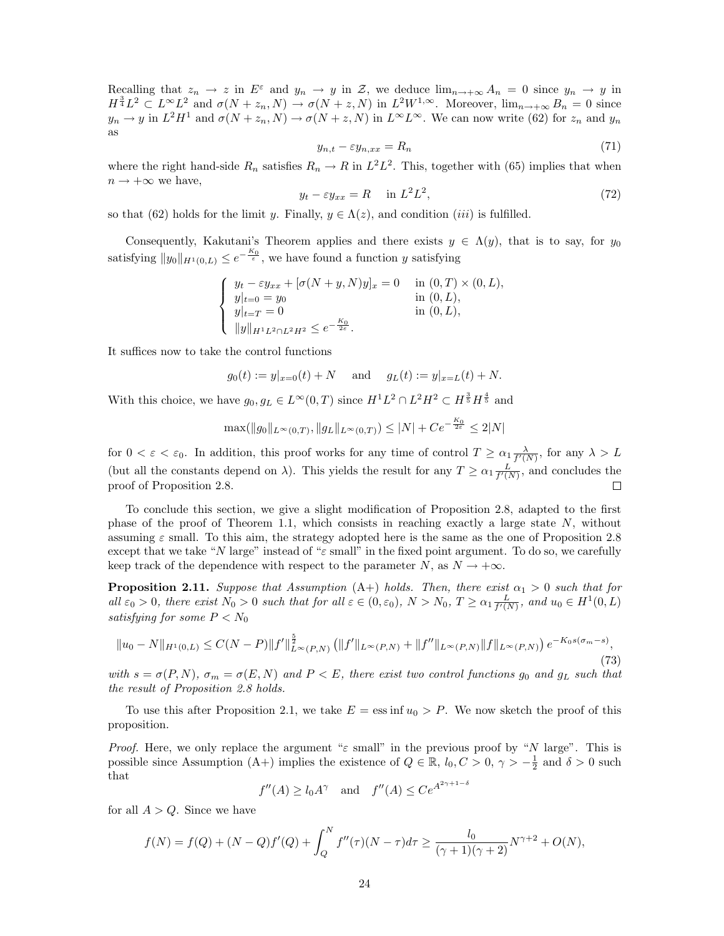Recalling that  $z_n \to z$  in  $E^{\varepsilon}$  and  $y_n \to y$  in Z, we deduce  $\lim_{n\to+\infty} A_n = 0$  since  $y_n \to y$  in  $H^{\frac{3}{4}}L^2 \subset L^{\infty}L^2$  and  $\sigma(N+z_n,N) \to \sigma(N+z,N)$  in  $L^2W^{1,\infty}$ . Moreover,  $\lim_{n\to+\infty} B_n = 0$  since  $y_n \to y$  in  $L^2 H^1$  and  $\sigma(N + z_n, N) \to \sigma(N + z, N)$  in  $L^{\infty} L^{\infty}$ . We can now write (62) for  $z_n$  and  $y_n$ as

$$
y_{n,t} - \varepsilon y_{n,xx} = R_n \tag{71}
$$

where the right hand-side  $R_n$  satisfies  $R_n \to R$  in  $L^2 L^2$ . This, together with (65) implies that when  $n \to +\infty$  we have,

$$
y_t - \varepsilon y_{xx} = R \quad \text{in } L^2 L^2,
$$
\n<sup>(72)</sup>

so that (62) holds for the limit y. Finally,  $y \in \Lambda(z)$ , and condition (*iii*) is fulfilled.

Consequently, Kakutani's Theorem applies and there exists  $y \in \Lambda(y)$ , that is to say, for  $y_0$ satisfying  $||y_0||_{H^1(0,L)} \leq e^{-\frac{K_0}{\varepsilon}}$ , we have found a function y satisfying

$$
\begin{cases}\ny_t - \varepsilon y_{xx} + [\sigma(N + y, N)y]_x = 0 & \text{in } (0, T) \times (0, L), \\
y|_{t=0} = y_0 & \text{in } (0, L), \\
y|_{t=T} = 0 & \text{in } (0, L), \\
\|y\|_{H^1 L^2 \cap L^2 H^2} \le e^{-\frac{K_0}{2\varepsilon}}.\n\end{cases}
$$

It suffices now to take the control functions

$$
g_0(t) := y|_{x=0}(t) + N
$$
 and  $g_L(t) := y|_{x=L}(t) + N$ .

With this choice, we have  $g_0, g_L \in L^{\infty}(0,T)$  since  $H^1L^2 \cap L^2H^2 \subset H^{\frac{3}{5}}H^{\frac{4}{5}}$  and

$$
\max(\|g_0\|_{L^{\infty}(0,T)}, \|g_L\|_{L^{\infty}(0,T)}) \le |N| + Ce^{-\frac{K_0}{2\varepsilon}} \le 2|N|
$$

for  $0 < \varepsilon < \varepsilon_0$ . In addition, this proof works for any time of control  $T \ge \alpha_1 \frac{\lambda}{f'(N)}$ , for any  $\lambda > L$ (but all the constants depend on  $\lambda$ ). This yields the result for any  $T \ge \alpha_1 \frac{L}{f'(N)}$ , and concludes the proof of Proposition 2.8.

To conclude this section, we give a slight modification of Proposition 2.8, adapted to the first phase of the proof of Theorem 1.1, which consists in reaching exactly a large state  $N$ , without assuming  $\varepsilon$  small. To this aim, the strategy adopted here is the same as the one of Proposition 2.8 except that we take "N large" instead of " $\varepsilon$  small" in the fixed point argument. To do so, we carefully keep track of the dependence with respect to the parameter N, as  $N \to +\infty$ .

**Proposition 2.11.** Suppose that Assumption (A+) holds. Then, there exist  $\alpha_1 > 0$  such that for all  $\varepsilon_0 > 0$ , there exist  $N_0 > 0$  such that for all  $\varepsilon \in (0, \varepsilon_0)$ ,  $N > N_0$ ,  $T \ge \alpha_1 \frac{L}{f'(N)}$ , and  $u_0 \in H^1(0, L)$ satisfying for some  $P < N_0$ 

$$
||u_0 - N||_{H^1(0,L)} \le C(N - P) ||f'||_{L^{\infty}(P,N)}^{\frac{5}{2}} \left( ||f'||_{L^{\infty}(P,N)} + ||f''||_{L^{\infty}(P,N)} ||f||_{L^{\infty}(P,N)} \right) e^{-K_0 s(\sigma_m - s)},
$$
\n(73)

with  $s = \sigma(P, N)$ ,  $\sigma_m = \sigma(E, N)$  and  $P \lt E$ , there exist two control functions  $g_0$  and  $g_L$  such that the result of Proposition 2.8 holds.

To use this after Proposition 2.1, we take  $E = \text{ess inf } u_0 > P$ . We now sketch the proof of this proposition.

*Proof.* Here, we only replace the argument " $\varepsilon$  small" in the previous proof by "N large". This is possible since Assumption (A+) implies the existence of  $Q \in \mathbb{R}$ ,  $l_0, C > 0$ ,  $\gamma > -\frac{1}{2}$  and  $\delta > 0$  such that

$$
f''(A) \ge l_0 A^\gamma
$$
 and  $f''(A) \le C e^{A^{2\gamma+1-\delta}}$ 

for all  $A > Q$ . Since we have

$$
f(N) = f(Q) + (N - Q)f'(Q) + \int_{Q}^{N} f''(\tau)(N - \tau)d\tau \ge \frac{l_0}{(\gamma + 1)(\gamma + 2)}N^{\gamma + 2} + O(N),
$$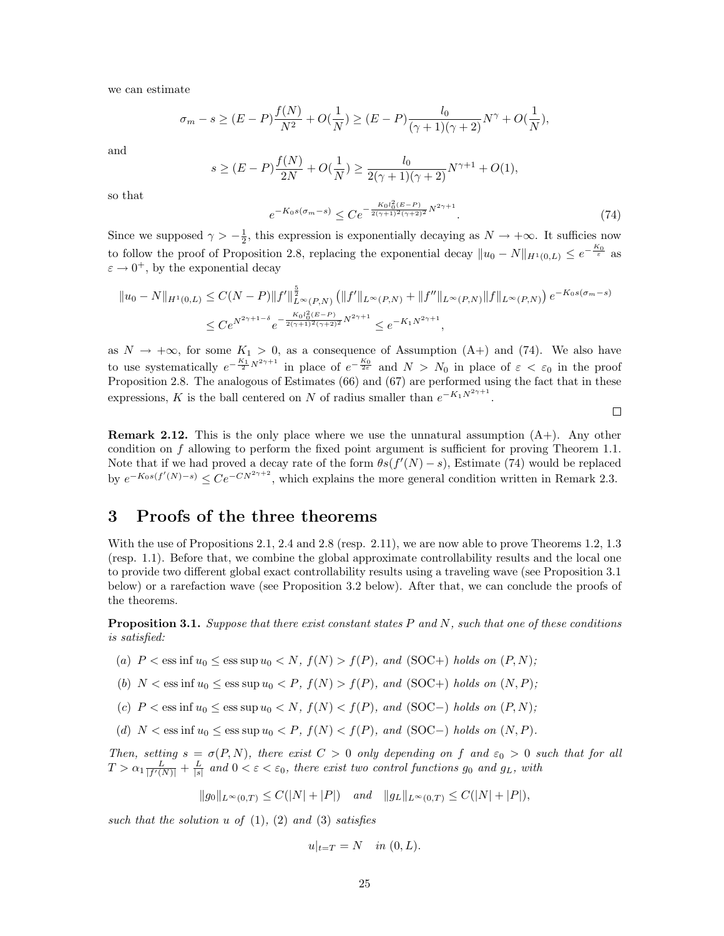we can estimate

$$
\sigma_m - s \ge (E - P) \frac{f(N)}{N^2} + O(\frac{1}{N}) \ge (E - P) \frac{l_0}{(\gamma + 1)(\gamma + 2)} N^{\gamma} + O(\frac{1}{N}),
$$

and

$$
s \ge (E - P)\frac{f(N)}{2N} + O(\frac{1}{N}) \ge \frac{l_0}{2(\gamma + 1)(\gamma + 2)}N^{\gamma + 1} + O(1),
$$

so that

$$
e^{-K_0 s(\sigma_m - s)} \leq C e^{-\frac{K_0 l_0^2 (E - P)}{2(\gamma + 1)^2 (\gamma + 2)^2} N^{2\gamma + 1}}.
$$
\n(74)

 $\Box$ 

Since we supposed  $\gamma > -\frac{1}{2}$ , this expression is exponentially decaying as  $N \to +\infty$ . It sufficies now to follow the proof of Proposition 2.8, replacing the exponential decay  $||u_0 - N||_{H^1(0,L)} \le e^{-\frac{K_0}{\varepsilon}}$  as  $\varepsilon \to 0^+$ , by the exponential decay

$$
||u_0 - N||_{H^1(0,L)} \le C(N - P) ||f'||_{L^{\infty}(P,N)}^{\frac{5}{2}} (||f'||_{L^{\infty}(P,N)} + ||f''||_{L^{\infty}(P,N)} ||f||_{L^{\infty}(P,N)}) e^{-K_0 s(\sigma_m - s)}
$$
  

$$
\le C e^{N^{2\gamma + 1 - \delta}} e^{-\frac{K_0 l_0^2 (E - P)}{2(\gamma + 1)^2 (\gamma + 2)^2} N^{2\gamma + 1}} \le e^{-K_1 N^{2\gamma + 1}},
$$

as  $N \to +\infty$ , for some  $K_1 > 0$ , as a consequence of Assumption (A+) and (74). We also have to use systematically  $e^{-\frac{K_1}{2}N^{2\gamma+1}}$  in place of  $e^{-\frac{K_0}{2\varepsilon}}$  and  $N > N_0$  in place of  $\varepsilon < \varepsilon_0$  in the proof Proposition 2.8. The analogous of Estimates (66) and (67) are performed using the fact that in these expressions, K is the ball centered on N of radius smaller than  $e^{-K_1 N^{2\gamma+1}}$ .

**Remark 2.12.** This is the only place where we use the unnatural assumption  $(A+)$ . Any other condition on f allowing to perform the fixed point argument is sufficient for proving Theorem 1.1. Note that if we had proved a decay rate of the form  $\theta s(f'(N)-s)$ , Estimate (74) would be replaced by  $e^{-K_0 s(f'(N)-s)} \leq Ce^{-CN^{2\gamma+2}}$ , which explains the more general condition written in Remark 2.3.

## 3 Proofs of the three theorems

With the use of Propositions 2.1, 2.4 and 2.8 (resp. 2.11), we are now able to prove Theorems 1.2, 1.3 (resp. 1.1). Before that, we combine the global approximate controllability results and the local one to provide two different global exact controllability results using a traveling wave (see Proposition 3.1 below) or a rarefaction wave (see Proposition 3.2 below). After that, we can conclude the proofs of the theorems.

**Proposition 3.1.** Suppose that there exist constant states  $P$  and  $N$ , such that one of these conditions is satisfied:

- (a)  $P < \text{ess inf } u_0 \leq \text{ess sup } u_0 < N$ ,  $f(N) > f(P)$ , and  $(SOC+)$  holds on  $(P, N)$ ;
- (b)  $N < \text{ess inf } u_0 < \text{ess sup } u_0 < P$ ,  $f(N) > f(P)$ , and  $(SOC+)$  holds on  $(N, P)$ ;
- (c)  $P < \text{ess inf } u_0 \leq \text{ess sup } u_0 < N$ ,  $f(N) < f(P)$ , and (SOC−) holds on  $(P, N)$ ;
- (d)  $N < \text{ess inf } u_0 < \text{ess sup } u_0 < P$ ,  $f(N) < f(P)$ , and (SOC−) holds on  $(N, P)$ .

Then, setting  $s = \sigma(P, N)$ , there exist  $C > 0$  only depending on f and  $\varepsilon_0 > 0$  such that for all  $T > \alpha_1 \frac{L}{|f'(N)|} + \frac{L}{|s|}$  and  $0 < \varepsilon < \varepsilon_0$ , there exist two control functions  $g_0$  and  $g_L$ , with

 $||g_0||_{L^{\infty}(0,T)} \leq C(|N|+|P|)$  and  $||g_L||_{L^{\infty}(0,T)} \leq C(|N|+|P|),$ 

such that the solution u of  $(1)$ ,  $(2)$  and  $(3)$  satisfies

$$
u|_{t=T} = N \quad in (0, L).
$$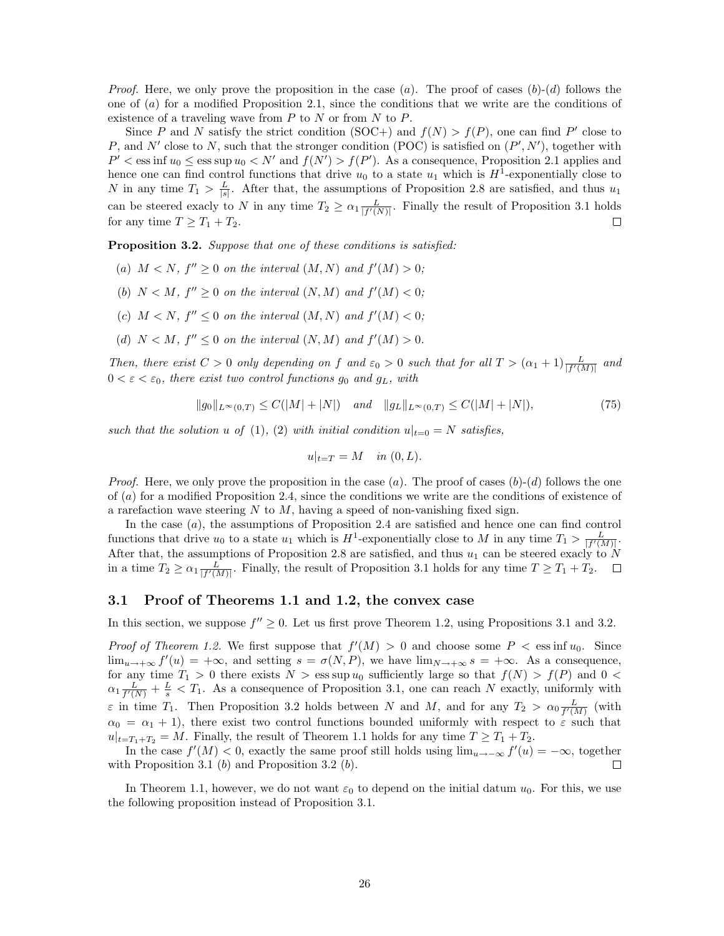*Proof.* Here, we only prove the proposition in the case  $(a)$ . The proof of cases  $(b)-(d)$  follows the one of (a) for a modified Proposition 2.1, since the conditions that we write are the conditions of existence of a traveling wave from  $P$  to  $N$  or from  $N$  to  $P$ .

Since P and N satisfy the strict condition (SOC+) and  $f(N) > f(P)$ , one can find P' close to P, and N' close to N, such that the stronger condition (POC) is satisfied on  $(P', N')$ , together with  $P' < \text{ess inf } u_0 \leq \text{ess sup } u_0 < N'$  and  $f(N') > f(P')$ . As a consequence, Proposition 2.1 applies and hence one can find control functions that drive  $u_0$  to a state  $u_1$  which is  $H^1$ -exponentially close to N in any time  $T_1 > \frac{L}{|s|}$ . After that, the assumptions of Proposition 2.8 are satisfied, and thus  $u_1$ can be steered exacly to N in any time  $T_2 \geq \alpha_1 \frac{L}{|f'(N)|}$ . Finally the result of Proposition 3.1 holds for any time  $T \geq T_1 + T_2$ .  $\Box$ 

Proposition 3.2. Suppose that one of these conditions is satisfied:

- (a)  $M < N$ ,  $f'' \geq 0$  on the interval  $(M, N)$  and  $f'(M) > 0$ ;
- (b)  $N < M$ ,  $f'' \geq 0$  on the interval  $(N, M)$  and  $f'(M) < 0$ ;
- (c)  $M < N$ ,  $f'' \leq 0$  on the interval  $(M, N)$  and  $f'(M) < 0$ ;
- (d)  $N < M$ ,  $f'' \leq 0$  on the interval  $(N, M)$  and  $f'(M) > 0$ .

Then, there exist  $C > 0$  only depending on f and  $\varepsilon_0 > 0$  such that for all  $T > (\alpha_1 + 1) \frac{L}{|f'(M)|}$  and  $0 < \varepsilon < \varepsilon_0$ , there exist two control functions  $g_0$  and  $g_L$ , with

$$
||g_0||_{L^{\infty}(0,T)} \le C(|M|+|N|) \quad \text{and} \quad ||g_L||_{L^{\infty}(0,T)} \le C(|M|+|N|), \tag{75}
$$

such that the solution u of (1), (2) with initial condition  $u|_{t=0} = N$  satisfies,

$$
u|_{t=T} = M \quad in \ (0,L).
$$

*Proof.* Here, we only prove the proposition in the case  $(a)$ . The proof of cases  $(b)-(d)$  follows the one of (a) for a modified Proposition 2.4, since the conditions we write are the conditions of existence of a rarefaction wave steering  $N$  to  $M$ , having a speed of non-vanishing fixed sign.

In the case (a), the assumptions of Proposition 2.4 are satisfied and hence one can find control functions that drive  $u_0$  to a state  $u_1$  which is  $H^1$ -exponentially close to M in any time  $T_1 > \frac{L}{|f'(M)|}$ . After that, the assumptions of Proposition 2.8 are satisfied, and thus  $u_1$  can be steered exacly to N in a time  $T_2 \ge \alpha_1 \frac{L}{|f'(M)|}$ . Finally, the result of Proposition 3.1 holds for any time  $T \ge T_1 + T_2$ .

## 3.1 Proof of Theorems 1.1 and 1.2, the convex case

In this section, we suppose  $f'' \geq 0$ . Let us first prove Theorem 1.2, using Propositions 3.1 and 3.2.

*Proof of Theorem 1.2.* We first suppose that  $f'(M) > 0$  and choose some  $P < \text{ess inf } u_0$ . Since  $\lim_{u\to+\infty}f'(u) = +\infty$ , and setting  $s = \sigma(N, P)$ , we have  $\lim_{N\to+\infty} s = +\infty$ . As a consequence, for any time  $T_1 > 0$  there exists  $N > \text{ess sup } u_0$  sufficiently large so that  $f(N) > f(P)$  and  $0 <$  $\alpha_1 \frac{L}{f'(N)} + \frac{L}{s} < T_1$ . As a consequence of Proposition 3.1, one can reach N exactly, uniformly with  $\varepsilon$  in time  $T_1$ . Then Proposition 3.2 holds between N and M, and for any  $T_2 > \alpha_0 \frac{L}{f'(M)}$  (with  $\alpha_0 = \alpha_1 + 1$ , there exist two control functions bounded uniformly with respect to  $\varepsilon$  such that  $u|_{t=T_1+T_2} = M$ . Finally, the result of Theorem 1.1 holds for any time  $T \geq T_1 + T_2$ .

In the case  $f'(M) < 0$ , exactly the same proof still holds using  $\lim_{u \to -\infty} f'(u) = -\infty$ , together with Proposition 3.1  $(b)$  and Proposition 3.2  $(b)$ . П

In Theorem 1.1, however, we do not want  $\varepsilon_0$  to depend on the initial datum  $u_0$ . For this, we use the following proposition instead of Proposition 3.1.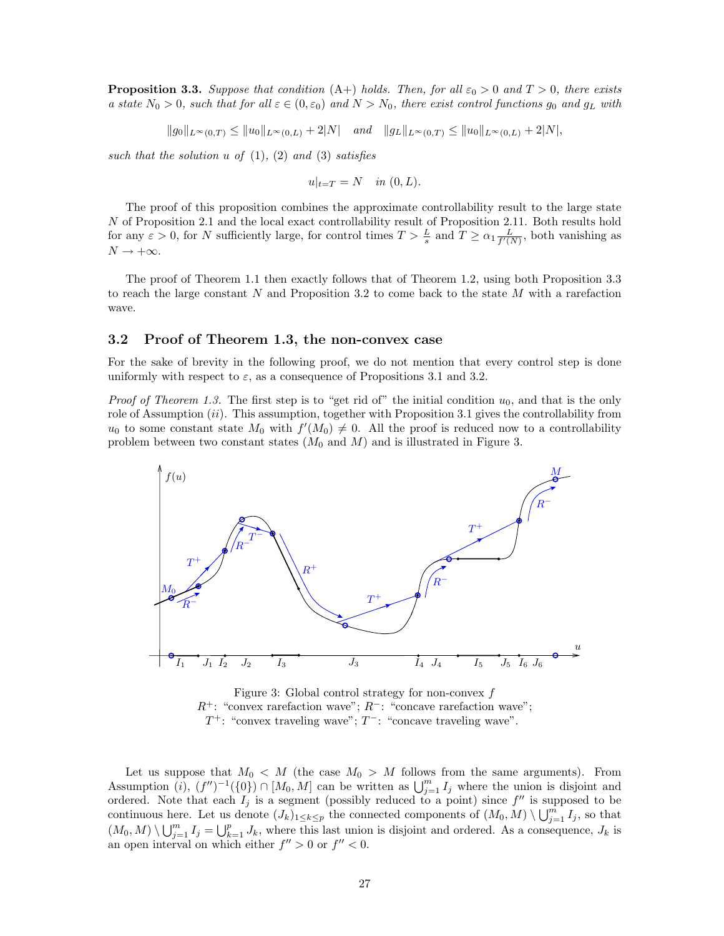**Proposition 3.3.** Suppose that condition  $(A+)$  holds. Then, for all  $\varepsilon_0 > 0$  and  $T > 0$ , there exists a state  $N_0 > 0$ , such that for all  $\varepsilon \in (0, \varepsilon_0)$  and  $N > N_0$ , there exist control functions  $g_0$  and  $g_L$  with

 $||g_0||_{L^{\infty}(0,T)} \leq ||u_0||_{L^{\infty}(0,L)} + 2|N|$  and  $||g_L||_{L^{\infty}(0,T)} \leq ||u_0||_{L^{\infty}(0,L)} + 2|N|,$ 

such that the solution  $u$  of  $(1)$ ,  $(2)$  and  $(3)$  satisfies

$$
u|_{t=T} = N \quad in (0, L).
$$

The proof of this proposition combines the approximate controllability result to the large state N of Proposition 2.1 and the local exact controllability result of Proposition 2.11. Both results hold for any  $\varepsilon > 0$ , for N sufficiently large, for control times  $T > \frac{L}{s}$  and  $T \ge \alpha_1 \frac{L}{f'(N)}$ , both vanishing as  $N \to +\infty$ .

The proof of Theorem 1.1 then exactly follows that of Theorem 1.2, using both Proposition 3.3 to reach the large constant  $N$  and Proposition 3.2 to come back to the state  $M$  with a rarefaction wave.

#### 3.2 Proof of Theorem 1.3, the non-convex case

For the sake of brevity in the following proof, we do not mention that every control step is done uniformly with respect to  $\varepsilon$ , as a consequence of Propositions 3.1 and 3.2.

*Proof of Theorem 1.3.* The first step is to "get rid of" the initial condition  $u_0$ , and that is the only role of Assumption  $(ii)$ . This assumption, together with Proposition 3.1 gives the controllability from  $u_0$  to some constant state  $M_0$  with  $f'(M_0) \neq 0$ . All the proof is reduced now to a controllability problem between two constant states  $(M_0 \text{ and } M)$  and is illustrated in Figure 3.



Figure 3: Global control strategy for non-convex  $f$  $R^+$ : "convex rarefaction wave";  $R^-$ : "concave rarefaction wave";  $T^+$ : "convex traveling wave";  $T^-$ : "concave traveling wave".

Let us suppose that  $M_0 < M$  (the case  $M_0 > M$  follows from the same arguments). From Assumption (i),  $(f'')^{-1}(\{0\}) \cap [M_0, M]$  can be written as  $\bigcup_{j=1}^m I_j$  where the union is disjoint and ordered. Note that each  $I_j$  is a segment (possibly reduced to a point) since  $f''$  is supposed to be continuous here. Let us denote  $(J_k)_{1 \leq k \leq p}$  the connected components of  $(M_0, M) \setminus \bigcup_{j=1}^{m} I_j$ , so that  $(M_0, M) \setminus \bigcup_{j=1}^m I_j = \bigcup_{k=1}^p J_k$ , where this last union is disjoint and ordered. As a consequence,  $J_k$  is an open interval on which either  $f'' > 0$  or  $f'' < 0$ .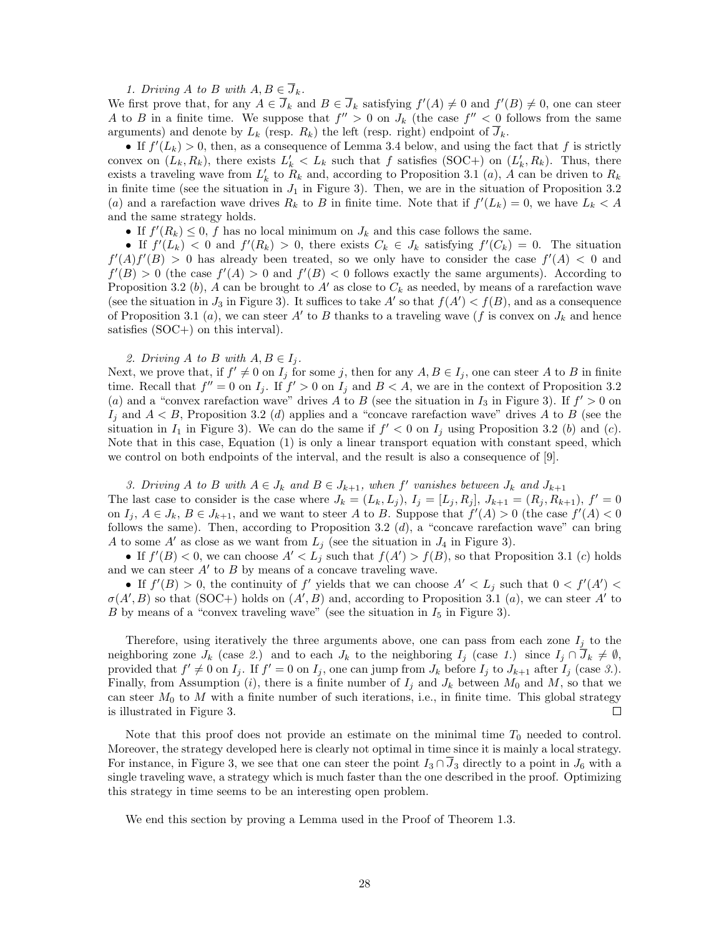1. Driving A to B with  $A, B \in \overline{J}_k$ .

We first prove that, for any  $A \in \overline{J}_k$  and  $B \in \overline{J}_k$  satisfying  $f'(A) \neq 0$  and  $f'(B) \neq 0$ , one can steer A to B in a finite time. We suppose that  $f'' > 0$  on  $J_k$  (the case  $f'' < 0$  follows from the same arguments) and denote by  $L_k$  (resp.  $R_k$ ) the left (resp. right) endpoint of  $\overline{J}_k$ .

• If  $f'(L_k) > 0$ , then, as a consequence of Lemma 3.4 below, and using the fact that f is strictly convex on  $(L_k, R_k)$ , there exists  $L'_k < L_k$  such that f satisfies (SOC+) on  $(L'_k, R_k)$ . Thus, there exists a traveling wave from  $L'_k$  to  $R_k$  and, according to Proposition 3.1 (*a*), A can be driven to  $R_k$ in finite time (see the situation in  $J_1$  in Figure 3). Then, we are in the situation of Proposition 3.2 (a) and a rarefaction wave drives  $R_k$  to B in finite time. Note that if  $f'(L_k) = 0$ , we have  $L_k < A$ and the same strategy holds.

• If  $f'(R_k) \leq 0$ , f has no local minimum on  $J_k$  and this case follows the same.

• If  $f'(L_k) < 0$  and  $f'(R_k) > 0$ , there exists  $C_k \in J_k$  satisfying  $f'(C_k) = 0$ . The situation  $f'(A)f'(B) > 0$  has already been treated, so we only have to consider the case  $f'(A) < 0$  and  $f'(B) > 0$  (the case  $f'(A) > 0$  and  $f'(B) < 0$  follows exactly the same arguments). According to Proposition 3.2 (b), A can be brought to A' as close to  $C_k$  as needed, by means of a rarefaction wave (see the situation in  $J_3$  in Figure 3). It suffices to take A' so that  $f(A') < f(B)$ , and as a consequence of Proposition 3.1 (a), we can steer A' to B thanks to a traveling wave (f is convex on  $J_k$  and hence satisfies (SOC+) on this interval).

#### 2. Driving A to B with  $A, B \in I_i$ .

Next, we prove that, if  $f' \neq 0$  on  $I_j$  for some j, then for any  $A, B \in I_j$ , one can steer A to B in finite time. Recall that  $f'' = 0$  on  $I_j$ . If  $f' > 0$  on  $I_j$  and  $B < A$ , we are in the context of Proposition 3.2 (a) and a "convex rarefaction wave" drives A to B (see the situation in  $I_3$  in Figure 3). If  $f' > 0$  on  $I_j$  and  $A < B$ , Proposition 3.2 (d) applies and a "concave rarefaction wave" drives A to B (see the situation in  $I_1$  in Figure 3). We can do the same if  $f' < 0$  on  $I_j$  using Proposition 3.2 (b) and (c). Note that in this case, Equation (1) is only a linear transport equation with constant speed, which we control on both endpoints of the interval, and the result is also a consequence of [9].

3. Driving A to B with  $A \in J_k$  and  $B \in J_{k+1}$ , when f' vanishes between  $J_k$  and  $J_{k+1}$ The last case to consider is the case where  $J_k = (L_k, L_j)$ ,  $I_j = [L_j, R_j]$ ,  $J_{k+1} = (R_j, R_{k+1})$ ,  $f' = 0$ on  $I_j$ ,  $A \in J_k$ ,  $B \in J_{k+1}$ , and we want to steer A to B. Suppose that  $f'(A) > 0$  (the case  $f'(A) < 0$ follows the same). Then, according to Proposition 3.2  $(d)$ , a "concave rarefaction wave" can bring A to some A' as close as we want from  $L_j$  (see the situation in  $J_4$  in Figure 3).

• If  $f'(B) < 0$ , we can choose  $A' < L_j$  such that  $f(A') > f(B)$ , so that Proposition 3.1 (c) holds and we can steer  $A'$  to  $B$  by means of a concave traveling wave.

• If  $f'(B) > 0$ , the continuity of f' yields that we can choose  $A' < L_j$  such that  $0 < f'(A')$  $\sigma(A',B)$  so that (SOC+) holds on  $(A',B)$  and, according to Proposition 3.1 (a), we can steer A' to B by means of a "convex traveling wave" (see the situation in  $I_5$  in Figure 3).

Therefore, using iteratively the three arguments above, one can pass from each zone  $I_j$  to the neighboring zone  $J_k$  (case 2.) and to each  $J_k$  to the neighboring  $I_j$  (case 1.) since  $I_j \cap \overline{J}_k \neq \emptyset$ , provided that  $f' \neq 0$  on  $I_j$ . If  $f' = 0$  on  $I_j$ , one can jump from  $J_k$  before  $I_j$  to  $J_{k+1}$  after  $I_j$  (case 3.). Finally, from Assumption (i), there is a finite number of  $I_j$  and  $J_k$  between  $M_0$  and  $M$ , so that we can steer  $M_0$  to M with a finite number of such iterations, i.e., in finite time. This global strategy is illustrated in Figure 3.  $\Box$ 

Note that this proof does not provide an estimate on the minimal time  $T_0$  needed to control. Moreover, the strategy developed here is clearly not optimal in time since it is mainly a local strategy. For instance, in Figure 3, we see that one can steer the point  $I_3 \cap J_3$  directly to a point in  $J_6$  with a single traveling wave, a strategy which is much faster than the one described in the proof. Optimizing this strategy in time seems to be an interesting open problem.

We end this section by proving a Lemma used in the Proof of Theorem 1.3.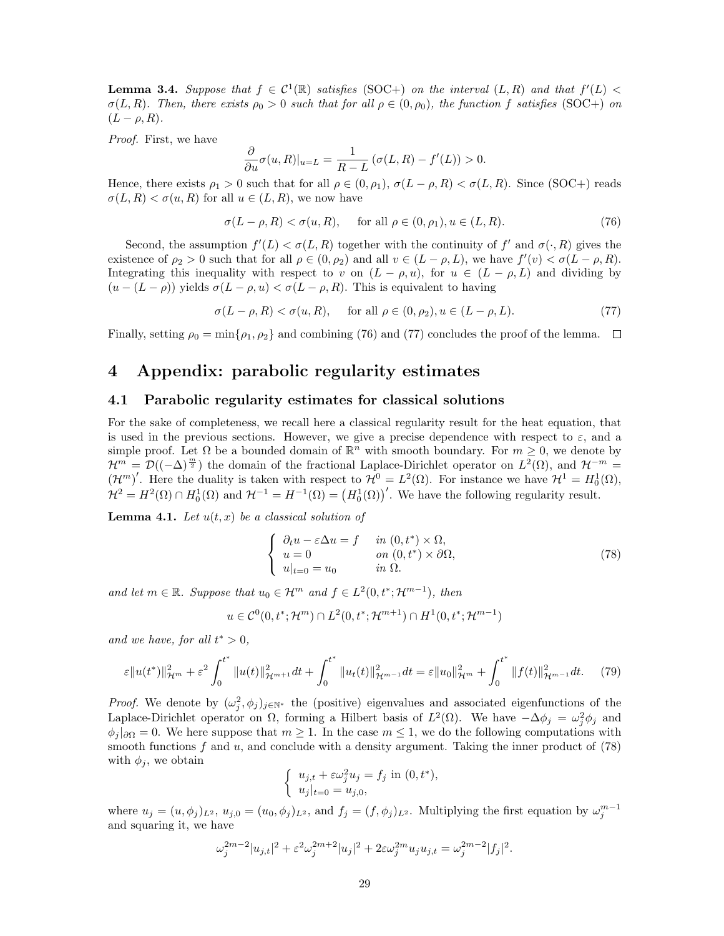**Lemma 3.4.** Suppose that  $f \in C^1(\mathbb{R})$  satisfies (SOC+) on the interval  $(L, R)$  and that  $f'(L)$  $\sigma(L, R)$ . Then, there exists  $\rho_0 > 0$  such that for all  $\rho \in (0, \rho_0)$ , the function f satisfies (SOC+) on  $(L - \rho, R)$ .

Proof. First, we have

$$
\frac{\partial}{\partial u}\sigma(u,R)|_{u=L} = \frac{1}{R-L} \left(\sigma(L,R) - f'(L)\right) > 0.
$$

Hence, there exists  $\rho_1 > 0$  such that for all  $\rho \in (0, \rho_1)$ ,  $\sigma(L - \rho, R) < \sigma(L, R)$ . Since (SOC+) reads  $\sigma(L, R) < \sigma(u, R)$  for all  $u \in (L, R)$ , we now have

$$
\sigma(L-\rho, R) < \sigma(u, R), \quad \text{for all } \rho \in (0, \rho_1), u \in (L, R). \tag{76}
$$

Second, the assumption  $f'(L) < \sigma(L, R)$  together with the continuity of f' and  $\sigma(\cdot, R)$  gives the existence of  $\rho_2 > 0$  such that for all  $\rho \in (0, \rho_2)$  and all  $v \in (L - \rho, L)$ , we have  $f'(v) < \sigma(L - \rho, R)$ . Integrating this inequality with respect to v on  $(L - \rho, u)$ , for  $u \in (L - \rho, L)$  and dividing by  $(u - (L - \rho))$  yields  $\sigma(L - \rho, u) < \sigma(L - \rho, R)$ . This is equivalent to having

$$
\sigma(L-\rho,R) < \sigma(u,R), \quad \text{for all } \rho \in (0,\rho_2), u \in (L-\rho,L). \tag{77}
$$

Finally, setting  $\rho_0 = \min\{\rho_1, \rho_2\}$  and combining (76) and (77) concludes the proof of the lemma.  $\Box$ 

# 4 Appendix: parabolic regularity estimates

#### 4.1 Parabolic regularity estimates for classical solutions

For the sake of completeness, we recall here a classical regularity result for the heat equation, that is used in the previous sections. However, we give a precise dependence with respect to  $\varepsilon$ , and a simple proof. Let  $\Omega$  be a bounded domain of  $\mathbb{R}^n$  with smooth boundary. For  $m \geq 0$ , we denote by  $\mathcal{H}^m = \mathcal{D}((-\Delta)^{\frac{m}{2}})$  the domain of the fractional Laplace-Dirichlet operator on  $L^2(\Omega)$ , and  $\mathcal{H}^{-m} =$  $(\mathcal{H}^m)'$ . Here the duality is taken with respect to  $\mathcal{H}^0 = L^2(\Omega)$ . For instance we have  $\mathcal{H}^1 = H_0^1(\Omega)$ ,  $\mathcal{H}^2 = H^2(\Omega) \cap H_0^1(\Omega)$  and  $\mathcal{H}^{-1} = H^{-1}(\Omega) = (H_0^1(\Omega))'$ . We have the following regularity result.

**Lemma 4.1.** Let  $u(t, x)$  be a classical solution of

$$
\begin{cases}\n\partial_t u - \varepsilon \Delta u = f & \text{in } (0, t^*) \times \Omega, \\
u = 0 & \text{on } (0, t^*) \times \partial \Omega, \\
u|_{t=0} = u_0 & \text{in } \Omega.\n\end{cases}
$$
\n(78)

and let  $m \in \mathbb{R}$ . Suppose that  $u_0 \in \mathcal{H}^m$  and  $f \in L^2(0, t^*; \mathcal{H}^{m-1})$ , then

$$
u \in C^0(0, t^*; \mathcal{H}^m) \cap L^2(0, t^*; \mathcal{H}^{m+1}) \cap H^1(0, t^*; \mathcal{H}^{m-1})
$$

and we have, for all  $t^* > 0$ ,

$$
\varepsilon \|u(t^*)\|_{\mathcal{H}^m}^2 + \varepsilon^2 \int_0^{t^*} \|u(t)\|_{\mathcal{H}^{m+1}}^2 dt + \int_0^{t^*} \|u_t(t)\|_{\mathcal{H}^{m-1}}^2 dt = \varepsilon \|u_0\|_{\mathcal{H}^m}^2 + \int_0^{t^*} \|f(t)\|_{\mathcal{H}^{m-1}}^2 dt. \tag{79}
$$

*Proof.* We denote by  $(\omega_j^2, \phi_j)_{j \in \mathbb{N}^*}$  the (positive) eigenvalues and associated eigenfunctions of the Laplace-Dirichlet operator on  $\Omega$ , forming a Hilbert basis of  $L^2(\Omega)$ . We have  $-\Delta\phi_j = \omega_j^2 \phi_j$  and  $\phi_i|_{\partial\Omega} = 0$ . We here suppose that  $m \geq 1$ . In the case  $m \leq 1$ , we do the following computations with smooth functions  $f$  and  $u$ , and conclude with a density argument. Taking the inner product of (78) with  $\phi_i$ , we obtain

$$
\begin{cases} u_{j,t} + \varepsilon \omega_j^2 u_j = f_j \text{ in } (0, t^*), \\ u_j|_{t=0} = u_{j,0}, \end{cases}
$$

where  $u_j = (u, \phi_j)_{L^2}$ ,  $u_{j,0} = (u_0, \phi_j)_{L^2}$ , and  $f_j = (f, \phi_j)_{L^2}$ . Multiplying the first equation by  $\omega_j^{m-1}$ and squaring it, we have

$$
\omega_j^{2m-2}|u_{j,t}|^2 + \varepsilon^2 \omega_j^{2m+2}|u_j|^2 + 2\varepsilon \omega_j^{2m} u_j u_{j,t} = \omega_j^{2m-2}|f_j|^2.
$$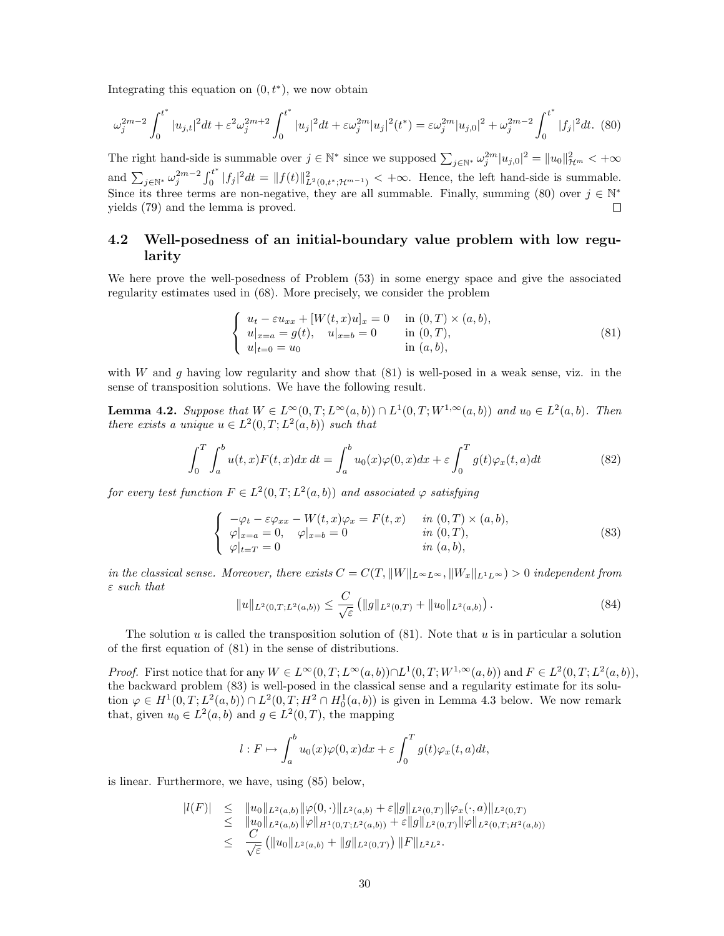Integrating this equation on  $(0, t^*)$ , we now obtain

$$
\omega_j^{2m-2} \int_0^{t^*} |u_{j,t}|^2 dt + \varepsilon^2 \omega_j^{2m+2} \int_0^{t^*} |u_j|^2 dt + \varepsilon \omega_j^{2m} |u_j|^2 (t^*) = \varepsilon \omega_j^{2m} |u_{j,0}|^2 + \omega_j^{2m-2} \int_0^{t^*} |f_j|^2 dt. \tag{80}
$$

The right hand-side is summable over  $j \in \mathbb{N}^*$  since we supposed  $\sum_{j \in \mathbb{N}^*} \omega_j^{2m} |u_{j,0}|^2 = ||u_0||_{\mathcal{H}^m}^2 < +\infty$ and  $\sum_{j \in \mathbb{N}^*} \omega_j^{2m-2} \int_0^{t^*}$  $\int_0^{t^*} |f_j|^2 dt = ||f(t)||^2_{L^2(0,t^*; \mathcal{H}^{m-1})} < +\infty$ . Hence, the left hand-side is summable. Since its three terms are non-negative, they are all summable. Finally, summing (80) over  $j \in \mathbb{N}^*$ yields (79) and the lemma is proved.  $\Box$ 

## 4.2 Well-posedness of an initial-boundary value problem with low regularity

We here prove the well-posedness of Problem (53) in some energy space and give the associated regularity estimates used in (68). More precisely, we consider the problem

$$
\begin{cases}\n u_t - \varepsilon u_{xx} + [W(t, x)u]_x = 0 & \text{in } (0, T) \times (a, b), \\
 u|_{x=a} = g(t), \quad u|_{x=b} = 0 & \text{in } (0, T), \\
 u|_{t=0} = u_0 & \text{in } (a, b),\n\end{cases}
$$
\n(81)

with W and q having low regularity and show that  $(81)$  is well-posed in a weak sense, viz. in the sense of transposition solutions. We have the following result.

**Lemma 4.2.** Suppose that  $W \in L^{\infty}(0,T; L^{\infty}(a,b)) \cap L^{1}(0,T; W^{1,\infty}(a,b))$  and  $u_0 \in L^{2}(a,b)$ . Then there exists a unique  $u \in L^2(0,T;L^2(a,b))$  such that

$$
\int_0^T \int_a^b u(t,x)F(t,x)dx dt = \int_a^b u_0(x)\varphi(0,x)dx + \varepsilon \int_0^T g(t)\varphi_x(t,a)dt
$$
\n(82)

for every test function  $F \in L^2(0,T; L^2(a,b))$  and associated  $\varphi$  satisfying

$$
\begin{cases}\n-\varphi_t - \varepsilon \varphi_{xx} - W(t, x)\varphi_x = F(t, x) & \text{in } (0, T) \times (a, b), \\
\varphi|_{x=a} = 0, & \varphi|_{x=b} = 0 & \text{in } (0, T), \\
\varphi|_{t=T} = 0 & \text{in } (a, b),\n\end{cases}
$$
\n(83)

in the classical sense. Moreover, there exists  $C = C(T, ||W||_{L^{\infty}L^{\infty}}, ||W_x||_{L^1L^{\infty}}) > 0$  independent from  $\varepsilon$  such that

$$
||u||_{L^{2}(0,T;L^{2}(a,b))} \leq \frac{C}{\sqrt{\varepsilon}} \left( ||g||_{L^{2}(0,T)} + ||u_{0}||_{L^{2}(a,b)} \right).
$$
\n(84)

The solution  $u$  is called the transposition solution of  $(81)$ . Note that  $u$  is in particular a solution of the first equation of (81) in the sense of distributions.

*Proof.* First notice that for any  $W \in L^{\infty}(0,T; L^{\infty}(a,b)) \cap L^{1}(0,T; W^{1,\infty}(a,b))$  and  $F \in L^{2}(0,T; L^{2}(a,b)),$ the backward problem (83) is well-posed in the classical sense and a regularity estimate for its solution  $\varphi \in H^1(0,T; L^2(a,b)) \cap L^2(0,T; H^2 \cap H_0^1(a,b))$  is given in Lemma 4.3 below. We now remark that, given  $u_0 \in L^2(a, b)$  and  $g \in L^2(0, T)$ , the mapping

$$
l: F \mapsto \int_a^b u_0(x)\varphi(0, x)dx + \varepsilon \int_0^T g(t)\varphi_x(t, a)dt,
$$

is linear. Furthermore, we have, using (85) below,

$$
|l(F)| \leq \|u_0\|_{L^2(a,b)} \|\varphi(0,\cdot)\|_{L^2(a,b)} + \varepsilon \|g\|_{L^2(0,T)} \|\varphi_x(\cdot,a)\|_{L^2(0,T)} \leq \|u_0\|_{L^2(a,b)} \|\varphi\|_{H^1(0,T;L^2(a,b))} + \varepsilon \|g\|_{L^2(0,T)} \|\varphi\|_{L^2(0,T;H^2(a,b))} \leq \frac{C}{\sqrt{\varepsilon}} (\|u_0\|_{L^2(a,b)} + \|g\|_{L^2(0,T)}) \|F\|_{L^2L^2}.
$$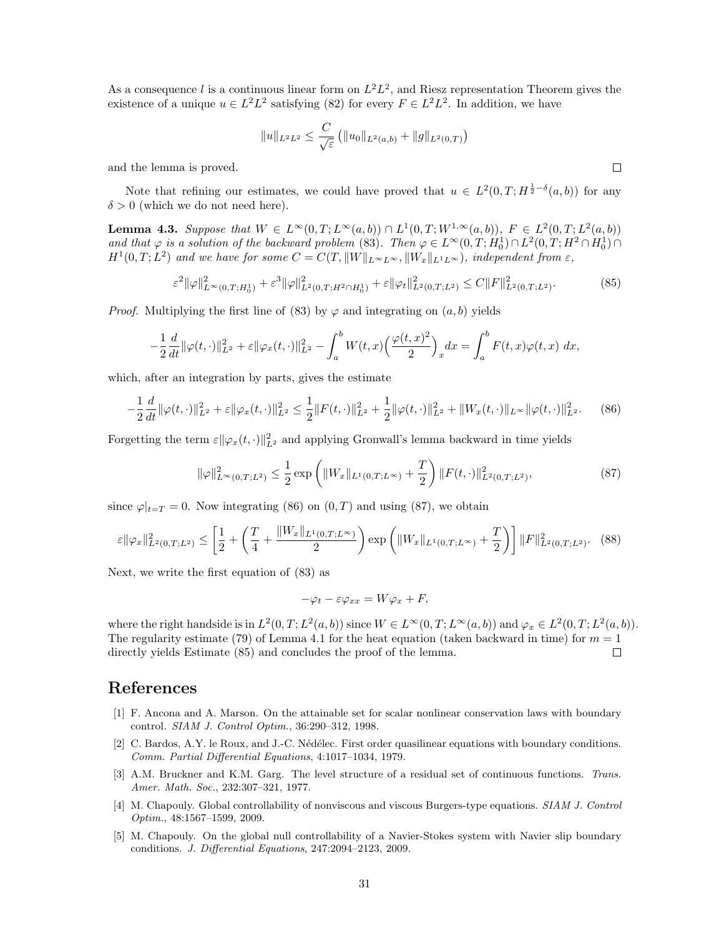As a consequence l is a continuous linear form on  $L^2L^2$ , and Riesz representation Theorem gives the existence of a unique  $u \in L^2 L^2$  satisfying (82) for every  $F \in L^2 L^2$ . In addition, we have

$$
||u||_{L^2L^2} \leq \frac{C}{\sqrt{\varepsilon}} \left( ||u_0||_{L^2(a,b)} + ||g||_{L^2(0,T)} \right)
$$

and the lemma is proved.

Note that refining our estimates, we could have proved that  $u \in L^2(0,T;H^{\frac{1}{2}-\delta}(a,b))$  for any  $\delta > 0$  (which we do not need here).

**Lemma 4.3.** Suppose that  $W \in L^{\infty}(0,T; L^{\infty}(a,b)) \cap L^{1}(0,T; W^{1,\infty}(a,b)), F \in L^{2}(0,T; L^{2}(a,b))$ and that  $\varphi$  is a solution of the backward problem (83). Then  $\varphi \in L^{\infty}(0,T; H_0^1) \cap L^2(0,T; H^2 \cap H_0^1) \cap L^2(0,T; H^2)$  $H^1(0,T;L^2)$  and we have for some  $C = C(T, ||W||_{L^{\infty}L^{\infty}}, ||W_x||_{L^1L^{\infty}})$ , independent from  $\varepsilon$ ,

$$
\varepsilon^{2} \|\varphi\|_{L^{\infty}(0,T;H_{0}^{1})}^{2} + \varepsilon^{3} \|\varphi\|_{L^{2}(0,T;H^{2}\cap H_{0}^{1})}^{2} + \varepsilon \|\varphi_{t}\|_{L^{2}(0,T;L^{2})}^{2} \le C \|F\|_{L^{2}(0,T;L^{2})}^{2}.
$$
 (85)

*Proof.* Multiplying the first line of (83) by  $\varphi$  and integrating on  $(a, b)$  yields

$$
-\frac{1}{2}\frac{d}{dt}\|\varphi(t,\cdot)\|_{L^2}^2 + \varepsilon \|\varphi_x(t,\cdot)\|_{L^2}^2 - \int_a^b W(t,x) \left(\frac{\varphi(t,x)^2}{2}\right)_x dx = \int_a^b F(t,x)\varphi(t,x) \ dx,
$$

which, after an integration by parts, gives the estimate

$$
-\frac{1}{2}\frac{d}{dt}\|\varphi(t,\cdot)\|_{L^2}^2 + \varepsilon \|\varphi_x(t,\cdot)\|_{L^2}^2 \le \frac{1}{2}\|F(t,\cdot)\|_{L^2}^2 + \frac{1}{2}\|\varphi(t,\cdot)\|_{L^2}^2 + \|W_x(t,\cdot)\|_{L^\infty}\|\varphi(t,\cdot)\|_{L^2}^2. \tag{86}
$$

Forgetting the term  $\varepsilon ||\varphi_x(t, \cdot)||_{L^2}^2$  and applying Gronwall's lemma backward in time yields

$$
\|\varphi\|_{L^{\infty}(0,T;L^{2})}^{2} \leq \frac{1}{2} \exp\left(\|W_{x}\|_{L^{1}(0,T;L^{\infty})} + \frac{T}{2}\right) \|F(t,\cdot)\|_{L^{2}(0,T;L^{2})}^{2},\tag{87}
$$

since  $\varphi|_{t=T} = 0$ . Now integrating (86) on  $(0, T)$  and using (87), we obtain

$$
\varepsilon \|\varphi_x\|_{L^2(0,T;L^2)}^2 \le \left[\frac{1}{2} + \left(\frac{T}{4} + \frac{\|W_x\|_{L^1(0,T;L^\infty)}}{2}\right) \exp\left(\|W_x\|_{L^1(0,T;L^\infty)} + \frac{T}{2}\right)\right] \|F\|_{L^2(0,T;L^2)}^2. \tag{88}
$$

Next, we write the first equation of (83) as

$$
-\varphi_t - \varepsilon \varphi_{xx} = W \varphi_x + F,
$$

where the right handside is in  $L^2(0,T;L^2(a,b))$  since  $W \in L^{\infty}(0,T;L^{\infty}(a,b))$  and  $\varphi_x \in L^2(0,T;L^2(a,b))$ . The regularity estimate (79) of Lemma 4.1 for the heat equation (taken backward in time) for  $m = 1$ directly yields Estimate (85) and concludes the proof of the lemma.  $\Box$ 

# References

- [1] F. Ancona and A. Marson. On the attainable set for scalar nonlinear conservation laws with boundary control. SIAM J. Control Optim., 36:290–312, 1998.
- [2] C. Bardos, A.Y. le Roux, and J.-C. Nédélec. First order quasilinear equations with boundary conditions. Comm. Partial Differential Equations, 4:1017–1034, 1979.
- [3] A.M. Bruckner and K.M. Garg. The level structure of a residual set of continuous functions. Trans. Amer. Math. Soc., 232:307–321, 1977.
- [4] M. Chapouly. Global controllability of nonviscous and viscous Burgers-type equations. SIAM J. Control Optim., 48:1567–1599, 2009.
- [5] M. Chapouly. On the global null controllability of a Navier-Stokes system with Navier slip boundary conditions. J. Differential Equations, 247:2094–2123, 2009.

 $\Box$